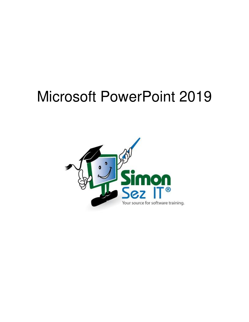# Microsoft PowerPoint 2019

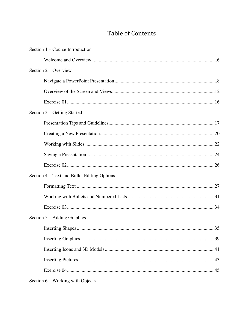## **Table of Contents**

| Section $1$ – Course Introduction           |
|---------------------------------------------|
|                                             |
| Section $2$ – Overview                      |
|                                             |
|                                             |
|                                             |
| Section 3 – Getting Started                 |
|                                             |
|                                             |
|                                             |
|                                             |
|                                             |
| Section 4 – Text and Bullet Editing Options |
|                                             |
|                                             |
|                                             |
| Section $5 -$ Adding Graphics               |
| 35                                          |
|                                             |
|                                             |
|                                             |
|                                             |
| Section $6$ – Working with Objects          |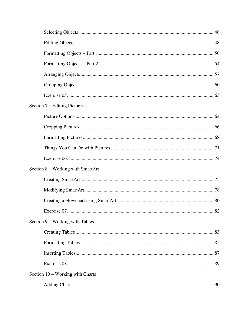| Section 7 – Editing Pictures      |  |
|-----------------------------------|--|
|                                   |  |
|                                   |  |
|                                   |  |
|                                   |  |
|                                   |  |
| Section 8 – Working with SmartArt |  |
|                                   |  |
|                                   |  |
|                                   |  |
|                                   |  |
| Section 9 – Working with Tables   |  |
|                                   |  |
|                                   |  |
|                                   |  |
|                                   |  |
| Section 10 – Working with Charts  |  |
|                                   |  |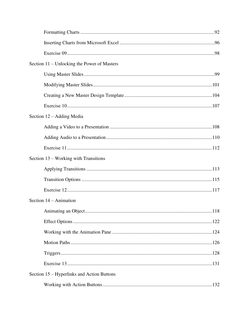| Section 11 – Unlocking the Power of Masters |  |
|---------------------------------------------|--|
|                                             |  |
|                                             |  |
|                                             |  |
|                                             |  |
| Section 12 – Adding Media                   |  |
|                                             |  |
|                                             |  |
|                                             |  |
| Section 13 – Working with Transitions       |  |
|                                             |  |
|                                             |  |
|                                             |  |
| Section $14 -$ Animation                    |  |
|                                             |  |
|                                             |  |
|                                             |  |
|                                             |  |
|                                             |  |
|                                             |  |
| Section 15 – Hyperlinks and Action Buttons  |  |
|                                             |  |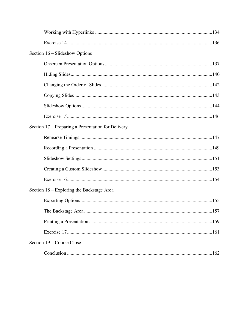| Section 16 – Slideshow Options                     |
|----------------------------------------------------|
|                                                    |
|                                                    |
|                                                    |
|                                                    |
|                                                    |
|                                                    |
| Section 17 – Preparing a Presentation for Delivery |
|                                                    |
|                                                    |
|                                                    |
|                                                    |
|                                                    |
| Section 18 – Exploring the Backstage Area          |
|                                                    |
|                                                    |
|                                                    |
|                                                    |
| Section 19 – Course Close                          |
|                                                    |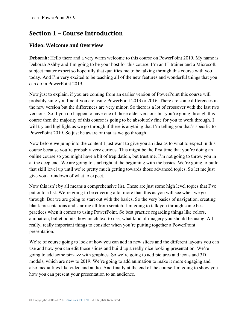## **Section 1 – Course Introduction**

#### **Video: Welcome and Overview**

**Deborah:** Hello there and a very warm welcome to this course on PowerPoint 2019. My name is Deborah Ashby and I'm going to be your host for this course. I'm an IT trainer and a Microsoft subject matter expert so hopefully that qualifies me to be talking through this course with you today. And I'm very excited to be teaching all of the new features and wonderful things that you can do in PowerPoint 2019.

Now just to explain, if you are coming from an earlier version of PowerPoint this course will probably suite you fine if you are using PowerPoint 2013 or 2016. There are some differences in the new version but the differences are very minor. So there is a lot of crossover with the last two versions. So if you do happen to have one of those older versions but you're going through this course then the majority of this course is going to be absolutely fine for you to work through. I will try and highlight as we go through if there is anything that I'm telling you that's specific to PowerPoint 2019. So just be aware of that as we go through.

Now before we jump into the content I just want to give you an idea as to what to expect in this course because you're probably very curious. This might be the first time that you're doing an online course so you might have a bit of trepidation, but trust me. I'm not going to throw you in at the deep end. We are going to start right at the beginning with the basics. We're going to build that skill level up until we're pretty much getting towards those advanced topics. So let me just give you a rundown of what to expect.

Now this isn't by all means a comprehensive list. These are just some high level topics that I've put onto a list. We're going to be covering a lot more than this as you will see when we go through. But we are going to start out with the basics. So the very basics of navigation, creating blank presentations and starting all from scratch. I'm going to talk you through some best practices when it comes to using PowerPoint. So best practice regarding things like colors, animation, bullet points, how much text to use, what kind of imagery you should be using. All really, really important things to consider when you're putting together a PowerPoint presentation.

We're of course going to look at how you can add in new slides and the different layouts you can use and how you can edit those slides and build up a really nice looking presentation. We're going to add some pizzazz with graphics. So we're going to add pictures and icons and 3D models, which are new to 2019. We're going to add animation to make it more engaging and also media files like video and audio. And finally at the end of the course I'm going to show you how you can present your presentation to an audience.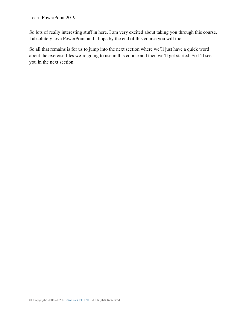So lots of really interesting stuff in here. I am very excited about taking you through this course. I absolutely love PowerPoint and I hope by the end of this course you will too.

So all that remains is for us to jump into the next section where we'll just have a quick word about the exercise files we're going to use in this course and then we'll get started. So I'll see you in the next section.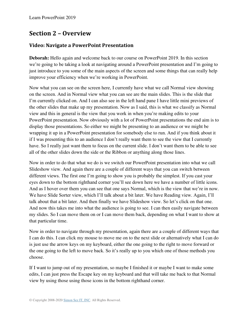## **Section 2 – Overview**

#### **Video: Navigate a PowerPoint Presentation**

**Deborah:** Hello again and welcome back to our course on PowerPoint 2019. In this section we're going to be taking a look at navigating around a PowerPoint presentation and I'm going to just introduce to you some of the main aspects of the screen and some things that can really help improve your efficiency when we're working in PowerPoint.

Now what you can see on the screen here, I currently have what we call Normal view showing on the screen. And in Normal view what you can see are the main slides. This is the slide that I'm currently clicked on. And I can also see in the left hand pane I have little mini previews of the other slides that make up my presentation. Now as I said, this is what we classify as Normal view and this in general is the view that you work in when you're making edits to your PowerPoint presentation. Now obviously with a lot of PowerPoint presentations the end aim is to display those presentations. So either we might be presenting to an audience or we might be wrapping it up in a PowerPoint presentation for somebody else to run. And if you think about it if I was presenting this to an audience I don't really want them to see the view that I currently have. So I really just want them to focus on the current slide. I don't want them to be able to see all of the other slides down the side or the Ribbon or anything along those lines.

Now in order to do that what we do is we switch our PowerPoint presentation into what we call Slideshow view. And again there are a couple of different ways that you can switch between different views. The first one I'm going to show you is probably the simplest. If you cast your eyes down to the bottom righthand corner you'll see down here we have a number of little icons. And as I hover over them you can see that one says Normal, which is the view that we're in now. We have Slide Sorter view, which I'll talk about a bit later. We have Reading view. Again, I'll talk about that a bit later. And then finally we have Slideshow view. So let's click on that one. And now this takes me into what the audience is going to see. I can then easily navigate between my slides. So I can move them on or I can move them back, depending on what I want to show at that particular time.

Now in order to navigate through my presentation, again there are a couple of different ways that I can do this. I can click my mouse to move me on to the next slide or alternatively what I can do is just use the arrow keys on my keyboard, either the one going to the right to move forward or the one going to the left to move back. So it's really up to you which one of those methods you choose.

If I want to jump out of my presentation, so maybe I finished it or maybe I want to make some edits, I can just press the Escape key on my keyboard and that will take me back to that Normal view by using those using those icons in the bottom righthand corner.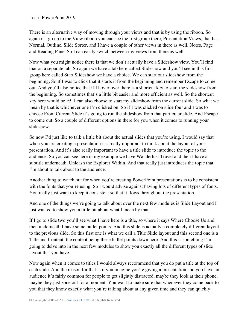There is an alternative way of moving through your views and that is by using the ribbon. So again if I go up to the View ribbon you can see the first group there, Presentation Views, that has Normal, Outline, Slide Sorter, and I have a couple of other views in there as well, Notes, Page and Reading Pane. So I can easily switch between my views from there as well.

Now what you might notice there is that we don't actually have a Slideshow view. You'll find that on a separate tab. So again we have a tab here called Slideshow and you'll see in this first group here called Start Slideshow we have a choice. We can start our slideshow from the beginning. So if I was to click that it starts it from the beginning and remember Escape to come out. And you'll also notice that if I hover over there is a shortcut key to start the slideshow from the beginning. So sometimes that's a little bit easier and more efficient as well. So the shortcut key here would be F5. I can also choose to start my slideshow from the current slide. So what we mean by that is whichever one I'm clicked on. So if I was clicked on slide four and I was to choose From Current Slide it's going to run the slideshow from that particular slide. And Escape to come out. So a couple of different options in there for you when it comes to running your slideshow.

So now I'd just like to talk a little bit about the actual slides that you're using. I would say that when you are creating a presentation it's really important to think about the layout of your presentation. And it's also really important to have a title slide to introduce the topic to the audience. So you can see here in my example we have Wanderlust Travel and then I have a subtitle underneath, Unleash the Explorer Within. And that really just introduces the topic that I'm about to talk about to the audience.

Another thing to watch out for when you're creating PowerPoint presentations is to be consistent with the fonts that you're using. So I would advise against having lots of different types of fonts. You really just want to keep it consistent so that it flows throughout the presentation.

And one of the things we're going to talk about over the next few modules is Slide Layout and I just wanted to show you a little bit about what I mean by that.

If I go to slide two you'll see what I have here is a title, so where it says Where Choose Us and then underneath I have some bullet points. And this slide is actually a completely different layout to the previous slide. So this first one is what we call a Title Slide layout and this second one is a Title and Content, the content being these bullet points down here. And this is something I'm going to delve into in the next few modules to show you exactly all the different types of slide layout that you have.

Now again when it comes to titles I would always recommend that you do put a title at the top of each slide. And the reason for that is if you imagine you're giving a presentation and you have an audience it's fairly common for people to get slightly distracted, maybe they look at their phone, maybe they just zone out for a moment. You want to make sure that whenever they come back to you that they know exactly what you're talking about at any given time and they can quickly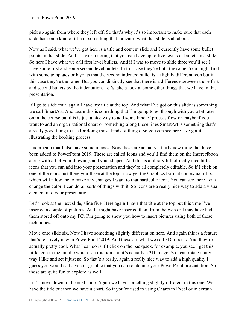pick up again from where they left off. So that's why it's so important to make sure that each slide has some kind of title or something that indicates what that slide is all about.

Now as I said, what we've got here is a title and content slide and I currently have some bullet points in that slide. And it's worth noting that you can have up to five levels of bullets in a slide. So here I have what we call first level bullets. And if I was to move to slide three you'll see I have some first and some second level bullets. In this case they're both the same. You might find with some templates or layouts that the second indented bullet is a slightly different icon but in this case they're the same. But you can distinctly see that there is a difference between those first and second bullets by the indentation. Let's take a look at some other things that we have in this presentation.

If I go to slide four, again I have my title at the top. And what I've got on this slide is something we call SmartArt. And again this is something that I'm going to go through with you a bit later on in the course but this is just a nice way to add some kind of process flow or maybe if you want to add an organizational chart or something along those lines SmartArt is something that's a really good thing to use for doing those kinds of things. So you can see here I've got it illustrating the booking process.

Underneath that I also have some images. Now these are actually a fairly new thing that have been added to PowerPoint 2019. These are called Icons and you'll find them on the Insert ribbon along with all of your drawings and your shapes. And this is a library full of really nice little icons that you can add into your presentation and they're all completely editable. So if I click on one of the icons just there you'll see at the top I now get the Graphics Format contextual ribbon, which will allow me to make any changes I want to that particular icon. You can see there I can change the color, I can do all sorts of things with it. So icons are a really nice way to add a visual element into your presentation.

Let's look at the next slide, slide five. Here again I have that title at the top but this time I've inserted a couple of pictures. And I might have inserted them from the web or I may have had them stored off onto my PC. I'm going to show you how to insert pictures using both of those techniques.

Move onto slide six. Now I have something slightly different on here. And again this is a feature that's relatively new in PowerPoint 2019. And these are what we call 3D models. And they're actually pretty cool. What I can do is if I click on the backpack, for example, you see I get this little icon in the middle which is a rotation and it's actually a 3D image. So I can rotate it any way I like and set it just so. So that's a really, again a really nice way to add a high quality I guess you would call a vector graphic that you can rotate into your PowerPoint presentation. So those are quite fun to explore as well.

Let's move down to the next slide. Again we have something slightly different in this one. We have the title but then we have a chart. So if you're used to using Charts in Excel or in certain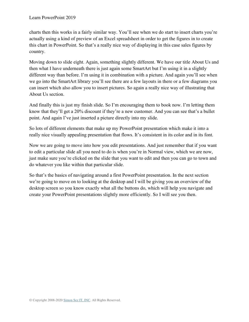charts then this works in a fairly similar way. You'll see when we do start to insert charts you're actually using a kind of preview of an Excel spreadsheet in order to get the figures in to create this chart in PowerPoint. So that's a really nice way of displaying in this case sales figures by country.

Moving down to slide eight. Again, something slightly different. We have our title About Us and then what I have underneath there is just again some SmartArt but I'm using it in a slightly different way than before. I'm using it in combination with a picture. And again you'll see when we go into the SmartArt library you'll see there are a few layouts in there or a few diagrams you can insert which also allow you to insert pictures. So again a really nice way of illustrating that About Us section.

And finally this is just my finish slide. So I'm encouraging them to book now. I'm letting them know that they'll get a 20% discount if they're a new customer. And you can see that's a bullet point. And again I've just inserted a picture directly into my slide.

So lots of different elements that make up my PowerPoint presentation which make it into a really nice visually appealing presentation that flows. It's consistent in its color and in its font.

Now we are going to move into how you edit presentations. And just remember that if you want to edit a particular slide all you need to do is when you're in Normal view, which we are now, just make sure you're clicked on the slide that you want to edit and then you can go to town and do whatever you like within that particular slide.

So that's the basics of navigating around a first PowerPoint presentation. In the next section we're going to move on to looking at the desktop and I will be giving you an overview of the desktop screen so you know exactly what all the buttons do, which will help you navigate and create your PowerPoint presentations slightly more efficiently. So I will see you then.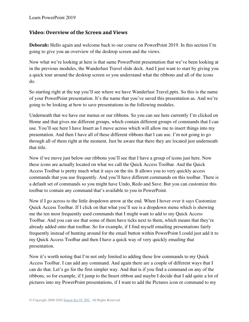#### **Video: Overview of the Screen and Views**

**Deborah:** Hello again and welcome back to our course on PowerPoint 2019. In this section I'm going to give you an overview of the desktop screen and the views.

Now what we're looking at here is that same PowerPoint presentation that we've been looking at in the previous modules, the Wanderlust Travel slide deck. And I just want to start by giving you a quick tour around the desktop screen so you understand what the ribbons and all of the icons do.

So starting right at the top you'll see where we have Wanderlust Travel.pptx. So this is the name of your PowerPoint presentation. It's the name that you've saved this presentation as. And we're going to be looking at how to save presentations in the following modules.

Underneath that we have our menus or our ribbons. So you can see here currently I'm clicked on Home and that gives me different groups, which contain different groups of commands that I can use. You'll see here I have Insert as I move across which will allow me to insert things into my presentation. And then I have all of these different ribbons that I can use. I'm not going to go through all of them right at the moment. Just be aware that there they are located just underneath that title.

Now if we move just below our ribbons you'll see that I have a group of icons just here. Now these icons are actually located on what we call the Quick Access Toolbar. And the Quick Access Toolbar is pretty much what it says on the tin. It allows you to very quickly access commands that you use frequently. And you'll have different commands on this toolbar. There is a default set of commands so you might have Undo, Redo and Save. But you can customize this toolbar to contain any command that's available to you in PowerPoint.

Now if I go across to the little dropdown arrow at the end. When I hover over it says Customize Quick Access Toolbar. If I click on that what you'll see is a dropdown menu which is showing me the ten most frequently used commands that I might want to add to my Quick Access Toolbar. And you can see that some of them have ticks next to them, which means that they're already added onto that toolbar. So for example, if I find myself emailing presentations fairly frequently instead of hunting around for the email button within PowerPoint I could just add it to my Quick Access Toolbar and then I have a quick way of very quickly emailing that presentation.

Now it's worth noting that I'm not only limited to adding these few commands to my Quick Access Toolbar. I can add any command. And again there are a couple of different ways that I can do that. Let's go for the first simpler way. And that is if you find a command on any of the ribbons, so for example, if I jump to the Insert ribbon and maybe I decide that I add quite a lot of pictures into my PowerPoint presentations, if I want to add the Pictures icon or command to my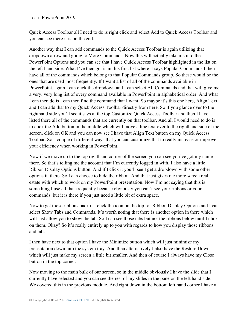Quick Access Toolbar all I need to do is right click and select Add to Quick Access Toolbar and you can see there it is on the end.

Another way that I can add commands to the Quick Access Toolbar is again utilizing that dropdown arrow and going to More Commands. Now this will actually take me into the PowerPoint Options and you can see that I have Quick Access Toolbar highlighted in the list on the left hand side. What I've then got is in this first list where it says Popular Commands I then have all of the commands which belong to that Popular Commands group. So these would be the ones that are used most frequently. If I want a list of all of the commands available in PowerPoint, again I can click the dropdown and I can select All Commands and that will give me a very, very long list of every command available in PowerPoint in alphabetical order. And what I can then do is I can then find the command that I want. So maybe it's this one here, Align Text, and I can add that to my Quick Access Toolbar directly from here. So if you glance over to the righthand side you'll see it says at the top Customize Quick Access Toolbar and then I have listed there all of the commands that are currently on that toolbar. And all I would need to do is to click the Add button in the middle which will move a line text over to the righthand side of the screen, click on OK and you can now see I have that Align Text button on my Quick Access Toolbar. So a couple of different ways that you can customize that to really increase or improve your efficiency when working in PowerPoint.

Now if we move up to the top righthand corner of the screen you can see you've got my name there. So that's telling me the account that I'm currently logged in with. I also have a little Ribbon Display Options button. And if I click it you'll see I get a dropdown with some other options in there. So I can choose to hide the ribbon. And that just gives me more screen real estate with which to work on my PowerPoint presentation. Now I'm not saying that this is something I use all that frequently because obviously you can't see your ribbons or your commands, but it is there if you just need a little bit of extra space.

Now to get those ribbons back if I click the icon on the top for Ribbon Display Options and I can select Show Tabs and Commands. It's worth noting that there is another option in there which will just allow you to show the tab. So I can see those tabs but not the ribbons below until I click on them. Okay? So it's really entirely up to you with regards to how you display those ribbons and tabs.

I then have next to that option I have the Minimize button which will just minimize my presentation down into the system tray. And then alternatively I also have the Restore Down which will just make my screen a little bit smaller. And then of course I always have my Close button in the top corner.

Now moving to the main bulk of our screen, so in the middle obviously I have the slide that I currently have selected and you can see the rest of my slides in the pane on the left hand side. We covered this in the previous module. And right down in the bottom left hand corner I have a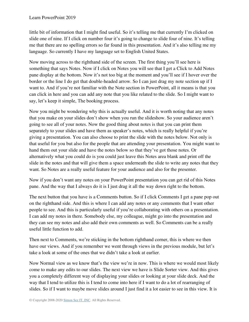little bit of information that I might find useful. So it's telling me that currently I'm clicked on slide one of nine. If I click on number four it's going to change to slide four of nine. It's telling me that there are no spelling errors so far found in this presentation. And it's also telling me my language. So currently I have my language set to English United States.

Now moving across to the righthand side of the screen. The first thing you'll see here is something that says Notes. Now if I click on Notes you will see that I get a Click to Add Notes pane display at the bottom. Now it's not too big at the moment and you'll see if I hover over the border or the line I do get that double-headed arrow. So I can just drag my note section up if I want to. And if you're not familiar with the Note section in PowerPoint, all it means is that you can click in here and you can add any note that you like related to the slide. So I might want to say, let's keep it simple, The booking process.

Now you might be wondering why this is actually useful. And it is worth noting that any notes that you make on your slides don't show when you run the slideshow. So your audience aren't going to see all of your notes. Now the good thing about notes is that you can print them separately to your slides and have them as speaker's notes, which is really helpful if you're giving a presentation. You can also choose to print the slide with the notes below. Not only is that useful for you but also for the people that are attending your presentation. You might want to hand them out your slide and have the notes below so that they've got those notes. Or alternatively what you could do is you could just leave this Notes area blank and print off the slide in the notes and that will give them a space underneath the slide to write any notes that they want. So Notes are a really useful feature for your audience and also for the presenter.

Now if you don't want any notes on your PowerPoint presentation you can get rid of this Notes pane. And the way that I always do it is I just drag it all the way down right to the bottom.

The next button that you have is a Comments button. So if I click Comments I get a pane pop out on the righthand side. And this is where I can add any notes or any comments that I want other people to see. And this is particularly useful if you're collaborating with others on a presentation. I can add my notes in there. Somebody else, my colleague, might go into the presentation and they can see my notes and also add their own comments as well. So Comments can be a really useful little function to add.

Then next to Comments, we're sticking in the bottom righthand corner, this is where we then have our views. And if you remember we went through views in the previous module, but let's take a look at some of the ones that we didn't take a look at earlier.

Now Normal view as we know that's the view we're in now. This is where we would most likely come to make any edits to our slides. The next view we have is Slide Sorter view. And this gives you a completely different way of displaying your slides or looking at your slide deck. And the way that I tend to utilize this is I tend to come into here if I want to do a lot of rearranging of slides. So if I want to maybe move slides around I just find it a lot easier to see in this view. It is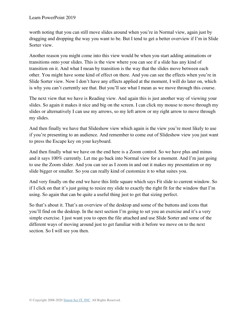worth noting that you can still move slides around when you're in Normal view, again just by dragging and dropping the way you want to be. But I tend to get a better overview if I'm in Slide Sorter view.

Another reason you might come into this view would be when you start adding animations or transitions onto your slides. This is the view where you can see if a slide has any kind of transition on it. And what I mean by transition is the way that the slides move between each other. You might have some kind of effect on there. And you can see the effects when you're in Slide Sorter view. Now I don't have any effects applied at the moment, I will do later on, which is why you can't currently see that. But you'll see what I mean as we move through this course.

The next view that we have is Reading view. And again this is just another way of viewing your slides. So again it makes it nice and big on the screen. I can click my mouse to move through my slides or alternatively I can use my arrows, so my left arrow or my right arrow to move through my slides.

And then finally we have that Slideshow view which again is the view you're most likely to use if you're presenting to an audience. And remember to come out of Slideshow view you just want to press the Escape key on your keyboard.

And then finally what we have on the end here is a Zoom control. So we have plus and minus and it says 100% currently. Let me go back into Normal view for a moment. And I'm just going to use the Zoom slider. And you can see as I zoom in and out it makes my presentation or my slide bigger or smaller. So you can really kind of customize it to what suites you.

And very finally on the end we have this little square which says Fit slide to current window. So if I click on that it's just going to resize my slide to exactly the right fit for the window that I'm using. So again that can be quite a useful thing just to get that sizing perfect.

So that's about it. That's an overview of the desktop and some of the buttons and icons that you'll find on the desktop. In the next section I'm going to set you an exercise and it's a very simple exercise. I just want you to open the file attached and use Slide Sorter and some of the different ways of moving around just to get familiar with it before we move on to the next section. So I will see you then.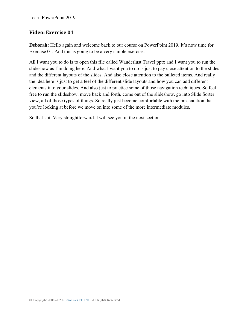#### **Video: Exercise 01**

**Deborah:** Hello again and welcome back to our course on PowerPoint 2019. It's now time for Exercise 01. And this is going to be a very simple exercise.

All I want you to do is to open this file called Wanderlust Travel.pptx and I want you to run the slideshow as I'm doing here. And what I want you to do is just to pay close attention to the slides and the different layouts of the slides. And also close attention to the bulleted items. And really the idea here is just to get a feel of the different slide layouts and how you can add different elements into your slides. And also just to practice some of those navigation techniques. So feel free to run the slideshow, move back and forth, come out of the slideshow, go into Slide Sorter view, all of those types of things. So really just become comfortable with the presentation that you're looking at before we move on into some of the more intermediate modules.

So that's it. Very straightforward. I will see you in the next section.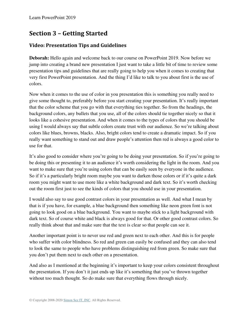## **Section 3 – Getting Started**

#### **Video: Presentation Tips and Guidelines**

**Deborah:** Hello again and welcome back to our course on PowerPoint 2019. Now before we jump into creating a brand new presentation I just want to take a little bit of time to review some presentation tips and guidelines that are really going to help you when it comes to creating that very first PowerPoint presentation. And the thing I'd like to talk to you about first is the use of colors.

Now when it comes to the use of color in you presentation this is something you really need to give some thought to, preferably before you start creating your presentation. It's really important that the color scheme that you go with that everything ties together. So from the headings, the background colors, any bullets that you use, all of the colors should tie together nicely so that it looks like a cohesive presentation. And when it comes to the types of colors that you should be using I would always say that subtle colors create trust with our audience. So we're talking about colors like blues, browns, blacks. Also, bright colors tend to create a dramatic impact. So if you really want something to stand out and draw people's attention then red is always a good color to use for that.

It's also good to consider where you're going to be doing your presentation. So if you're going to be doing this or presenting it to an audience it's worth considering the light in the room. And you want to make sure that you're using colors that can be easily seen by everyone in the audience. So if it's a particularly bright room maybe you want to darken those colors or if it's quite a dark room you might want to use more like a white background and dark text. So it's worth checking out the room first just to see the kinds of colors that you should use in your presentation.

I would also say to use good contrast colors in your presentation as well. And what I mean by that is if you have, for example, a blue background then something like neon green font is not going to look good on a blue background. You want to maybe stick to a light background with dark text. So of course white and black is always good for that. Or other good contrast colors. So really think about that and make sure that the text is clear so that people can see it.

Another important point is to never use red and green next to each other. And this is for people who suffer with color blindness. So red and green can easily be confused and they can also tend to look the same to people who have problems distinguishing red from green. So make sure that you don't put them next to each other on a presentation.

And also as I mentioned at the beginning it's important to keep your colors consistent throughout the presentation. If you don't it just ends up like it's something that you've thrown together without too much thought. So do make sure that everything flows through nicely.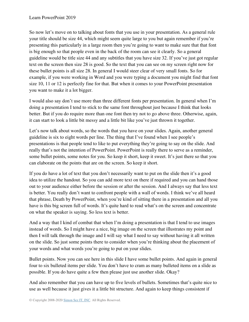So now let's move on to talking about fonts that you use in your presentation. As a general rule your title should be size 44, which might seem quite large to you but again remember if you're presenting this particularly in a large room then you're going to want to make sure that that font is big enough so that people even in the back of the room can see it clearly. So a general guideline would be title size 44 and any subtitles that you have size 32. If you've just got regular text on the screen then size 28 is good. So the text that you can see on my screen right now for these bullet points is all size 28. In general I would steer clear of very small fonts. So for example, if you were working in Word and you were typing a document you might find that font size 10, 11 or 12 is perfectly fine for that. But when it comes to your PowerPoint presentation you want to make it a lot bigger.

I would also say don't use more than three different fonts per presentation. In general when I'm doing a presentation I tend to stick to the same font throughout just because I think that looks better. But if you do require more than one font then try not to go above three. Otherwise, again, it can start to look a little bit messy and a little bit like you've just thrown it together.

Let's now talk about words, so the words that you have on your slides. Again, another general guideline is six to eight words per line. The thing that I've found when I see people's presentations is that people tend to like to put everything they're going to say on the slide. And really that's not the intention of PowerPoint. PowerPoint is really there to serve as a reminder, some bullet points, some notes for you. So keep it short, keep it sweet. It's just there so that you can elaborate on the points that are on the screen. So keep it short.

If you do have a lot of text that you don't necessarily want to put on the slide then it's a good idea to utilize the handout. So you can add more text on there if required and you can hand those out to your audience either before the session or after the session. And I always say that less text is better. You really don't want to confront people with a wall of words. I think we've all heard that phrase, Death by PowerPoint, when you're kind of sitting there in a presentation and all you have is this big screen full of words. It's quite hard to read what's on the screen and concentrate on what the speaker is saying. So less text is better.

And a way that I kind of combat that when I'm doing a presentation is that I tend to use images instead of words. So I might have a nice, big image on the screen that illustrates my point and then I will talk through the image and I will say what I need to say without having it all written on the slide. So just some points there to consider when you're thinking about the placement of your words and what words you're going to put on your slides.

Bullet points. Now you can see here in this slide I have some bullet points. And again in general four to six bulleted items per slide. You don't have to cram as many bulleted items on a slide as possible. If you do have quite a few then please just use another slide. Okay?

And also remember that you can have up to five levels of bullets. Sometimes that's quite nice to use as well because it just gives it a little bit structure. And again to keep things consistent if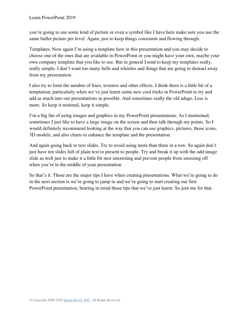you're going to use some kind of picture or even a symbol like I have here make sure you use the same bullet picture per level. Again, just to keep things consistent and flowing through.

Templates. Now again I'm using a template here in this presentation and you may decide to choose one of the ones that are available in PowerPoint or you might have your own, maybe your own company template that you like to use. But in general I tend to keep my templates really, really simple. I don't want too many bells and whistles and things that are going to distract away from my presentation.

I also try to limit the number of lines, textures and other effects. I think there is a little bit of a temptation, particularly when we've just learnt some new cool tricks in PowerPoint to try and add as much into our presentations as possible. And sometimes really the old adage, Less is more. So keep it minimal, keep it simple.

I'm a big fan of using images and graphics in my PowerPoint presentations. As I mentioned, sometimes I just like to have a large image on the screen and then talk through my points. So I would definitely recommend looking at the way that you can use graphics, pictures, those icons, 3D models, and also charts to enhance the template and the presentation.

And again going back to text slides. Try to avoid using more than three in a row. So again don't just have ten slides full of plain text to present to people. Try and break it up with the odd image slide as well just to make it a little bit mor interesting and prevent people from snoozing off when you're in the middle of your presentation.

So that's it. Those are the major tips I have when creating presentations. What we're going to do in the next section is we're going to jump in and we're going to start creating our first PowerPoint presentation, bearing in mind those tips that we've just learnt. So join me for that.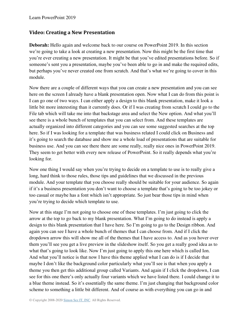#### **Video: Creating a New Presentation**

**Deborah:** Hello again and welcome back to our course on PowerPoint 2019. In this section we're going to take a look at creating a new presentation. Now this might be the first time that you're ever creating a new presentation. It might be that you've edited presentations before. So if someone's sent you a presentation, maybe you've been able to go in and make the required edits, but perhaps you've never created one from scratch. And that's what we're going to cover in this module.

Now there are a couple of different ways that you can create a new presentation and you can see here on the screen I already have a blank presentation open. Now what I can do from this point is I can go one of two ways. I can either apply a design to this blank presentation, make it look a little bit more interesting than it currently does. Or if I was creating from scratch I could go to the File tab which will take me into that backstage area and select the New option. And what you'll see there is a whole bunch of templates that you can select from. And these templates are actually organized into different categories and you can see some suggested searches at the top here. So if I was looking for a template that was business related I could click on Business and it's going to search the database and show me a whole load of presentations that are suitable for business use. And you can see there there are some really, really nice ones in PowerPoint 2019. They seem to get better with every new release of PowerPoint. So it really depends what you're looking for.

Now one thing I would say when you're trying to decide on a template to use is to really give a long, hard think to those rules, those tips and guidelines that we discussed in the previous module. And your template that you choose really should be suitable for your audience. So again if it's a business presentation you don't want to choose a template that's going to be too jokey or too casual or maybe has a font which isn't appropriate. So just bear those tips in mind when you're trying to decide which template to use.

Now at this stage I'm not going to choose one of these templates. I'm just going to click the arrow at the top to go back to my blank presentation. What I'm going to do instead is apply a design to this blank presentation that I have here. So I'm going to go to the Design ribbon. And again you can see I have a whole bunch of themes that I can choose from. And if I click the dropdown arrow this will show me all of the themes that I have access to. And as you hover over them you'll see you get a live preview in the slideshow itself. So you get a really good idea as to what that's going to look like. Now I'm just going to apply this one here which is called Ion. And what you'll notice is that now I have this theme applied what I can do is if I decide that maybe I don't like the background color particularly what you'll see is that when you apply a theme you then get this additional group called Variants. And again if I click the dropdown, I can see for this one there's only actually four variants which we have listed there. I could change it to a blue theme instead. So it's essentially the same theme. I'm just changing that background color scheme to something a little bit different. And of course as with everything you can go in and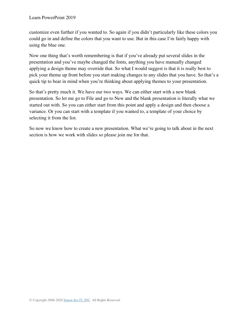customize even further if you wanted to. So again if you didn't particularly like these colors you could go in and define the colors that you want to use. But in this case I'm fairly happy with using the blue one.

Now one thing that's worth remembering is that if you've already put several slides in the presentation and you've maybe changed the fonts, anything you have manually changed applying a design theme may override that. So what I would suggest is that it is really best to pick your theme up front before you start making changes to any slides that you have. So that's a quick tip to bear in mind when you're thinking about applying themes to your presentation.

So that's pretty much it. We have our two ways. We can either start with a new blank presentation. So let me go to File and go to New and the blank presentation is literally what we started out with. So you can either start from this point and apply a design and then choose a variance. Or you can start with a template if you wanted to, a template of your choice by selecting it from the list.

So now we know how to create a new presentation. What we're going to talk about in the next section is how we work with slides so please join me for that.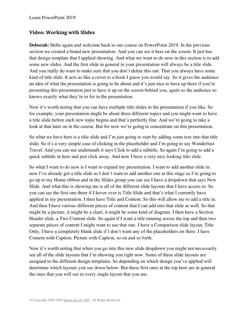#### **Video: Working with Slides**

**Deborah:** Hello again and welcome back to our course on PowerPoint 2019. In the previous section we created a brand new presentation. And you can see it here on the screen. It just has that design template that I applied showing. And what we want to do now in this section is to add some new slides. And the first slide in general in your presentation will always be a title slide. And you really do want to make sure that you don't delete this out. That you always have some kind of title slide. It acts as like a cover to a book I guess you would say. So it gives the audience an idea of what the presentation is going to be about and it's just nice to have up there if you're presenting this presentation just to have it up on the screen behind you, again so the audience so knows exactly what they're in for in the presentation.

Now it's worth noting that you can have multiple title slides in the presentation if you like. So for example, your presentation might be about three different topics and you might want to have a title slide before each new topic begins and that's perfectly fine. And we're going to take a look at that later on in the course. But for now we're going to concentrate on this presentation.

So what we have here is a title slide and I'm just going to start by adding some text into that title slide. So it's a very simple case of clicking in the placeholder and I'm going to say Wanderlust Travel. And you can see underneath it says Click to add a subtitle. So again I'm going to add a quick subtitle in here and just click away. And now I have a very nice looking title slide.

So what I want to do now is I want to expand my presentation. I want to add another slide in. now I've already got a title slide so I don't want to add another one at this stage so I'm going to go up to my Home ribbon and in the Slides group you can see I have a dropdown that says New Slide. And what this is showing me is all of the different slide layouts that I have access to. So you can see the first one there if I hover over is Title Slide and that's what I currently have applied in my presentation. I then have Title and Content. So this will allow me to add a title in. And then I have various different pieces of content that I can add into that slide as well. So that might be a picture, it might be a chart, it might be some kind of diagram. I then have a Section Header slide, a Two Content slide. So again if I want a title running across the top and then two separate pieces of content I might want to use that one. I have a Comparison slide layout, Title Only, I have a completely blank slide if I don't want any of the placeholders on there. I have Content with Caption, Picture with Caption, so on and so forth.

Now it's worth noting that when you go into this new slide dropdown you might not necessarily see all of the slide layouts that I'm showing you right now. Some of these slide layouts are assigned to the different design templates. So depending on which design you've applied will determine which layouts you see down below. But these first ones at the top here are in general the ones that you will see in every single layout that you use.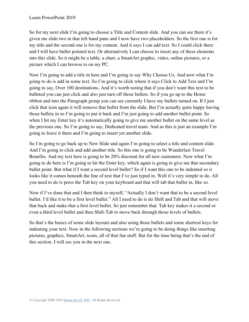So for my next slide I'm going to choose a Title and Content slide. And you can see there it's given me slide two in that left hand pane and I now have two placeholders. So the first one is for my title and the second one is for my content. And it says I can add text. So I could click there and I will have bullet pointed text. Or alternatively I can choose to insert any of these elements into this slide. So it might be a table, a chart, a SmartArt graphic, video, online pictures, or a picture which I can browse to on my PC.

Now I'm going to add a title in here and I'm going to say Why Choose Us. And now what I'm going to do is add in some text. So I'm going to click where it says Click to Add Text and I'm going to say, Over 100 destinations. And it's worth noting that if you don't want this text to be bulleted you can just click and also just turn off those bullets. So if you go up to the Home ribbon and into the Paragraph group you can see currently I have my bullets turned on. If I just click that icon again it will remove that bullet from the slide. But I'm actually quite happy having those bullets in so I'm going to put it back and I'm just going to add another bullet point. So when I hit my Enter key it's automatically going to give me another bullet on the same level as the previous one. So I'm going to say, Dedicated travel team. And as this is just an example I'm going to leave it there and I'm going to insert yet another slide.

So I'm going to go back up to New Slide and again I'm going to select a title and content slide. And I'm going to click and add another title. So this one is going to be Wanderlust Travel Benefits. And my text here is going to be 20% discount for all new customers. Now what I'm going to do here is I'm going to hit the Enter key, which again is going to give me that secondary bullet point. But what if I want a second level bullet? So if I want this one to be indented so it looks like it comes beneath the line of text that I've just typed in. Well it's very simple to do. All you need to do is press the Tab key on your keyboard and that will tab that bullet in, like so.

Now if I've done that and I then think to myself, "Actually I don't want that to be a second level bullet. I'd like it to be a first level bullet." All I need to do is do Shift and Tab and that will move that back and make that a first level bullet. So just remember that. Tab key makes it a second or even a third level bullet and then Shift-Tab to move back through those levels of bullets.

So that's the basics of some slide layouts and also using those bullets and some shortcut keys for indenting your text. Now in the following sections we're going to be doing things like inserting pictures, graphics, SmartArt, icons, all of that fun stuff. But for the time being that's the end of this section. I will see you in the next one.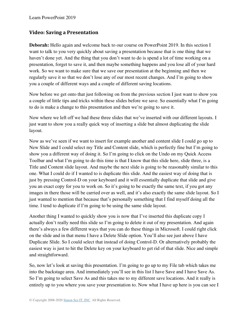#### **Video: Saving a Presentation**

**Deborah:** Hello again and welcome back to our course on PowerPoint 2019. In this section I want to talk to you very quickly about saving a presentation because that is one thing that we haven't done yet. And the thing that you don't want to do is spend a lot of time working on a presentation, forget to save it, and then maybe something happens and you lose all of your hard work. So we want to make sure that we save our presentation at the beginning and then we regularly save it so that we don't lose any of our most recent changes. And I'm going to show you a couple of different ways and a couple of different saving locations.

Now before we get onto that just following on from the previous section I just want to show you a couple of little tips and tricks within these slides before we save. So essentially what I'm going to do is make a change to this presentation and then we're going to save it.

Now where we left off we had these three slides that we've inserted with our different layouts. I just want to show you a really quick way of inserting a slide but almost duplicating the slide layout.

Now as we've seen if we want to insert for example another and content slide I could go up to New Slide and I could select my Title and Content slide, which is perfectly fine but I'm going to show you a different way of doing it. So I'm going to click on the Undo on my Quick Access Toolbar and what I'm going to do this time is that I know that this slide here, slide three, is a Title and Content slide layout. And maybe the next slide is going to be reasonably similar to this one. What I could do if I wanted to is duplicate this slide. And the easiest way of doing that is just by pressing Control-D on your keyboard and it will essentially duplicate that slide and give you an exact copy for you to work on. So it's going to be exactly the same text, if you got any images in there those will be carried over as well, and it's also exactly the same slide layout. So I just wanted to mention that because that's personally something that I find myself doing all the time. I tend to duplicate if I'm going to be using the same slide layout.

Another thing I wanted to quickly show you is now that I've inserted this duplicate copy I actually don't really need this slide so I'm going to delete it out of my presentation. And again there's always a few different ways that you can do these things in Microsoft. I could right click on the slide and in that menu I have a Delete Slide option. You'll also see just above I have Duplicate Slide. So I could select that instead of doing Control-D. Or alternatively probably the easiest way is just to hit the Delete key on your keyboard to get rid of that slide. Nice and simple and straightforward.

So, now let's look at saving this presentation. I'm going to go up to my File tab which takes me into the backstage area. And immediately you'll see in this list I have Save and I have Save As. So I'm going to select Save As and this takes me to my different save locations. And it really is entirely up to you where you save your presentation to. Now what I have up here is you can see I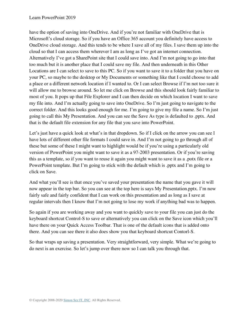have the option of saving into OneDrive. And if you're not familiar with OneDrive that is Microsoft's cloud storage. So if you have an Office 365 account you definitely have access to OneDrive cloud storage. And this tends to be where I save all of my files. I save them up into the cloud so that I can access them wherever I am as long as I've got an internet connection. Alternatively I've got a SharePoint site that I could save into. And I'm not going to go into that too much but it is another place that I could save my file. And then underneath in this Other Locations are I can select to save to this PC. So if you want to save it to a folder that you have on your PC, so maybe to the desktop or My Documents or something like that I could choose to add a place or a different network location if I wanted to. Or I can select Browse if I'm not too sure it will allow me to browse around. So let me click on Browse and this should look fairly familiar to most of you. It pops up that File Explorer and I can then decide on which location I want to save my file into. And I'm actually going to save into OneDrive. So I'm just going to navigate to the correct folder. And this looks good enough for me. I'm going to give my file a name. So I'm just going to call this My Presentation. And you can see the Save As type is defaulted to .pptx. And that is the default file extension for any file that you save into PowerPoint.

Let's just have a quick look at what's in that dropdown. So if I click on the arrow you can see I have lots of different other file formats I could save in. And I'm not going to go through all of these but some of these I might want to highlight would be if you're using a particularly old version of PowerPoint you might want to save it as a 97-2003 presentation. Or if you're saving this as a template, so if you want to reuse it again you might want to save it as a .potx file or a PowerPoint template. But I'm going to stick with the default which is .pptx and I'm going to click on Save.

And what you'll see is that once you've saved your presentation the name that you gave it will now appear in the top bar. So you can see at the top here is says My Presentation.pptx. I'm now fairly safe and fairly confident that I can work on this presentation and as long as I save at regular intervals then I know that I'm not going to lose my work if anything bad was to happen.

So again if you are working away and you want to quickly save to your file you can just do the keyboard shortcut Control-S to save or alternatively you can click on the Save icon which you'll have there on your Quick Access Toolbar. That is one of the default icons that is added onto there. And you can see there it also does show you that keyboard shortcut Contorl-S.

So that wraps up saving a presentation. Very straightforward, very simple. What we're going to do next is an exercise. So let's jump over there now so I can talk you through that.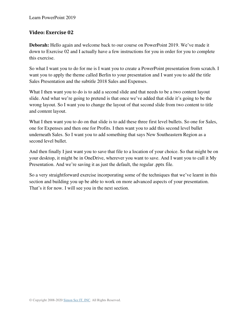#### **Video: Exercise 02**

**Deborah:** Hello again and welcome back to our course on PowerPoint 2019. We've made it down to Exercise 02 and I actually have a few instructions for you in order for you to complete this exercise.

So what I want you to do for me is I want you to create a PowerPoint presentation from scratch. I want you to apply the theme called Berlin to your presentation and I want you to add the title Sales Presentation and the subtitle 2018 Sales and Expenses.

What I then want you to do is to add a second slide and that needs to be a two content layout slide. And what we're going to pretend is that once we've added that slide it's going to be the wrong layout. So I want you to change the layout of that second slide from two content to title and content layout.

What I then want you to do on that slide is to add these three first level bullets. So one for Sales, one for Expenses and then one for Profits. I then want you to add this second level bullet underneath Sales. So I want you to add something that says New Southeastern Region as a second level bullet.

And then finally I just want you to save that file to a location of your choice. So that might be on your desktop, it might be in OneDrive, wherever you want to save. And I want you to call it My Presentation. And we're saving it as just the default, the regular .pptx file.

So a very straightforward exercise incorporating some of the techniques that we've learnt in this section and building you up be able to work on more advanced aspects of your presentation. That's it for now. I will see you in the next section.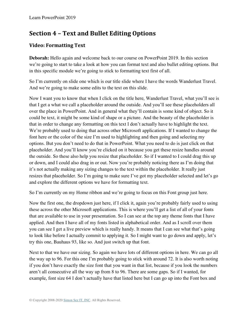## **Section 4 – Text and Bullet Editing Options**

### **Video: Formatting Text**

**Deborah:** Hello again and welcome back to our course on PowerPoint 2019. In this section we're going to start to take a look at how you can format text and also bullet editing options. But in this specific module we're going to stick to formatting text first of all.

So I'm currently on slide one which is our title slide where I have the words Wanderlust Travel. And we're going to make some edits to the text on this slide.

Now I want you to know that when I click on the title here, Wanderlust Travel, what you'll see is that I get a what we call a placeholder around the outside. And you'll see these placeholders all over the place in PowerPoint. And in general what they'll contain is some kind of object. So it could be text, it might be some kind of shape or a picture. And the beauty of the placeholder is that in order to change any formatting on this text I don't actually have to highlight the text. We're probably used to doing that across other Microsoft applications. If I wanted to change the font here or the color of the size I'm used to highlighting and then going and selecting my options. But you don't need to do that in PowerPoint. What you need to do is just click on that placeholder. And you'll know you're clicked on it because you get these resize handles around the outside. So these also help you resize that placeholder. So if I wanted to I could drag this up or down, and I could also drag in or out. Now you're probably noticing there as I'm doing that it's not actually making any sizing changes to the text within the placeholder. It really just resizes that placeholder. So I'm going to make sure I've got my placeholder selected and let's go and explore the different options we have for formatting text.

So I'm currently on my Home ribbon and we're going to focus on this Font group just here.

Now the first one, the dropdown just here, if I click it, again you're probably fairly used to using these across the other Microsoft applications. This is where you'll get a list of all of your fonts that are available to use in your presentation. So I can see at the top any theme fonts that I have applied. And then I have all of my fonts listed in alphabetical order. And as I scroll over them you can see I get a live preview which is really handy. It means that I can see what that's going to look like before I actually commit to applying it. So I might want to go down and apply, let's try this one, Bauhaus 93, like so. And just switch up that font.

Next to that we have our sizing. So again we have lots of different options in here. We can go all the way up to 96. For this one I'm probably going to stick with around 72. It is also worth noting if you don't have exactly the size font that you want in that list, because if you look the numbers aren't all consecutive all the way up from 8 to 96. There are some gaps. So if I wanted, for example, font size 64 I don't actually have that listed here but I can go up into the Font box and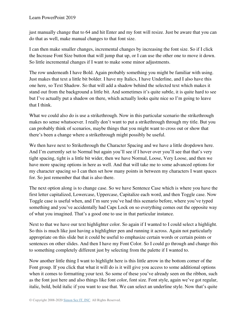just manually change that to 64 and hit Enter and my font will resize. Just be aware that you can do that as well, make manual changes to that font size.

I can then make smaller changes, incremental changes by increasing the font size. So if I click the Increase Font Size button that will jump that up, or I can use the other one to move it down. So little incremental changes if I want to make some minor adjustments.

The row underneath I have Bold. Again probably something you might be familiar with using. Just makes that text a little bit bolder. I have my Italics, I have Underline, and I also have this one here, so Text Shadow. So that will add a shadow behind the selected text which makes it stand out from the background a little bit. And sometimes it's quite subtle, it is quite hard to see but I've actually put a shadow on there, which actually looks quite nice so I'm going to leave that I think.

What we could also do is use a strikethrough. Now in this particular scenario the strikethrough makes no sense whatsoever. I really don't want to put a strikethrough through my title. But you can probably think of scenarios, maybe things that you might want to cross out or show that there's been a change where a strikethrough might possibly be useful.

We then have next to Strikethrough the Character Spacing and we have a little dropdown here. And I'm currently set to Normal but again you'll see if I hover over you'll see that that's very tight spacing, tight is a little bit wider, then we have Normal, Loose, Very Loose, and then we have more spacing options in here as well. And that will take me to some advanced options for my character spacing so I can then set how many points in between my characters I want spaces for. So just remember that that is also there.

The next option along is to change case. So we have Sentence Case which is where you have the first letter capitalized, Lowercase, Uppercase, Capitalize each word, and then Toggle case. Now Toggle case is useful when, and I'm sure you've had this scenario before, where you've typed something and you've accidentally had Caps Lock on so everything comes out the opposite way of what you imagined. That's a good one to use in that particular instance.

Next to that we have our text highlighter color. So again if I wanted to I could select a highlight. So this is much like just having a highlighter pen and running it across. Again not particularly appropriate on this slide but it could be useful to emphasize certain words or certain points or sentences on other slides. And then I have my Font Color. So I could go through and change this to something completely different just by selecting from the palette if I wanted to.

Now another little thing I want to highlight here is this little arrow in the bottom corner of the Font group. If you click that what it will do is it will give you access to some additional options when it comes to formatting your text. So some of these you've already seen on the ribbon, such as the font just here and also things like font color, font size. Font style, again we've got regular, italic, bold, bold italic if you want to use that. We can select an underline style. Now that's quite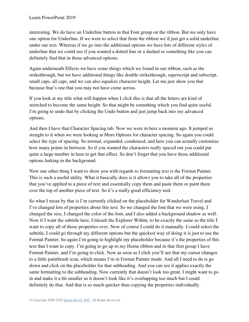interesting. We do have an Underline button in that Font group on the ribbon. But we only have one option for Underline. If we were to select that from the ribbon we'd just get a solid underline under our text. Whereas if we go into the additional options we have lots of different styles of underline that we could use if you wanted a dotted line or a dashed or something like you can definitely find that in those advanced options.

Again underneath Effects we have some things which we found in our ribbon, such as the strikethrough, but we have additional things like double strikethrough, superscript and subscript, small caps, all caps, and we can also equalize character height. Let me just show you that because that's one that you may not have come across.

If you look at my title what will happen when I click this is that all the letters are kind of stretched to become the same height. So that might be something which you find quite useful. I'm going to undo that by clicking the Undo button and just jump back into my advanced options.

And then I have that Character Spacing tab. Now we were in here a moment ago. It jumped us straight to it when we were looking at More Options for character spacing. So again you could select the type of spacing. So normal, expanded, condensed, and here you can actually customize how many points in between. So if you wanted the characters really spaced out you could put quite a large number in here to get that effect. So don't forget that you have those additional options lurking in the background.

Now one other thing I want to show you with regards to formatting text is the Format Painter. This is such a useful utility. What it basically does is it allows you to take all of the properties that you've applied to a piece of text and essentially copy them and paste them or paint them over the top of another piece of text. So it's a really good efficiency tool.

So what I mean by that is I'm currently clicked on the placeholder for Wanderlust Travel and I've changed lots of properties about this text. So we changed the font that we were using, I changed the size, I changed the color of the font, and I also added a background shadow as well. Now if I want the subtitle here, Unleash the Explorer Within, to be exactly the same as the title I want to copy all of those properties over. Now of course I could do it manually. I could select the subtitle, I could go through my different options but the quickest way of doing it is just to use the Format Painter. So again I'm going to highlight my placeholder because it's the properties of this text that I want to copy. I'm going to go up to my Home ribbon and in that first group I have Format Painter, and I'm going to click. Now as soon as I click you'll see that my cursor changes to a little paintbrush icon, which means I'm in Format Painter mode. And all I need to do is go down and click on the placeholder for that subheading. And you can see it applies exactly the same formatting to the subheading. Now currently that doesn't look too great. I might want to go in and make it a bit smaller so it doesn't look like it's overlapping too much but I could definitely do that. And that is so much quicker than copying the properties individually.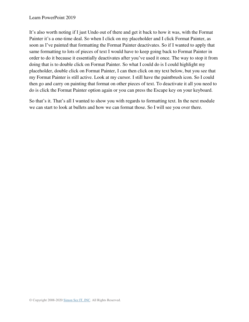#### Learn PowerPoint 2019

It's also worth noting if I just Undo out of there and get it back to how it was, with the Format Painter it's a one-time deal. So when I click on my placeholder and I click Format Painter, as soon as I've painted that formatting the Format Painter deactivates. So if I wanted to apply that same formatting to lots of pieces of text I would have to keep going back to Format Painter in order to do it because it essentially deactivates after you've used it once. The way to stop it from doing that is to double click on Format Painter. So what I could do is I could highlight my placeholder, double click on Format Painter, I can then click on my text below, but you see that my Format Painter is still active. Look at my cursor. I still have the paintbrush icon. So I could then go and carry on painting that format on other pieces of text. To deactivate it all you need to do is click the Format Painter option again or you can press the Escape key on your keyboard.

So that's it. That's all I wanted to show you with regards to formatting text. In the next module we can start to look at bullets and how we can format those. So I will see you over there.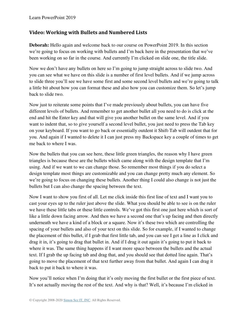#### **Video: Working with Bullets and Numbered Lists**

**Deborah:** Hello again and welcome back to our course on PowerPoint 2019. In this section we're going to focus on working with bullets and I'm back here in the presentation that we've been working on so far in the course. And currently I'm clicked on slide one, the title slide.

Now we don't have any bullets on here so I'm going to jump straight across to slide two. And you can see what we have on this slide is a number of first level bullets. And if we jump across to slide three you'll see we have some first and some second level bullets and we're going to talk a little bit about how you can format these and also how you can customize them. So let's jump back to slide two.

Now just to reiterate some points that I've made previously about bullets, you can have five different levels of bullets. And remember to get another bullet all you need to do is click at the end and hit the Enter key and that will give you another bullet on the same level. And if you want to indent that, so to give yourself a second level bullet, you just need to press the Tab key on your keyboard. If you want to go back or essentially outdent it Shift-Tab will outdent that for you. And again if I wanted to delete it I can just press my Backspace key a couple of times to get me back to where I was.

Now the bullets that you can see here, these little green triangles, the reason why I have green triangles is because these are the bullets which came along with the design template that I'm using. And if we want to we can change those. So remember most things if you do select a design template most things are customizable and you can change pretty much any element. So we're going to focus on changing these bullets. Another thing I could also change is not just the bullets but I can also change the spacing between the text.

Now I want to show you first of all. Let me click inside this first line of text and I want you to cast your eyes up to the ruler just above the slide. What you should be able to see is on the ruler we have these little tabs or these little controls. We've got this first one just here which is sort of like a little down facing arrow. And then we have a second one that's up facing and then directly underneath we have a kind of a block or a square. Now it's these two which are controlling the spacing of your bullets and also of your text on this slide. So for example, if I wanted to change the placement of this bullet, if I grab that first little tab, and you can see I get a line as I click and drag it in, it's going to drag that bullet in. And if I drag it out again it's going to put it back to where it was. The same thing happens if I want more space between the bullets and the actual text. If I grab the up facing tab and drag that, and you should see that dotted line again. That's going to move the placement of that text further away from that bullet. And again I can drag it back to put it back to where it was.

Now you'll notice when I'm doing that it's only moving the first bullet or the first piece of text. It's not actually moving the rest of the text. And why is that? Well, it's because I'm clicked in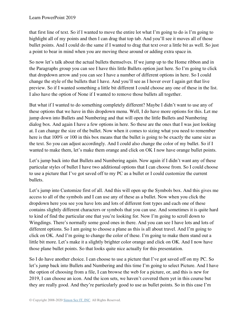that first line of text. So if I wanted to move the entire lot what I'm going to do is I'm going to highlight all of my points and then I can drag that top tab. And you'll see it moves all of those bullet points. And I could do the same if I wanted to drag that text over a little bit as well. So just a point to bear in mind when you are moving these around or adding extra space in.

So now let's talk about the actual bullets themselves. If we jump up to the Home ribbon and in the Paragraphs group you can see I have this little Bullets option just here. So I'm going to click that dropdown arrow and you can see I have a number of different options in here. So I could change the style of the bullets that I have. And you'll see as I hover over I again get that live preview. So if I wanted something a little bit different I could choose any one of these in the list. I also have the option of None if I wanted to remove those bullets all together.

But what if I wanted to do something completely different? Maybe I didn't want to use any of these options that we have in this dropdown menu. Well, I do have more options for this. Let me jump down into Bullets and Numbering and that will open the little Bullets and Numbering dialog box. And again I have a few options in here. So these are the ones that I was just looking at. I can change the size of the bullet. Now when it comes to sizing what you need to remember here is that 100% or 100 in this box means that the bullet is going to be exactly the same size as the text. So you can adjust accordingly. And I could also change the color of my bullet. So if I wanted to make them, let's make them orange and click on OK I now have orange bullet points.

Let's jump back into that Bullets and Numbering again. Now again if I didn't want any of these particular styles of bullet I have two additional options that I can choose from. So I could choose to use a picture that I've got saved off to my PC as a bullet or I could customize the current bullets.

Let's jump into Customize first of all. And this will open up the Symbols box. And this gives me access to all of the symbols and I can use any of these as a bullet. Now when you click the dropdown here you see you have lots and lots of different font types and each one of these contains slightly different characters or symbols that you can use. And sometimes it is quite hard to kind of find the particular one that you're looking for. Now I'm going to scroll down to Wingdings. There's normally some good ones in there. And you can see I have lots and lots of different options. So I am going to choose a plane as this is all about travel. And I'm going to click on OK. And I'm going to change the color of these. I'm going to make them stand out a little bit more. Let's make it a slightly brighter color orange and click on OK. And I now have those plane bullet points. So that looks quite nice actually for this presentation.

So I do have another choice. I can choose to use a picture that I've got saved off on my PC. So let's jump back into Bullets and Numbering and this time I'm going to select Picture. And I have the option of choosing from a file, I can browse the web for a picture, or, and this is new for 2019, I can choose an icon. And the icon sets, we haven't covered them yet in this course but they are really good. And they're particularly good to use as bullet points. So in this case I'm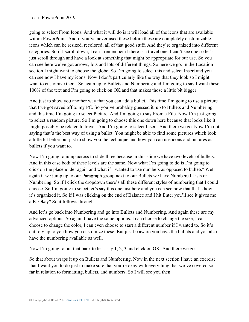going to select From Icons. And what it will do is it will load all of the icons that are available within PowerPoint. And if you've never used these before these are completely customizable icons which can be resized, recolored, all of that good stuff. And they're organized into different categories. So if I scroll down, I can't remember if there is a travel one. I can't see one so let's just scroll through and have a look at something that might be appropriate for our use. So you can see here we've got arrows, lots and lots of different things. So here we go. In the Location section I might want to choose the globe. So I'm going to select this and select Insert and you can see now I have my icons. Now I don't particularly like the way that they look so I might want to customize them. So again up to Bullets and Numbering and I'm going to say I want these 100% of the text and I'm going to click on OK and that makes those a little bit bigger.

And just to show you another way that you can add a bullet. This time I'm going to use a picture that I've got saved off to my PC. So you've probably guessed it, up to Bullets and Numbering and this time I'm going to select Picture. And I'm going to say From a File. Now I'm just going to select a random picture. So I'm going to choose this one down here because that looks like it might possibly be related to travel. And I'm going to select Insert. And there we go. Now I'm not saying that's the best way of using a bullet. You might be able to find some pictures which look a little bit better but just to show you the technique and how you can use icons and pictures as bullets if you want to.

Now I'm going to jump across to slide three because in this slide we have two levels of bullets. And in this case both of these levels are the same. Now what I'm going to do is I'm going to click on the placeholder again and what if I wanted to use numbers as opposed to bullets? Well again if we jump up to our Paragraph group next to our Bullets we have Numbered Lists or Numbering. So if I click the dropdown there's all these different styles of numbering that I could choose. So I'm going to select let's say this one just here and you can see now that that's how it's organized it. So if I was clicking on the end of Balance and I hit Enter you'll see it gives me a B. Okay? So it follows through.

And let's go back into Numbering and go into Bullets and Numbering. And again these are my advanced options. So again I have the same options. I can choose to change the size, I can choose to change the color, I can even choose to start a different number if I wanted to. So it's entirely up to you how you customize these. But just be aware you have the bullets and you also have the numbering available as well.

Now I'm going to put that back to let's say 1, 2, 3 and click on OK. And there we go.

So that about wraps it up on Bullets and Numbering. Now in the next section I have an exercise that I want you to do just to make sure that you're okay with everything that we've covered so far in relation to formatting, bullets, and numbers. So I will see you then.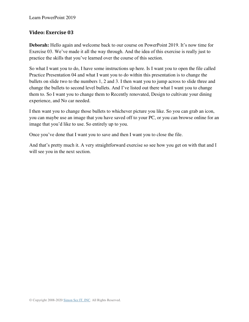#### **Video: Exercise 03**

**Deborah:** Hello again and welcome back to our course on PowerPoint 2019. It's now time for Exercise 03. We've made it all the way through. And the idea of this exercise is really just to practice the skills that you've learned over the course of this section.

So what I want you to do, I have some instructions up here. Is I want you to open the file called Practice Presentation 04 and what I want you to do within this presentation is to change the bullets on slide two to the numbers 1, 2 and 3. I then want you to jump across to slide three and change the bullets to second level bullets. And I've listed out there what I want you to change them to. So I want you to change them to Recently renovated, Design to cultivate your dining experience, and No car needed.

I then want you to change those bullets to whichever picture you like. So you can grab an icon, you can maybe use an image that you have saved off to your PC, or you can browse online for an image that you'd like to use. So entirely up to you.

Once you've done that I want you to save and then I want you to close the file.

And that's pretty much it. A very straightforward exercise so see how you get on with that and I will see you in the next section.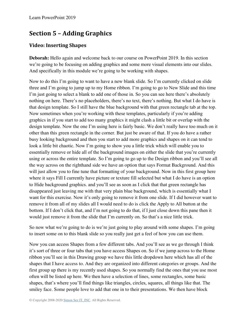## **Section 5 – Adding Graphics**

#### **Video: Inserting Shapes**

**Deborah:** Hello again and welcome back to our course on PowerPoint 2019. In this section we're going to be focusing on adding graphics and some more visual elements into our slides. And specifically in this module we're going to be working with shapes.

Now to do this I'm going to want to have a new blank slide. So I'm currently clicked on slide three and I'm going to jump up to my Home ribbon. I'm going to go to New Slide and this time I'm just going to select a blank to add one of those in. So you can see here there's absolutely nothing on here. There's no placeholders, there's no text, there's nothing. But what I do have is that design template. So I still have the blue background with that green rectangle tab at the top. Now sometimes when you're working with these templates, particularly if you're adding graphics in if you start to add too many graphics it might clash a little bit or overlap with the design template. Now the one I'm using here is fairly basic. We don't really have too much on it other than this green rectangle in the corner. But just be aware of that. If you do have a rather busy looking background and then you start to add more graphics and shapes on it can tend to look a little bit chaotic. Now I'm going to show you a little trick which will enable you to essentially remove or hide all of the background images on either the slide that you're currently using or across the entire template. So I'm going to go up to the Design ribbon and you'll see all the way across on the righthand side we have an option that says Format Background. And this will just allow you to fine tune that formatting of your background. Now in this first group here where it says Fill I currently have picture or texture fill selected but what I do have is an option to Hide background graphics. and you'll see as soon as I click that that green rectangle has disappeared just leaving me with that very plain blue background, which is essentially what I want for this exercise. Now it's only going to remove it from one slide. If I did however want to remove it from all of my slides all I would need to do is click the Apply to All button at the bottom. If I don't click that, and I'm not going to do that, if I just close down this pane then it would just remove it from the slide that I'm currently on. So that's a nice little trick.

So now what we're going to do is we're just going to play around with some shapes. I'm going to insert some on to this blank slide so you really just get a feel of how you can use them.

Now you can access Shapes from a few different tabs. And you'll see as we go through I think it's sort of three or four tabs that you have access Shapes on. So if we jump across to the Home ribbon you'll see in this Drawing group we have this little dropdown here which has all of the shapes that I have access to. And they are organized into different categories or groups. And the first group up there is my recently used shapes. So you normally find the ones that you use most often will be listed up here. We then have a selection of lines, some rectangles, some basic shapes, that's where you'll find things like triangles, circles, squares, all things like that. The smiley face. Some people love to add that one in to their presentations. We then have block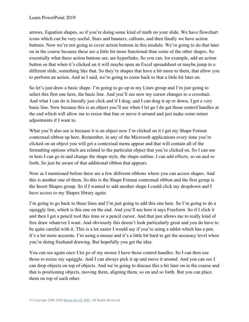arrows. Equation shapes, so if you're doing some kind of math on your slide. We have flowchart icons which can be very useful. Stars and banners, callouts, and then finally we have action buttons. Now we're not going to cover action buttons in this module. We're going to do that later on in the course because these are a little bit more functional than some of the other shapes. So essentially what these action buttons are, are hyperlinks. So you can, for example, add an action button so that when it's clicked on it will maybe open an Excel spreadsheet or maybe jump to a different slide, something like that. So they're shapes that have a bit more to them, that allow you to perform an action. And as I said, we're going to come back to that a little bit later on.

So let's just draw a basic shape. I'm going to go up to my Lines group and I'm just going to select this first one here, the basic line. And you'll see now my cursor changes to a crosshair. And what I can do is literally just click and if I drag, and I can drag it up or down, I get a very basic line. Now because this is an object you'll see when I let go I do get those control handles at the end which will allow me to resize that line or move it around and just make some minor adjustments if I want to.

What you'll also see is because it is an object now I'm clicked on it I get my Shape Format contextual ribbon up here. Remember, in any of the Microsoft applications every time you're clicked on an object you will get a contextual menu appear and that will contain all of the formatting options which are related to the particular object that you're clicked on. So I can see in here I can go in and change the shape style, the shape outline, I can add effects, so on and so forth. So just be aware of that additional ribbon that appears.

Now as I mentioned before there are a few different ribbons where you can access shapes. And this is another one of them. So this is the Shape Format contextual ribbon and the first group is the Insert Shapes group. So if I wanted to add another shape I could click my dropdown and I have access to my Shapes library again.

I'm going to go back to these lines and I'm just going to add this one here. So I'm going to do a squiggly line, which is this one on the end. And you'll see here it says Freeform. So if I click it and then I get a pencil tool this time or a pencil cursor. And that just allows me to really kind of free draw whatever I want. And obviously this doesn't look particularly great and you do have to be quite careful with it. This is a lot easier I would say if you're using a tablet which has a pen. It's a lot more accurate. I'm using a mouse and it's a little bit hard to get the accuracy level when you're doing freehand drawing. But hopefully you get the idea.

You can see again once I let go of my mouse I have those control handles. So I can then use those to resize my squiggle. And I can always pick it up and move it around. And you can see I can drop objects on top of objects. And we're going to discuss this a bit later on in the course and that is positioning objects, moving them, aligning them, so on and so forth. But you can place them on top of each other.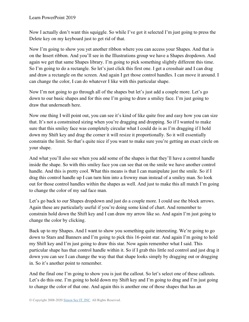Now I actually don't want this squiggle. So while I've got it selected I'm just going to press the Delete key on my keyboard just to get rid of that.

Now I'm going to show you yet another ribbon where you can access your Shapes. And that is on the Insert ribbon. And you'll see in the Illustrations group we have a Shapes dropdown. And again we get that same Shapes library. I'm going to pick something slightly different this time. So I'm going to do a rectangle. So let's just click this first one. I get a crosshair and I can drag and draw a rectangle on the screen. And again I get those control handles. I can move it around. I can change the color, I can do whatever I like with this particular shape.

Now I'm not going to go through all of the shapes but let's just add a couple more. Let's go down to our basic shapes and for this one I'm going to draw a smiley face. I'm just going to draw that underneath here.

Now one thing I will point out, you can see it's kind of like quite free and easy how you can size that. It's not a constrained sizing when you're dragging and dropping. So if I wanted to make sure that this smiley face was completely circular what I could do is as I'm dragging if I hold down my Shift key and drag the corner it will resize it proportionally. So it will essentially constrain the limit. So that's quite nice if you want to make sure you're getting an exact circle on your shape.

And what you'll also see when you add some of the shapes is that they'll have a control handle inside the shape. So with this smiley face you can see that on the smile we have another control handle. And this is pretty cool. What this means is that I can manipulate just the smile. So if I drag this control handle up I can turn him into a frowny man instead of a smiley man. So look out for those control handles within the shapes as well. And just to make this all match I'm going to change the color of my sad face man.

Let's go back to our Shapes dropdown and just do a couple more. I could use the block arrows. Again these are particularly useful if you're doing some kind of chart. And remember to constrain hold down the Shift key and I can draw my arrow like so. And again I'm just going to change the color by clicking.

Back up to my Shapes. And I want to show you something quite interesting. We're going to go down to Stars and Banners and I'm going to pick this 16-point star. And again I'm going to hold my Shift key and I'm just going to draw this star. Now again remember what I said. This particular shape has that control handle within it. So if I grab this little red control and just drag it down you can see I can change the way that that shape looks simply by dragging out or dragging in. So it's another point to remember.

And the final one I'm going to show you is just the callout. So let's select one of these callouts. Let's do this one. I'm going to hold down my Shift key and I'm going to drag and I'm just going to change the color of that one. And again this is another one of those shapes that has an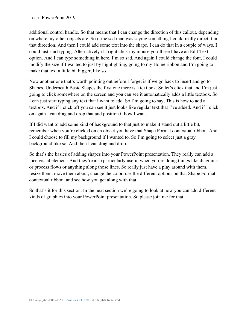additional control handle. So that means that I can change the direction of this callout, depending on where my other objects are. So if the sad man was saying something I could really direct it in that direction. And then I could add some text into the shape. I can do that in a couple of ways. I could just start typing. Alternatively if I right click my mouse you'll see I have an Edit Text option. And I can type something in here. I'm so sad. And again I could change the font, I could modify the size if I wanted to just by highlighting, going to my Home ribbon and I'm going to make that text a little bit bigger, like so.

Now another one that's worth pointing out before I forget is if we go back to Insert and go to Shapes. Underneath Basic Shapes the first one there is a text box. So let's click that and I'm just going to click somewhere on the screen and you can see it automatically adds a little textbox. So I can just start typing any text that I want to add. So I'm going to say, This is how to add a textbox. And if I click off you can see it just looks like regular text that I've added. And if I click on again I can drag and drop that and position it how I want.

If I did want to add some kind of background to that just to make it stand out a little bit, remember when you're clicked on an object you have that Shape Format contextual ribbon. And I could choose to fill my background if I wanted to. So I'm going to select just a gray background like so. And then I can drag and drop.

So that's the basics of adding shapes into your PowerPoint presentation. They really can add a nice visual element. And they're also particularly useful when you're doing things like diagrams or process flows or anything along those lines. So really just have a play around with them, resize them, move them about, change the color, use the different options on that Shape Format contextual ribbon, and see how you get along with that.

So that's it for this section. In the next section we're going to look at how you can add different kinds of graphics into your PowerPoint presentation. So please join me for that.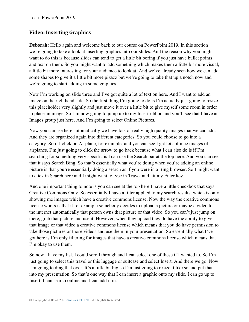# **Video: Inserting Graphics**

**Deborah:** Hello again and welcome back to our course on PowerPoint 2019. In this section we're going to take a look at inserting graphics into our slides. And the reason why you might want to do this is because slides can tend to get a little bit boring if you just have bullet points and text on them. So you might want to add something which makes them a little bit more visual, a little bit more interesting for your audience to look at. And we've already seen how we can add some shapes to give it a little bit more pizazz but we're going to take that up a notch now and we're going to start adding in some graphics.

Now I'm working on slide three and I've got quite a lot of text on here. And I want to add an image on the righthand side. So the first thing I'm going to do is I'm actually just going to resize this placeholder very slightly and just move it over a little bit to give myself some room in order to place an image. So I'm now going to jump up to my Insert ribbon and you'll see that I have an Images group just here. And I'm going to select Online Pictures.

Now you can see here automatically we have lots of really high quality images that we can add. And they are organized again into different categories. So you could choose to go into a category. So if I click on Airplane, for example, and you can see I get lots of nice images of airplanes. I'm just going to click the arrow to go back because what I can also do is if I'm searching for something very specific is I can use the Search bar at the top here. And you can see that it says Search Bing. So that's essentially what you're doing when you're adding an online picture is that you're essentially doing a search as if you were in a Bing browser. So I might want to click in Search here and I might want to type in Travel and hit my Enter key.

And one important thing to note is you can see at the top here I have a little checkbox that says Creative Commons Only. So essentially I have a filter applied to my search results, which is only showing me images which have a creative commons license. Now the way the creative commons license works is that if for example somebody decides to upload a picture or maybe a video to the internet automatically that person owns that picture or that video. So you can't just jump on there, grab that picture and use it. However, when they upload they do have the ability to give that image or that video a creative commons license which means that you do have permission to take those pictures or those videos and use them in your presentation. So essentially what I've got here is I'm only filtering for images that have a creative commons license which means that I'm okay to use them.

So now I have my list. I could scroll through and I can select one of these if I wanted to. So I'm just going to select this travel or this luggage or suitcase and select Insert. And there we go. Now I'm going to drag that over. It's a little bit big so I'm just going to resize it like so and put that into my presentation. So that's one way that I can insert a graphic onto my slide. I can go up to Insert, I can search online and I can add it in.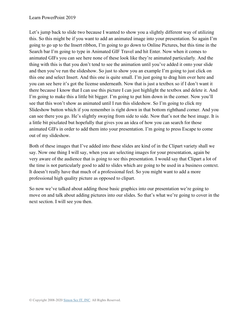Let's jump back to slide two because I wanted to show you a slightly different way of utilizing this. So this might be if you want to add an animated image into your presentation. So again I'm going to go up to the Insert ribbon, I'm going to go down to Online Pictures, but this time in the Search bar I'm going to type in Animated GIF Travel and hit Enter. Now when it comes to animated GIFs you can see here none of these look like they're animated particularly. And the thing with this is that you don't tend to see the animation until you've added it onto your slide and then you've run the slideshow. So just to show you an example I'm going to just click on this one and select Insert. And this one is quite small. I'm just going to drag him over here and you can see here it's got the license underneath. Now that is just a textbox so if I don't want it there because I know that I can use this picture I can just highlight the textbox and delete it. And I'm going to make this a little bit bigger. I'm going to put him down in the corner. Now you'll see that this won't show as animated until I run this slideshow. So I'm going to click my Slideshow button which if you remember is right down in that bottom righthand corner. And you can see there you go. He's slightly swaying from side to side. Now that's not the best image. It is a little bit pixelated but hopefully that gives you an idea of how you can search for those animated GIFs in order to add them into your presentation. I'm going to press Escape to come out of my slideshow.

Both of these images that I've added into these slides are kind of in the Clipart variety shall we say. Now one thing I will say, when you are selecting images for your presentation, again be very aware of the audience that is going to see this presentation. I would say that Clipart a lot of the time is not particularly good to add to slides which are going to be used in a business context. It doesn't really have that much of a professional feel. So you might want to add a more professional high quality picture as opposed to clipart.

So now we've talked about adding those basic graphics into our presentation we're going to move on and talk about adding pictures into our slides. So that's what we're going to cover in the next section. I will see you then.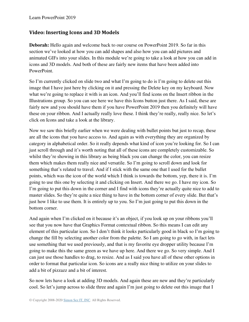#### **Video: Inserting Icons and 3D Models**

**Deborah:** Hello again and welcome back to our course on PowerPoint 2019. So far in this section we've looked at how you can add shapes and also how you can add pictures and animated GIFs into your slides. In this module we're going to take a look at how you can add in icons and 3D models. And both of these are fairly new items that have been added into PowerPoint.

So I'm currently clicked on slide two and what I'm going to do is I'm going to delete out this image that I have just here by clicking on it and pressing the Delete key on my keyboard. Now what we're going to replace it with is an icon. And you'll find icons on the Insert ribbon in the Illustrations group. So you can see here we have this Icons button just there. As I said, these are fairly new and you should have them if you have PowerPoint 2019 then you definitely will have these on your ribbon. And I actually really love these. I think they're really, really nice. So let's click on Icons and take a look at the library.

Now we saw this briefly earlier when we were dealing with bullet points but just to recap, these are all the icons that you have access to. And again as with everything they are organized by category in alphabetical order. So it really depends what kind of icon you're looking for. So I can just scroll through and it's worth noting that all of these icons are completely customizable. So whilst they're showing in this library as being black you can change the color, you can resize them which makes them really nice and versatile. So I'm going to scroll down and look for something that's related to travel. And if I stick with the same one that I used for the bullet points, which was the icon of the world which I think is towards the bottom, yep, there it is. I'm going to use this one by selecting it and clicking on Insert. And there we go. I have my icon. So I'm going to put this down in the corner and I find with icons they're actually quite nice to add to master slides. So they're quite a nice thing to have in the bottom corner of every slide. But that's just how I like to use them. It is entirely up to you. So I'm just going to put this down in the bottom corner.

And again when I'm clicked on it because it's an object, if you look up on your ribbons you'll see that you now have that Graphics Format contextual ribbon. So this means I can edit any element of this particular icon. So I don't think it looks particularly good in black so I'm going to change the fill by selecting another color from the palette. So I am going to go with, in fact lets use something that we used previously, and that is my favorite eye dropper utility because I'm going to make this the same green as we have up here. And there we go. So very simple. And I can just use those handles to drag, to resize. And as I said you have all of these other options in order to format that particular icon. So icons are a really nice thing to utilize on your slides to add a bit of pizzazz and a bit of interest.

So now lets have a look at adding 3D models. And again these are new and they're particularly cool. So let's jump across to slide three and again I'm just going to delete out this image that I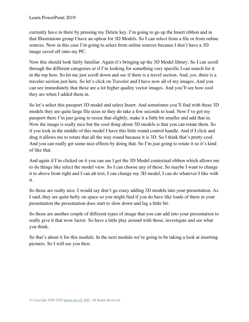currently have in there by pressing my Delete key. I'm going to go up the Insert ribbon and in that Illustrations group I have an option for 3D Models. So I can select from a file or from online sources. Now in this case I'm going to select from online sources because I don't have a 3D image saved off onto my PC.

Now this should look fairly familiar. Again it's bringing up the 3D Model library. So I can scroll through the different categories or if I'm looking for something very specific I can search for it in the top here. So let me just scroll down and see if there is a travel section. And, yes, there is a traveler section just here. So let's click on Traveler and I have now all of my images. And you can see immediately that these are a lot higher quality vector images. And you'll see how cool they are when I added them in.

So let's select this passport 3D model and select Insert. And sometimes you'll find with these 3D models they are quite large file sizes so they do take a few seconds to load. Now I've got my passport there I'm just going to resize that slightly, make it a little bit smaller and add that in. Now the image is really nice but the cool thing about 3D models is that you can rotate them. So if you look in the middle of this model I have this little round control handle. And if I click and drag it allows me to rotate that all the way round because it is 3D. So I think that's pretty cool. And you can really get some nice effects by doing that. So I'm just going to rotate it so it's kind of like that.

And again if I'm clicked on it you can see I get the 3D Model contextual ribbon which allows me to do things like select the model view. So I can choose any of these. So maybe I want to change it to above front right and I can alt text, I can change my 3D model, I can do whatever I like with it.

So those are really nice. I would say don't go crazy adding 3D models into your presentation. As I said, they are quite hefty on space so you might find if you do have like loads of them in your presentation the presentation does start to slow down and lag a little bit.

So those are another couple of different types of image that you can add into your presentation to really give it that wow factor. So have a little play around with those, investigate and see what you think.

So that's about it for this module. In the next module we're going to be taking a look at inserting pictures. So I will see you then.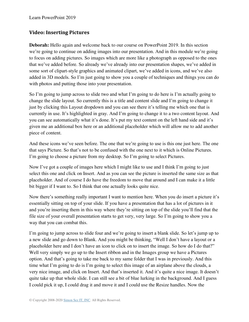## **Video: Inserting Pictures**

**Deborah:** Hello again and welcome back to our course on PowerPoint 2019. In this section we're going to continue on adding images into our presentation. And in this module we're going to focus on adding pictures. So images which are more like a photograph as opposed to the ones that we've added before. So already we've already into our presentation shapes, we've added in some sort of clipart-style graphics and animated clipart, we've added in icons, and we've also added in 3D models. So I'm just going to show you a couple of techniques and things you can do with photos and putting those into your presentation.

So I'm going to jump across to slide two and what I'm going to do here is I'm actually going to change the slide layout. So currently this is a title and content slide and I'm going to change it just by clicking this Layout dropdown and you can see there it's telling me which one that is currently in use. It's highlighted in gray. And I'm going to change it to a two content layout. And you can see automatically what it's done. It's put my text content on the left hand side and it's given me an additional box here or an additional placeholder which will allow me to add another piece of content.

And these icons we've seen before. The one that we're going to use is this one just here. The one that says Picture. So that's not to be confused with the one next to it which is Online Pictures. I'm going to choose a picture from my desktop. So I'm going to select Pictures.

Now I've got a couple of images here which I might like to use and I think I'm going to just select this one and click on Insert. And as you can see the picture is inserted the same size as that placeholder. And of course I do have the freedom to move that around and I can make it a little bit bigger if I want to. So I think that one actually looks quite nice.

Now there's something really important I want to mention here. When you do insert a picture it's essentially sitting on top of your slide. If you have a presentation that has a lot of pictures in it and you're inserting them in this way where they're sitting on top of the slide you'll find that the file size of your overall presentation starts to get very, very large. So I'm going to show you a way that you can combat this.

I'm going to jump across to slide four and we're going to insert a blank slide. So let's jump up to a new slide and go down to Blank. And you might be thinking, "Well I don't have a layout or a placeholder here and I don't have an icon to click on to insert the image. So how do I do that?" Well very simply we go up to the Insert ribbon and in the Images group we have a Pictures option. And that's going to take me back to my same folder that I was in previously. And this time what I'm going to do is I'm going to select this image of an airplane above the clouds, a very nice image, and click on Insert. And that's inserted it. And it's quite a nice image. It doesn't quite take up that whole slide. I can still see a bit of blue lurking in the background. And I guess I could pick it up, I could drag it and move it and I could use the Resize handles. Now the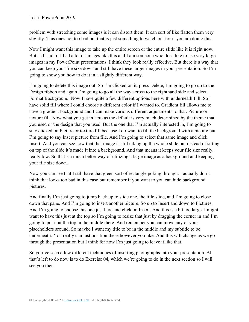problem with stretching some images is it can distort them. It can sort of like flatten them very slightly. This ones not too bad but that is just something to watch out for if you are doing this.

Now I might want this image to take up the entire screen or the entire slide like it is right now. But as I said, if I had a lot of images like this and I am someone who does like to use very large images in my PowerPoint presentations. I think they look really effective. But there is a way that you can keep your file size down and still have these larger images in your presentation. So I'm going to show you how to do it in a slightly different way.

I'm going to delete this image out. So I'm clicked on it, press Delete, I'm going to go up to the Design ribbon and again I'm going to go all the way across to the righthand side and select Format Background. Now I have quite a few different options here with underneath Fill. So I have solid fill where I could choose a different color if I wanted to. Gradient fill allows me to have a gradient background and I can make various different adjustments to that. Picture or texture fill. Now what you get in here as the default is very much determined by the theme that you used or the design that you used. But the one that I'm actually interested in, I'm going to stay clicked on Picture or texture fill because I do want to fill the background with a picture but I'm going to say Insert picture from file. And I'm going to select that same image and click Insert. And you can see now that that image is still taking up the whole slide but instead of sitting on top of the slide it's made it into a background. And that means it keeps your file size really, really low. So that's a much better way of utilizing a large image as a background and keeping your file size down.

Now you can see that I still have that green sort of rectangle poking through. I actually don't think that looks too bad in this case but remember if you want to you can hide background pictures.

And finally I'm just going to jump back up to slide one, the title slide, and I'm going to close down that pane. And I'm going to insert another picture. So up to Insert and down to Pictures. And I'm going to choose this one just here and click on Insert. And this is a bit too large. I might want to have this just at the top so I'm going to resize that just by dragging the corner in and I'm going to put it at the top in the middle there. And remember you can move any of your placeholders around. So maybe I want my title to be in the middle and my subtitle to be underneath. You really can just position these however you like. And this will change as we go through the presentation but I think for now I'm just going to leave it like that.

So you've seen a few different techniques of inserting photographs into your presentation. All that's left to do now is to do Exercise 04, which we're going to do in the next section so I will see you then.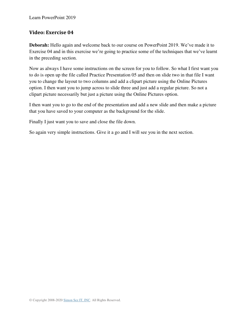#### **Video: Exercise 04**

**Deborah:** Hello again and welcome back to our course on PowerPoint 2019. We've made it to Exercise 04 and in this exercise we're going to practice some of the techniques that we've learnt in the preceding section.

Now as always I have some instructions on the screen for you to follow. So what I first want you to do is open up the file called Practice Presentation 05 and then on slide two in that file I want you to change the layout to two columns and add a clipart picture using the Online Pictures option. I then want you to jump across to slide three and just add a regular picture. So not a clipart picture necessarily but just a picture using the Online Pictures option.

I then want you to go to the end of the presentation and add a new slide and then make a picture that you have saved to your computer as the background for the slide.

Finally I just want you to save and close the file down.

So again very simple instructions. Give it a go and I will see you in the next section.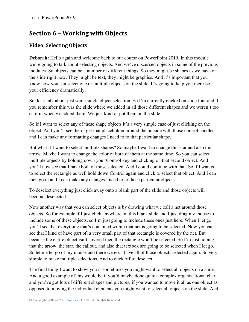# **Section 6 – Working with Objects**

# **Video: Selecting Objects**

**Deborah:** Hello again and welcome back to our course on PowerPoint 2019. In this module we're going to talk about selecting objects. And we've discussed objects in some of the previous modules. So objects can be a number of different things. So they might be shapes as we have on the slide right now. They might be text, they might be graphics. And it's important that you know how you can select one or multiple objects on the slide. It's going to help you increase your efficiency dramatically.

So, let's talk about just some single object selection. So I'm currently clicked on slide four and if you remember this was the slide where we added in all those different shapes and we weren't too careful when we added them. We just kind of put them on the slide.

So if I want to select any of these shape objects it's a very simple case of just clicking on the object. And you'll see then I get that placeholder around the outside with those control handles and I can make any formatting changes I need to to that particular shape.

But what if I want to select multiple shapes? So maybe I want to change this star and also this arrow. Maybe I want to change the color of both of them at the same time. So you can select multiple objects by holding down your Control key and clicking on that second object. And you'll now see that I have both of those selected. And I could continue with that. So if I wanted to select the rectangle as well hold down Control again and click to select that object. And I can then go in and I can make any changes I need to to those particular objects.

To deselect everything just click away onto a blank part of the slide and those objects will become deselected.

Now another way that you can select objects is by drawing what we call a net around those objects. So for example if I just click anywhere on this blank slide and I just drag my mouse to include some of these objects, so I'm just going to include these ones just here. When I let go you'll see that everything that's contained within that net is going to be selected. Now you can see that I kind of have part of, a very small part of that rectangle is covered by the net. But because the entire object isn't covered then the rectangle won't be selected. So I'm just hoping that the arrow, the star, the callout, and also that textbox are going to be selected when I let go. So let me let go of my mouse and there we go. I have all of those objects selected again. So very simple to make multiple selections. And to click off to deselect.

The final thing I want to show you is sometimes you might want to select all objects on a slide. And a good example of this would be if you'd maybe done quite a complex organizational chart and you've got lots of different shapes and pictures, if you wanted to move it all as one object as opposed to moving the individual elements you might want to select all objects on the slide. And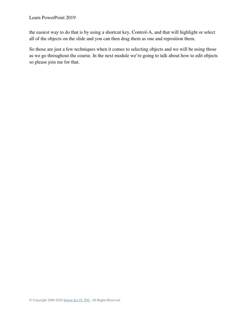the easiest way to do that is by using a shortcut key, Control-A, and that will highlight or select all of the objects on the slide and you can then drag them as one and reposition them.

So those are just a few techniques when it comes to selecting objects and we will be using those as we go throughout the course. In the next module we're going to talk about how to edit objects so please join me for that.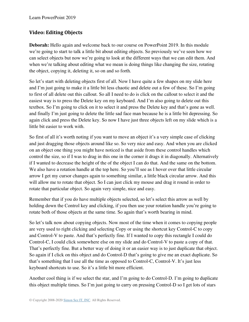# **Video: Editing Objects**

**Deborah:** Hello again and welcome back to our course on PowerPoint 2019. In this module we're going to start to talk a little bit about editing objects. So previously we've seen how we can select objects but now we're going to look at the different ways that we can edit them. And when we're talking about editing what we mean is doing things like changing the size, rotating the object, copying it, deleting it, so on and so forth.

So let's start with deleting objects first of all. Now I have quite a few shapes on my slide here and I'm just going to make it a little bit less chaotic and delete out a few of these. So I'm going to first of all delete out this callout. So all I need to do is click on the callout to select it and the easiest way is to press the Delete key on my keyboard. And I'm also going to delete out this textbox. So I'm going to click on it to select it and press the Delete key and that's gone as well. and finally I'm just going to delete the little sad face man because he is a little bit depressing. So again click and press the Delete key. So now I have just three objects left on my slide which is a little bit easier to work with.

So first of all it's worth noting if you want to move an object it's a very simple case of clicking and just dragging those objects around like so. So very nice and easy. And when you are clicked on an object one thing you might have noticed is that aside from these control handles which control the size, so if I was to drag in this one in the corner it drags it in diagonally. Alternatively if I wanted to decrease the height of the of the object I can do that. And the same on the bottom. We also have a rotation handle at the top here. So you'll see as I hover over that little circular arrow I get my cursor changes again to something similar, a little black circular arrow. And this will allow me to rotate that object. So I can just click my mouse and drag it round in order to rotate that particular object. So again very simple, nice and easy.

Remember that if you do have multiple objects selected, so let's select this arrow as well by holding down the Control key and clicking, if you then use your rotation handle you're going to rotate both of those objects at the same time. So again that's worth bearing in mind.

So let's talk now about copying objects. Now most of the time when it comes to copying people are very used to right clicking and selecting Copy or using the shortcut key Control-C to copy and Control-V to paste. And that's perfectly fine. If I wanted to copy this rectangle I could do Control-C, I could click somewhere else on my slide and do Control-V to paste a copy of that. That's perfectly fine. But a better way of doing it or an easier way is to just duplicate that object. So again if I click on this object and do Control-D that's going to give me an exact duplicate. So that's something that I use all the time as opposed to Control-C, Control-V. It's just less keyboard shortcuts to use. So it's a little bit more efficient.

Another cool thing is if we select the star, and I'm going to do Control-D. I'm going to duplicate this object multiple times. So I'm just going to carry on pressing Control-D so I get lots of stars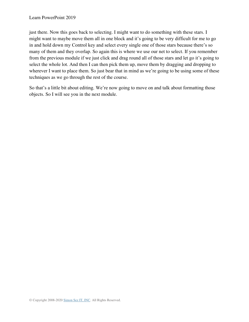just there. Now this goes back to selecting. I might want to do something with these stars. I might want to maybe move them all in one block and it's going to be very difficult for me to go in and hold down my Control key and select every single one of those stars because there's so many of them and they overlap. So again this is where we use our net to select. If you remember from the previous module if we just click and drag round all of those stars and let go it's going to select the whole lot. And then I can then pick them up, move them by dragging and dropping to wherever I want to place them. So just bear that in mind as we're going to be using some of these techniques as we go through the rest of the course.

So that's a little bit about editing. We're now going to move on and talk about formatting those objects. So I will see you in the next module.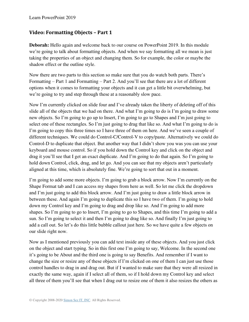## **Video: Formatting Objects – Part 1**

**Deborah:** Hello again and welcome back to our course on PowerPoint 2019. In this module we're going to talk about formatting objects. And when we say formatting all we mean is just taking the properties of an object and changing them. So for example, the color or maybe the shadow effect or the outline style.

Now there are two parts to this section so make sure that you do watch both parts. There's Formatting – Part 1 and Formatting – Part 2. And you'll see that there are a lot of different options when it comes to formatting your objects and it can get a little bit overwhelming, but we're going to try and step through these at a reasonably slow pace.

Now I'm currently clicked on slide four and I've already taken the liberty of deleting off of this slide all of the objects that we had on there. And what I'm going to do is I'm going to draw some new objects. So I'm going to go up to Insert, I'm going to go to Shapes and I'm just going to select one of these rectangles. So I'm just going to drag that like so. And what I'm going to do is I'm going to copy this three times so I have three of them on here. And we've seen a couple of different techniques. We could do Control-C/Control-V to copy/paste. Alternatively we could do Control-D to duplicate that object. But another way that I didn't show you was you can use your keyboard and mouse control. So if you hold down the Control key and click on the object and drag it you'll see that I get an exact duplicate. And I'm going to do that again. So I'm going to hold down Control, click, drag, and let go. And you can see that my objects aren't particularly aligned at this time, which is absolutely fine. We're going to sort that out in a moment.

I'm going to add some more objects. I'm going to grab a block arrow. Now I'm currently on the Shape Format tab and I can access my shapes from here as well. So let me click the dropdown and I'm just going to add this block arrow. And I'm just going to draw a little block arrow in between these. And again I'm going to duplicate this so I have two of them. I'm going to hold down my Control key and I'm going to drag and drop like so. And I'm going to add more shapes. So I'm going to go to Insert, I'm going to go to Shapes, and this time I'm going to add a sun. So I'm going to select it and then I'm going to drag like so. And finally I'm just going to add a call out. So let's do this little bubble callout just here. So we have quite a few objects on our slide right now.

Now as I mentioned previously you can add text inside any of these objects. And you just click on the object and start typing. So in this first one I'm going to say, Welcome. In the second one it's going to be About and the third one is going to say Benefits. And remember if I want to change the size or resize any of these objects if I'm clicked on one of them I can just use those control handles to drag in and drag out. But if I wanted to make sure that they were all resized in exactly the same way, again if I select all of them, so if I hold down my Control key and select all three of them you'll see that when I drag out to resize one of them it also resizes the others as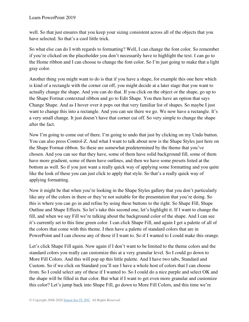well. So that just ensures that you keep your sizing consistent across all of the objects that you have selected. So that's a cool little trick.

So what else can do I with regards to formatting? Well, I can change the font color. So remember if you're clicked on the placeholder you don't necessarily have to highlight the text. I can go to the Home ribbon and I can choose to change the font color. So I'm just going to make that a light gray color.

Another thing you might want to do is that if you have a shape, for example this one here which is kind of a rectangle with the corner cut off, you might decide at a later stage that you want to actually change the shape. And you can do that. If you click on the object or the shape, go up to the Shape Format contextual ribbon and go to Edit Shape. You then have an option that says Change Shape. And as I hover over it pops out that very familiar list of shapes. So maybe I just want to change this into a rectangle. And you can see there we go. We now have a rectangle. It's a very small change. It just doesn't have that corner cut off. So very simple to change the shape after the fact.

Now I'm going to come out of there. I'm going to undo that just by clicking on my Undo button. You can also press Control-Z. And what I want to talk about now is the Shape Styles just here on the Shape Format ribbon. So these are somewhat predetermined by the theme that you've chosen. And you can see that they have, some of them have solid background fill, some of them have more gradient, some of them have outlines, and then we have some presets listed at the bottom as well. So if you just want a really quick way of applying some formatting and you quite like the look of these you can just click to apply that style. So that's a really quick way of applying formatting.

Now it might be that when you're looking in the Shape Styles gallery that you don't particularly like any of the colors in there or they're not suitable for the presentation that you're doing. So this is where you can go in and refine by using these buttons to the right. So Shape Fill, Shape Outline and Shape Effects. So let's take this second one, let's highlight it. If I want to change the fill, and when we say Fill we're talking about the background color of the shape. And I can see it's currently set to this lime green color. I can click Shape Fill, and again I get a palette of all of the colors that come with this theme. I then have a palette of standard colors that are in PowerPoint and I can choose any of those if I want to. So if I wanted to I could make this orange.

Let's click Shape Fill again. Now again if I don't want to be limited to the theme colors and the standard colors you really can customize this at a very granular level. So I could go down to More Fill Colors. And this will pop up this little palette. And I have two tabs, Standard and Custom. So if we click on Standard you'll see I have a whole host of colors that I can choose from. So I could select any of these if I wanted to. So I could do a nice purple and select OK and the shape will be filled in that color. But what if I want to get even more granular and customize this color? Let's jump back into Shape Fill, go down to More Fill Colors, and this time we're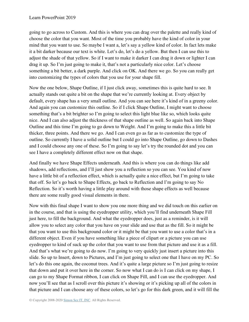going to go across to Custom. And this is where you can drag over the palette and really kind of choose the color that you want. Most of the time you probably have the kind of color in your mind that you want to use. So maybe I want a, let's say a yellow kind of color. In fact lets make it a bit darker because our text is white. Let's do, let's do a yellow. But then I can use this to adjust the shade of that yellow. So if I want to make it darker I can drag it down or lighter I can drag it up. So I'm just going to make it, that's not a particularly nice color. Let's choose something a bit better, a dark purple. And click on OK. And there we go. So you can really get into customizing the types of colors that you use for your shape fill.

Now the one below, Shape Outline, if I just click away, sometimes this is quite hard to see. It actually stands out quite a bit on the shape that we're currently looking at. Every object by default, every shape has a very small outline. And you can see here it's kind of in a greeny color. And again you can customize this outline. So if I click Shape Outline, I might want to choose something that's a bit brighter so I'm going to select this light blue like so, which looks quite nice. And I can also adjust the thickness of that shape outline as well. So again back into Shape Outline and this time I'm going to go down to Weight. And I'm going to make this a little bit thicker, three points. And there we go. And I can even go as far as to customize the type of outline. So currently I have a solid outline but I could go into Shape Outline, go down to Dashes and I could choose any one of these. So I'm going to say let's try the rounded dot and you can see I have a completely different effect now on that shape.

And finally we have Shape Effects underneath. And this is where you can do things like add shadows, add reflections, and I'll just show you a reflection so you can see. You kind of now have a little bit of a reflection effect, which is actually quite a nice effect, but I'm going to take that off. So let's go back to Shape Effects, go back to Reflection and I'm going to say No Reflection. So it's worth having a little play around with those shape effects as well because there are some really good visual elements in there.

Now with this final shape I want to show you one more thing and we did touch on this earlier on in the course, and that is using the eyedropper utility, which you'll find underneath Shape Fill just here, to fill the background. And what the eyedropper does, just as a reminder, is it will allow you to select any color that you have on your slide and use that as the fill. So it might be that you want to use this background color or it might be that you want to use a color that's in a different object. Even if you have something like a piece of clipart or a picture you can use eyedropper to kind of suck up the color that you want to use from that picture and use it as a fill. And that's what we're going to do now. I'm going to very quickly just insert a picture into this slide. So up to Insert, down to Pictures, and I'm just going to select one that I have on my PC. So let's do this one again, the coconut trees. And it's quite a large picture so I'm just going to resize that down and put it over here in the corner. So now what I can do is I can click on my shape, I can go to my Shape Format ribbon, I can click on Shape Fill, and I can use the eyedropper. And now you'll see that as I scroll over this picture it's showing or it's picking up all of the colors in that picture and I can choose any of these colors, so let's go for this dark green, and it will fill the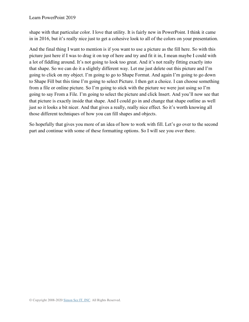shape with that particular color. I love that utility. It is fairly new in PowerPoint. I think it came in in 2016, but it's really nice just to get a cohesive look to all of the colors on your presentation.

And the final thing I want to mention is if you want to use a picture as the fill here. So with this picture just here if I was to drag it on top of here and try and fit it in, I mean maybe I could with a lot of fiddling around. It's not going to look too great. And it's not really fitting exactly into that shape. So we can do it a slightly different way. Let me just delete out this picture and I'm going to click on my object. I'm going to go to Shape Format. And again I'm going to go down to Shape Fill but this time I'm going to select Picture. I then get a choice. I can choose something from a file or online picture. So I'm going to stick with the picture we were just using so I'm going to say From a File. I'm going to select the picture and click Insert. And you'll now see that that picture is exactly inside that shape. And I could go in and change that shape outline as well just so it looks a bit nicer. And that gives a really, really nice effect. So it's worth knowing all those different techniques of how you can fill shapes and objects.

So hopefully that gives you more of an idea of how to work with fill. Let's go over to the second part and continue with some of these formatting options. So I will see you over there.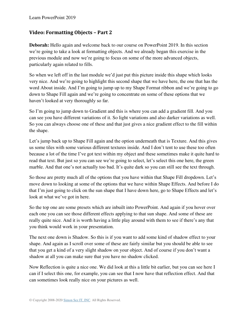## **Video: Formatting Objects – Part 2**

**Deborah:** Hello again and welcome back to our course on PowerPoint 2019. In this section we're going to take a look at formatting objects. And we already began this exercise in the previous module and now we're going to focus on some of the more advanced objects, particularly again related to fills.

So when we left off in the last module we'd just put this picture inside this shape which looks very nice. And we're going to highlight this second shape that we have here, the one that has the word About inside. And I'm going to jump up to my Shape Format ribbon and we're going to go down to Shape Fill again and we're going to concentrate on some of these options that we haven't looked at very thoroughly so far.

So I'm going to jump down to Gradient and this is where you can add a gradient fill. And you can see you have different variations of it. So light variations and also darker variations as well. So you can always choose one of these and that just gives a nice gradient effect to the fill within the shape.

Let's jump back up to Shape Fill again and the option underneath that is Texture. And this gives us some tiles with some various different textures inside. And I don't tent to use these too often because a lot of the time I've got text within my object and these sometimes make it quite hard to read that text. But just so you can see we're going to select, let's select this one here, the green marble. And that one's not actually too bad. It's quite dark so you can still see the text through.

So those are pretty much all of the options that you have within that Shape Fill dropdown. Let's move down to looking at some of the options that we have within Shape Effects. And before I do that I'm just going to click on the sun shape that I have down here, go to Shape Effects and let's look at what we've got in here.

So the top one are some presets which are inbuilt into PowerPoint. And again if you hover over each one you can see those different effects applying to that sun shape. And some of these are really quite nice. And it is worth having a little play around with them to see if there's any that you think would work in your presentation.

The next one down is Shadow. So this is if you want to add some kind of shadow effect to your shape. And again as I scroll over some of these are fairly similar but you should be able to see that you get a kind of a very slight shadow on your object. And of course if you don't want a shadow at all you can make sure that you have no shadow clicked.

Now Reflection is quite a nice one. We did look at this a little bit earlier, but you can see here I can if I select this one, for example, you can see that I now have that reflection effect. And that can sometimes look really nice on your pictures as well.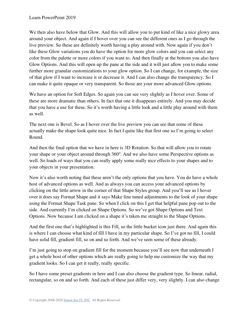We then also have below that Glow. And this will allow you to put kind of like a nice glowy area around your object. And again if I hover over you can see the different ones as I go through the live preview. So these are definitely worth having a play around with. Now again if you don't like these Glow variations you do have the option for more glow colors and you can select any color from the palette or more colors if you want to. And then finally at the bottom you also have Glow Options. And this will open up the pane at the side and it will just allow you to make some further more granular customizations to your glow option. So I can change, for example, the size of that glow if I want to increase it or decrease it. And I can also change the transparency. So I can make it quite opaque or very transparent. So those are your more advanced Glow options.

We have an option for Soft Edges. So again you can see very slightly as I hover over. Some of these are more dramatic than others. In fact that one it disappears entirely. And you may decide that you have a use for these. So it's worth having a little look and a little play around with them as well.

The next one is Bevel. So as I hover over the live preview you can see that some of these actually make the shape look quite nice. In fact I quite like that first one so I'm going to select Round.

And then the final option that we have in here is 3D Rotation. So that will allow you to rotate your shape or your object around through 360°. And we also have some Perspective options as well. So loads of ways that you can really apply some really nice effects to your shapes and to your objects in your presentation.

Now it's also worth noting that these aren't the only options that you have. You do have a whole host of advanced options as well. And as always you can access your advanced options by clicking on the little arrow in the corner of that Shape Styles group. And you'll see as I hover over it does say Format Shape and it says Make fine tuned adjustments to the look of your shape using the Format Shape Task pane. So when I click on this I get that helpful pane pop out to the side. And currently I'm clicked on Shape Options. So we've got Shape Options and Text Options. Now because I am clicked on a shape it's taken me straight to the Shape Options.

And the first one that's highlighted is this Fill, so the little bucket icon just there. And again this is where I can choose what kind of fill I have in my particular shape. So I've got no fill, I could have solid fill, gradient fill, so on and so forth. And we've seen some of these already.

I'm just going to stop on gradient fill for the moment because you'll see now that underneath I get a whole host of other options which are really going to help me customize the way that my gradient looks. So I can get it really, really specific.

So I have some preset gradients in here and I can also choose the gradient type. So linear, radial, rectangular, so on and so forth. And each of these just differ very, very slightly. I can also change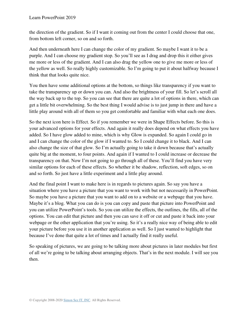the direction of the gradient. So if I want it coming out from the center I could choose that one, from bottom left corner, so on and so forth.

And then underneath here I can change the color of my gradient. So maybe I want it to be a purple. And I can choose my gradient stop. So you'll see as I drag and drop this it either gives me more or less of the gradient. And I can also drag the yellow one to give me more or less of the yellow as well. So really highly customizable. So I'm going to put it about halfway because I think that that looks quite nice.

You then have some additional options at the bottom, so things like transparency if you want to take the transparency up or down you can. And also the brightness of your fill. So let's scroll all the way back up to the top. So you can see that there are quite a lot of options in there, which can get a little bit overwhelming. So the best thing I would advise is to just jump in there and have a little play around with all of them so you get comfortable and familiar with what each one does.

So the next icon here is Effect. So if you remember we were in Shape Effects before. So this is your advanced options for your effects. And again it really does depend on what effects you have added. So I have glow added to mine, which is why Glow is expanded. So again I could go in and I can change the color of the glow if I wanted to. So I could change it to black. And I can also change the size of that glow. So I'm actually going to take it down because that's actually quite big at the moment, to four points. And again if I wanted to I could increase or decrease the transparency on that. Now I'm not going to go through all of these. You'll find you have very similar options for each of these effects. So whether it be shadow, reflection, soft edges, so on and so forth. So just have a little experiment and a little play around.

And the final point I want to make here is in regards to pictures again. So say you have a situation where you have a picture that you want to work with but not necessarily in PowerPoint. So maybe you have a picture that you want to add on to a website or a webpage that you have. Maybe it's a blog. What you can do is you can copy and paste that picture into PowerPoint and you can utilize PowerPoint's tools. So you can utilize the effects, the outlines, the fills, all of the options. You can edit that picture and then you can save it off or cut and paste it back into your webpage or the other application that you're using. So it's a really nice way of being able to edit your picture before you use it in another application as well. So I just wanted to highlight that because I've done that quite a lot of times and I actually find it really useful.

So speaking of pictures, we are going to be talking more about pictures in later modules but first of all we're going to be talking about arranging objects. That's in the next module. I will see you then.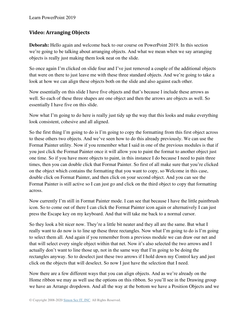## **Video: Arranging Objects**

**Deborah:** Hello again and welcome back to our course on PowerPoint 2019. In this section we're going to be talking about arranging objects. And what we mean when we say arranging objects is really just making them look neat on the slide.

So once again I'm clicked on slide four and I've just removed a couple of the additional objects that were on there to just leave me with these three standard objects. And we're going to take a look at how we can align these objects both on the slide and also against each other.

Now essentially on this slide I have five objects and that's because I include these arrows as well. So each of these three shapes are one object and then the arrows are objects as well. So essentially I have five on this slide.

Now what I'm going to do here is really just tidy up the way that this looks and make everything look consistent, cohesive and all aligned.

So the first thing I'm going to do is I'm going to copy the formatting from this first object across to these others two objects. And we've seen how to do this already previously. We can use the Format Painter utility. Now if you remember what I said in one of the previous modules is that if you just click the Format Painter once it will allow you to paint the format to another object just one time. So if you have more objects to paint, in this instance I do because I need to pain three times, then you can double click that Format Painter. So first of all make sure that you're clicked on the object which contains the formatting that you want to copy, so Welcome in this case, double click on Format Painter, and then click on your second object. And you can see the Format Painter is still active so I can just go and click on the third object to copy that formatting across.

Now currently I'm still in Format Painter mode. I can see that because I have the little paintbrush icon. So to come out of there I can click the Format Painter icon again or alternatively I can just press the Escape key on my keyboard. And that will take me back to a normal cursor.

So they look a bit nicer now. They're a little bit neater and they all are the same. But what I really want to do now is to line up these three rectangles. Now what I'm going to do is I'm going to select them all. And again if you remember from a previous module we can draw our net and that will select every single object within that net. Now it's also selected the two arrows and I actually don't want to line those up, not in the same way that I'm going to be doing the rectangles anyway. So to deselect just these two arrows if I hold down my Control key and just click on the objects that will deselect. So now I just have the selection that I need.

Now there are a few different ways that you can align objects. And as we're already on the Home ribbon we may as well use the options on this ribbon. So you'll see in the Drawing group we have an Arrange dropdown. And all the way at the bottom we have a Position Objects and we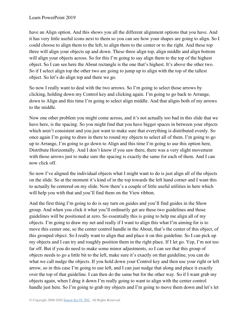have an Align option. And this shows you all the different alignment options that you have. And it has very little useful icons next to them so you can see how your shapes are going to align. So I could choose to align them to the left, to align them to the center or to the right. And these top three will align your objects up and down. These three align top, align middle and align bottom will align your objects across. So for this I'm going to say align them to the top of the highest object. So I can see here the About rectangle is the one that's highest. It's above the other two. So if I select align top the other two are going to jump up to align with the top of the tallest object. So let's do align top and there we go.

So now I really want to deal with the two arrows. So I'm going to select those arrows by clicking, holding down my Control key and clicking again. I'm going to go back to Arrange, down to Align and this time I'm going to select align middle. And that aligns both of my arrows to the middle.

Now one other problem you might come across, and it's not actually too bad in this slide that we have here, is the spacing. So you might find that you have bigger spaces in between your objects which aren't consistent and you just want to make sure that everything is distributed evenly. So once again I'm going to draw in there to round my objects to select all of them. I'm going to go up to Arrange, I'm going to go down to Align and this time I'm going to use this option here, Distribute Horizontally. And I don't know if you saw there, there was a very slight movement with those arrows just to make sure the spacing is exactly the same for each of them. And I can now click off.

So now I've aligned the individual objects what I might want to do is just align all of the objects on the slide. So at the moment it's kind of in the top towards the left hand corner and I want this to actually be centered on my slide. Now there's a couple of little useful utilities in here which will help you with that and you'll find them on the View ribbon.

And the first thing I'm going to do is say turn on guides and you'll find guides in the Show group. And when you click it what you'll ordinarily get are these two guidelines and those guidelines will be positioned at zero. So essentially this is going to help me align all of my objects. I'm going to draw my net and really if I want to align this what I'm aiming for is to move this center one, so the center control handle in the About, that's the center of this object, of this grouped object. So I really want to align that and place it on this guideline. So I can pick up my objects and I can try and roughly position them in the right place. If I let go. Yep, I'm not too far off. But if you do need to make some minor adjustments, so I can see that this group of objects needs to go a little bit to the left, make sure it's exactly on that guideline, you can do what we call nudge the objects. If you hold down your Control key and then use your right or left arrow, so in this case I'm going to use left, and I can just nudge that along and place it exactly over the top of that guideline. I can then do the same but for the other way. So if I want grab my objects again, when I drag it down I'm really going to want to align with the center control handle just here. So I'm going to grab my objects and I'm going to move them down and let's let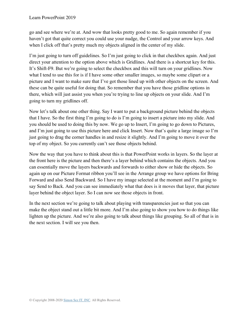go and see where we're at. And wow that looks pretty good to me. So again remember if you haven't got that quite correct you could use your nudge, the Control and your arrow keys. And when I click off that's pretty much my objects aligned in the center of my slide.

I'm just going to turn off guidelines. So I'm just going to click in that checkbox again. And just direct your attention to the option above which is Gridlines. And there is a shortcut key for this. It's Shift-F9. But we're going to select the checkbox and this will turn on your gridlines. Now what I tend to use this for is if I have some other smaller images, so maybe some clipart or a picture and I want to make sure that I've got those lined up with other objects on the screen. And these can be quite useful for doing that. So remember that you have those gridline options in there, which will just assist you when you're trying to line up objects on your slide. And I'm going to turn my gridlines off.

Now let's talk about one other thing. Say I want to put a background picture behind the objects that I have. So the first thing I'm going to do is I'm going to insert a picture into my slide. And you should be used to doing this by now. We go up to Insert, I'm going to go down to Pictures, and I'm just going to use this picture here and click Insert. Now that's quite a large image so I'm just going to drag the corner handles in and resize it slightly. And I'm going to move it over the top of my object. So you currently can't see those objects behind.

Now the way that you have to think about this is that PowerPoint works in layers. So the layer at the front here is the picture and then there's a layer behind which contains the objects. And you can essentially move the layers backwards and forwards to either show or hide the objects. So again up on our Picture Format ribbon you'll see in the Arrange group we have options for Bring Forward and also Send Backward. So I have my image selected at the moment and I'm going to say Send to Back. And you can see immediately what that does is it moves that layer, that picture layer behind the object layer. So I can now see those objects in front.

In the next section we're going to talk about playing with transparencies just so that you can make the object stand out a little bit more. And I'm also going to show you how to do things like lighten up the picture. And we're also going to talk about things like grouping. So all of that is in the next section. I will see you then.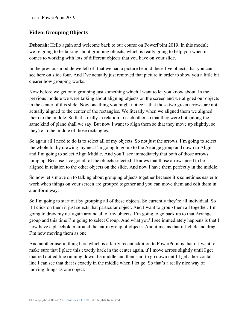# **Video: Grouping Objects**

**Deborah:** Hello again and welcome back to our course on PowerPoint 2019. In this module we're going to be talking about grouping objects, which is really going to help you when it comes to working with lots of different objects that you have on your slide.

In the previous module we left off that we had a picture behind these five objects that you can see here on slide four. And I've actually just removed that picture in order to show you a little bit clearer how grouping works.

Now before we get onto grouping just something which I want to let you know about. In the previous module we were talking about aligning objects on the screen and we aligned our objects in the center of this slide. Now one thing you might notice is that those two green arrows are not actually aligned to the center of the rectangles. We literally when we aligned them we aligned them to the middle. So that's really in relation to each other so that they were both along the same kind of plane shall we say. But now I want to align them so that they move up slightly, so they're in the middle of those rectangles.

So again all I need to do is to select all of my objects. So not just the arrows. I'm going to select the whole lot by drawing my net. I'm going to go up to the Arrange group and down to Align and I'm going to select Align Middle. And you'll see immediately that both of those arrows jump up. Because I've got all of the objects selected it knows that those arrows need to be aligned in relation to the other objects on the slide. And now I have them perfectly in the middle.

So now let's move on to talking about grouping objects together because it's sometimes easier to work when things on your screen are grouped together and you can move them and edit them in a uniform way.

So I'm going to start out by grouping all of these objects. So currently they're all individual. So if I click on them it just selects that particular object. And I want to group them all together. I'm going to draw my net again around all of my objects. I'm going to go back up to that Arrange group and this time I'm going to select Group. And what you'll see immediately happens is that I now have a placeholder around the entire group of objects. And it means that if I click and drag I'm now moving them as one.

And another useful thing here which is a fairly recent addition to PowerPoint is that if I want to make sure that I place this exactly back in the center again, if I move across slightly until I get that red dotted line running down the middle and then start to go down until I get a horizontal line I can see that that is exactly in the middle when I let go. So that's a really nice way of moving things as one object.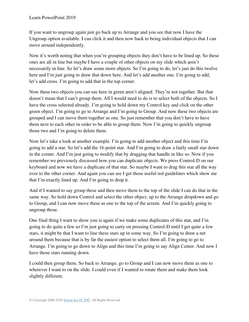If you want to ungroup again just go back up to Arrange and you see that now I have the Ungroup option available. I can click it and then now back to being individual objects that I can move around independently.

Now it's worth noting that when you're grouping objects they don't have to be lined up. So these ones are all in line but maybe I have a couple of other objects on my slide which aren't necessarily in line. So let's draw some more objects. So I'm going to do, let's just do this twelve here and I'm just going to draw that down here. And let's add another one. I'm going to add, let's add cross. I'm going to add that in the top corner.

Now these two objects you can see here in green aren't aligned. They're not together. But that doesn't mean that I can't group them. All I would need to do is to select both of the objects. So I have the cross selected already. I'm going to hold down my Control key and click on the other green object. I'm going to go to Arrange and I'm going to Group. And now these two objects are grouped and I can move them together as one. So just remember that you don't have to have them next to each other in order to be able to group them. Now I'm going to quickly ungroup those two and I'm going to delete them.

Now let's take a look at another example. I'm going to add another object and this time I'm going to add a star. So let's add the 16-point star. And I'm going to draw a fairly small star down in the corner. And I'm just going to modify that by dragging that handle in like so. Now if you remember we previously discussed how you can duplicate objects. We press Control-D on our keyboard and now we have a duplicate of that star. So maybe I want to drag this star all the way over to the other corner. And again you can see I get those useful red guidelines which show me that I'm exactly lined up. And I'm going to drop it.

And if I wanted to say group these and then move them to the top of the slide I can do that in the same way. So hold down Control and select the other object, up to the Arrange dropdown and go to Group, and I can now move these as one to the top of the screen. And I'm quickly going to ungroup those.

One final thing I want to show you is again if we make some duplicates of this star, and I'm going to do quite a few so I'm just going to carry on pressing Control-D until I get quite a few stars, it might be that I want to line these stars up in some way. So I'm going to draw a net around them because that is by far the easiest option to select them all. I'm going to go to Arrange. I'm going to go down to Align and this time I'm going to say Align Center. And now I have those stars running down.

I could then group them. So back to Arrange, go to Group and I can now move them as one to wherever I want to on the slide. I could even if I wanted to rotate them and make them look slightly different.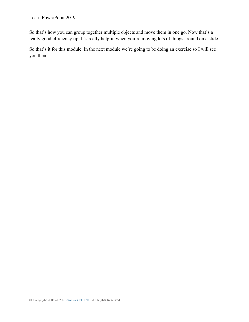So that's how you can group together multiple objects and move them in one go. Now that's a really good efficiency tip. It's really helpful when you're moving lots of things around on a slide.

So that's it for this module. In the next module we're going to be doing an exercise so I will see you then.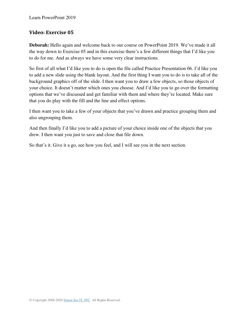## **Video: Exercise 05**

**Deborah:** Hello again and welcome back to our course on PowerPoint 2019. We've made it all the way down to Exercise 05 and in this exercise there's a few different things that I'd like you to do for me. And as always we have some very clear instructions.

So first of all what I'd like you to do is open the file called Practice Presentation 06. I'd like you to add a new slide using the blank layout. And the first thing I want you to do is to take all of the background graphics off of the slide. I then want you to draw a few objects, so those objects of your choice. It doesn't matter which ones you choose. And I'd like you to go over the formatting options that we've discussed and get familiar with them and where they're located. Make sure that you do play with the fill and the line and effect options.

I then want you to take a few of your objects that you've drawn and practice grouping them and also ungrouping them.

And then finally I'd like you to add a picture of your choice inside one of the objects that you drew. I then want you just to save and close that file down.

So that's it. Give it a go, see how you feel, and I will see you in the next section.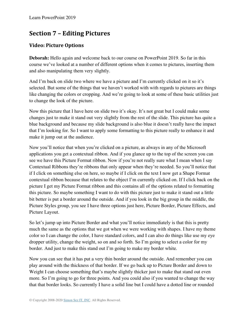# **Section 7 – Editing Pictures**

# **Video: Picture Options**

**Deborah:** Hello again and welcome back to our course on PowerPoint 2019. So far in this course we've looked at a number of different options when it comes to pictures, inserting them and also manipulating them very slightly.

And I'm back on slide two where we have a picture and I'm currently clicked on it so it's selected. But some of the things that we haven't worked with with regards to pictures are things like changing the colors or cropping. And we're going to look at some of these basic utilities just to change the look of the picture.

Now this picture that I have here on slide two it's okay. It's not great but I could make some changes just to make it stand out very slightly from the rest of the slide. This picture has quite a blue background and because my slide background is also blue it doesn't really have the impact that I'm looking for. So I want to apply some formatting to this picture really to enhance it and make it jump out at the audience.

Now you'll notice that when you're clicked on a picture, as always in any of the Microsoft applications you get a contextual ribbon. And if you glance up to the top of the screen you can see we have this Picture Format ribbon. Now if you're not really sure what I mean when I say Contextual Ribbons they're ribbons that only appear when they're needed. So you'll notice that if I click on something else on here, so maybe if I click on the text I now get a Shape Format contextual ribbon because that relates to the object I'm currently clicked on. If I click back on the picture I get my Picture Format ribbon and this contains all of the options related to formatting this picture. So maybe something I want to do with this picture just to make it stand out a little bit better is put a border around the outside. And if you look in the big group in the middle, the Picture Styles group, you see I have three options just here, Picture Border, Picture Effects, and Picture Layout.

So let's jump up into Picture Border and what you'll notice immediately is that this is pretty much the same as the options that we got when we were working with shapes. I have my theme color so I can change the color, I have standard colors, and I can also do things like use my eye dropper utility, change the weight, so on and so forth. So I'm going to select a color for my border. And just to make this stand out I'm going to make my border white.

Now you can see that it has put a very thin border around the outside. And remember you can play around with the thickness of that border. If we go back up to Picture Border and down to Weight I can choose something that's maybe slightly thicker just to make that stand out even more. So I'm going to go for three points. And you could also if you wanted to change the way that that border looks. So currently I have a solid line but I could have a dotted line or rounded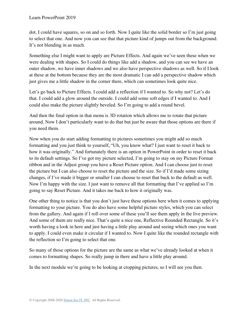dot, I could have squares, so on and so forth. Now I quite like the solid border so I'm just going to select that one. And now you can see that that picture kind of jumps out from the background. It's not blending in as much.

Something else I might want to apply are Picture Effects. And again we've seen these when we were dealing with shapes. So I could do things like add a shadow, and you can see we have an outer shadow, we have inner shadows and we also have perspective shadows as well. So if I look at these at the bottom because they are the most dramatic I can add a perspective shadow which just gives me a little shadow in the corner there, which can sometimes look quite nice.

Let's go back to Picture Effects. I could add a reflection if I wanted to. So why not? Let's do that. I could add a glow around the outside. I could add some soft edges if I wanted to. And I could also make the picture slightly beveled. So I'm going to add a round bevel.

And then the final option in that menu is 3D rotation which allows me to rotate that picture around. Now I don't particularly want to do that but just be aware that those options are there if you need them.

Now when you do start adding formatting to pictures sometimes you might add so much formatting and you just think to yourself, "Uh, you know what? I just want to reset it back to how it was originally." And fortunately there is an option in PowerPoint in order to reset it back to its default settings. So I've got my picture selected, I'm going to stay on my Picture Format ribbon and in the Adjust group you have a Reset Picture option. And I can choose just to reset the picture but I can also choose to reset the picture and the size. So if I'd made some sizing changes, if I've made it bigger or smaller I can choose to reset that back to the default as well. Now I'm happy with the size. I just want to remove all that formatting that I've applied so I'm going to say Reset Picture. And it takes me back to how it originally was.

One other thing to notice is that you don't just have these options here when it comes to applying formatting to your picture. You do also have some helpful picture styles, which you can select from the gallery. And again if I roll over some of these you'll see them apply in the live preview. And some of them are really nice. That's quite a nice one, Reflective Rounded Rectangle. So it's worth having a look in here and just having a little play around and seeing which ones you want to apply. I could even make it circular if I wanted to. Now I quite like the rounded rectangle with the reflection so I'm going to select that one.

So many of those options for the picture are the same as what we've already looked at when it comes to formatting shapes. So really jump in there and have a little play around.

In the next module we're going to be looking at cropping pictures, so I will see you then.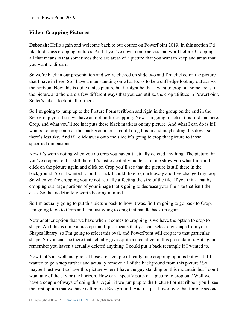# **Video: Cropping Pictures**

**Deborah:** Hello again and welcome back to our course on PowerPoint 2019. In this section I'd like to discuss cropping pictures. And if you've never come across that word before, Cropping, all that means is that sometimes there are areas of a picture that you want to keep and areas that you want to discard.

So we're back in our presentation and we're clicked on slide two and I'm clicked on the picture that I have in here. So I have a man standing on what looks to be a cliff edge looking out across the horizon. Now this is quite a nice picture but it might be that I want to crop out some areas of the picture and there are a few different ways that you can utilize the crop utilities in PowerPoint. So let's take a look at all of them.

So I'm going to jump up to the Picture Format ribbon and right in the group on the end in the Size group you'll see we have an option for cropping. Now I'm going to select this first one here, Crop, and what you'll see is it puts these black markers on my picture. And what I can do is if I wanted to crop some of this background out I could drag this in and maybe drag this down so there's less sky. And if I click away onto the slide it's going to crop that picture to those specified dimensions.

Now it's worth noting when you do crop you haven't actually deleted anything. The picture that you've cropped out is still there. It's just essentially hidden. Let me show you what I mean. If I click on the picture again and click on Crop you'll see that the picture is still there in the background. So if I wanted to pull it back I could, like so, click away and I've changed my crop. So when you're cropping you're not actually affecting the size of the file. If you think that by cropping out large portions of your image that's going to decrease your file size that isn't the case. So that is definitely worth bearing in mind.

So I'm actually going to put this picture back to how it was. So I'm going to go back to Crop, I'm going to go to Crop and I'm just going to drag that handle back up again.

Now another option that we have when it comes to cropping is we have the option to crop to shape. And this is quite a nice option. It just means that you can select any shape from your Shapes library, so I'm going to select this oval, and PowerPoint will crop it to that particular shape. So you can see there that actually gives quite a nice effect in this presentation. But again remember you haven't actually deleted anything. I could put it back rectangle if I wanted to.

Now that's all well and good. Those are a couple of really nice cropping options but what if I wanted to go a step further and actually remove all of the background from this picture? So maybe I just want to have this picture where I have the guy standing on this mountain but I don't want any of the sky or the horizon. How can I specify parts of a picture to crop out? Well we have a couple of ways of doing this. Again if we jump up to the Picture Format ribbon you'll see the first option that we have is Remove Background. And if I just hover over that for one second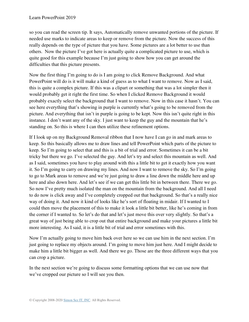so you can read the screen tip. It says, Automatically remove unwanted portions of the picture. If needed use marks to indicate areas to keep or remove from the picture. Now the success of this really depends on the type of picture that you have. Some pictures are a lot better to use than others. Now the picture I've got here is actually quite a complicated picture to use, which is quite good for this example because I'm just going to show how you can get around the difficulties that this picture presents.

Now the first thing I'm going to do is I am going to click Remove Background. And what PowerPoint will do is it will make a kind of guess as to what I want to remove. Now as I said, this is quite a complex picture. If this was a clipart or something that was a lot simpler then it would probably get it right the first time. So when I clicked Remove Background it would probably exactly select the background that I want to remove. Now in this case it hasn't. You can see here everything that's showing in purple is currently what's going to be removed from the picture. And everything that isn't in purple is going to be kept. Now this isn't quite right in this instance. I don't want any of the sky. I just want to keep the guy and the mountain that he's standing on. So this is where I can then utilize these refinement options.

If I look up on my Background Removal ribbon that I now have I can go in and mark areas to keep. So this basically allows me to draw lines and tell PowerPoint which parts of the picture to keep. So I'm going to select that and this is a bit of trial and error. Sometimes it can be a bit tricky but there we go. I've selected the guy. And let's try and select this mountain as well. And as I said, sometimes you have to play around with this a little bit to get it exactly how you want it. So I'm going to carry on drawing my lines. And now I want to remove the sky. So I'm going to go to Mark areas to remove and we're just going to draw a line down the middle here and up here and also down here. And let's see if we can get this little bit in between there. There we go. So now I've pretty much isolated the man on the mountain from the background. And all I need to do now is click away and I've completely cropped out that background. So that's a really nice way of doing it. And now it kind of looks like he's sort of floating in midair. If I wanted to I could then move the placement of this to make it look a little bit better, like he's coming in from the corner if I wanted to. So let's do that and let's just move this over very slightly. So that's a great way of just being able to crop out that entire background and make your pictures a little bit more interesting. As I said, it is a little bit of trial and error sometimes with this.

Now I'm actually going to move him back over here so we can use him in the next section. I'm just going to replace my objects around. I'm going to move him just here. And I might decide to make him a little bit bigger as well. And there we go. Those are the three different ways that you can crop a picture.

In the next section we're going to discuss some formatting options that we can use now that we've cropped our picture so I will see you then.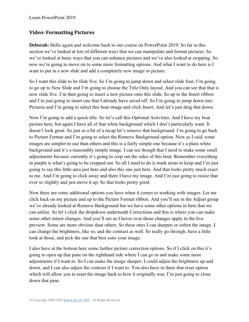## **Video: Formatting Pictures**

**Deborah:** Hello again and welcome back to our course on PowerPoint 2019. So far in this section we've looked at lots of different ways that we can manipulate and format pictures. So we've looked at basic ways that you can enhance pictures and we've also looked at cropping. So now we're going to move on to some more formatting options. And what I want to do here is I want to put in a new slide and add a completely new image or picture.

So I want this slide to be slide five. So I'm going to jump down and select slide four, I'm going to go up to New Slide and I'm going to choose the Title Only layout. And you can see that that is now slide five. I'm then going to insert a new picture onto this slide. So up to the Insert ribbon and I'm just going to insert one that I already have saved off. So I'm going to jump down into Pictures and I'm going to select this boat image and click Insert. And let's just drag that down.

Now I'm going to add a quick title. So let's call this Optional Activities. And I have my boat picture here, but again I have all of that white background which I don't particularly want. It doesn't look great. So just as a bit of a recap let's remove that background. I'm going to go back to Picture Format and I'm going to select the Remove Background option. Now as I said, some images are simpler to use than others and this is a fairly simple one because it's a plain white background and it's a reasonably simple image. I can see though that I need to make some small adjustments because currently it's going to crop out the sides of this boat. Remember everything in purple is what's going to be cropped out. So all I need to do is mark areas to keep and I'm just going to say this little area just here and also this one just here. And that looks pretty much exact to me. And I'm going to click away and there I have my image. And I'm just going to resize that ever so slightly and just move it up. So that looks pretty good.

Now there are some additional options you have when it comes to working with images. Let me click back on my picture and up to the Picture Format ribbon. And you'll see in the Adjust group we've already looked at Remove Background but we have some other options in here that we can utilize. So let's click the dropdown underneath Corrections and this is where you can make some other minor changes. And you'll see as I hover over those changes apply in the live preview. Some are more obvious than others. So these ones I can sharpen or soften the image. I can change the brightness, like so, and the contrast as well. So really go through, have a little look at those, and pick the one that best suits your image.

I also have at the bottom here some further picture correction options. So if I click on this it's going to open up that pane on the righthand side where I can go in and make some more adjustments if I want to. So I can make the image sharper, I could adjust the brightness up and down, and I can also adjust the contrast if I want to. You also have in there that reset option which will allow you to reset the image back to how it originally was. I'm just going to close down that pane.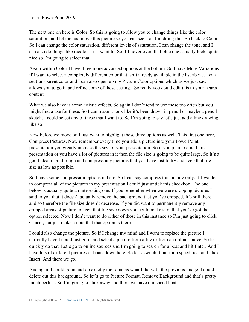The next one on here is Color. So this is going to allow you to change things like the color saturation, and let me just move this picture so you can see it as I'm doing this. So back to Color. So I can change the color saturation, different levels of saturation. I can change the tone, and I can also do things like recolor it if I want to. So if I hover over, that blue one actually looks quite nice so I'm going to select that.

Again within Color I have three more advanced options at the bottom. So I have More Variations if I want to select a completely different color that isn't already available in the list above. I can set transparent color and I can also open up my Picture Color options which as we just saw allows you to go in and refine some of these settings. So really you could edit this to your hearts content.

What we also have is some artistic effects. So again I don't tend to use these too often but you might find a use for these. So I can make it look like it's been drawn in pencil or maybe a pencil sketch. I could select any of these that I want to. So I'm going to say let's just add a line drawing like so.

Now before we move on I just want to highlight these three options as well. This first one here, Compress Pictures. Now remember every time you add a picture into your PowerPoint presentation you greatly increase the size of your presentation. So if you plan to email this presentation or you have a lot of pictures in it then the file size is going to be quite large. So it's a good idea to go through and compress any pictures that you have just to try and keep that file size as low as possible.

So I have some compression options in here. So I can say compress this picture only. If I wanted to compress all of the pictures in my presentation I could just untick this checkbox. The one below is actually quite an interesting one. If you remember when we were cropping pictures I said to you that it doesn't actually remove the background that you've cropped. It's still there and so therefore the file size doesn't decrease. If you did want to permanently remove any cropped areas of picture to keep that file size down you could make sure that you've got that option selected. Now I don't want to do either of those in this instance so I'm just going to click Cancel, but just make a note that that option is there.

I could also change the picture. So if I change my mind and I want to replace the picture I currently have I could just go in and select a picture from a file or from an online source. So let's quickly do that. Let's go to online sources and I'm going to search for a boat and hit Enter. And I have lots of different pictures of boats down here. So let's switch it out for a speed boat and click Insert. And there we go.

And again I could go in and do exactly the same as what I did with the previous image. I could delete out this background. So let's go to Picture Format, Remove Background and that's pretty much perfect. So I'm going to click away and there we have our speed boat.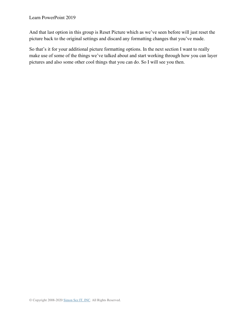And that last option in this group is Reset Picture which as we've seen before will just reset the picture back to the original settings and discard any formatting changes that you've made.

So that's it for your additional picture formatting options. In the next section I want to really make use of some of the things we've talked about and start working through how you can layer pictures and also some other cool things that you can do. So I will see you then.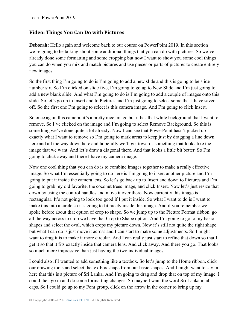## **Video: Things You Can Do with Pictures**

**Deborah:** Hello again and welcome back to our course on PowerPoint 2019. In this section we're going to be talking about some additional things that you can do with pictures. So we've already done some formatting and some cropping but now I want to show you some cool things you can do when you mix and match pictures and use pieces or parts of pictures to create entirely new images.

So the first thing I'm going to do is I'm going to add a new slide and this is going to be slide number six. So I'm clicked on slide five, I'm going to go up to New Slide and I'm just going to add a new blank slide. And what I'm going to do is I'm going to add a couple of images onto this slide. So let's go up to Insert and to Pictures and I'm just going to select some that I have saved off. So the first one I'm going to select is this camera image. And I'm going to click Insert.

So once again this camera, it's a pretty nice image but it has that white background that I want to remove. So I've clicked on the image and I'm going to select Remove Background. So this is something we've done quite a lot already. Now I can see that PowerPoint hasn't picked up exactly what I want to remove so I'm going to mark areas to keep just by dragging a line down here and all the way down here and hopefully we'll get towards something that looks like the image that we want. And let's draw a diagonal there. And that looks a little bit better. So I'm going to click away and there I have my camera image.

Now one cool thing that you can do is to combine images together to make a really effective image. So what I'm essentially going to do here is I'm going to insert another picture and I'm going to put it inside the camera lens. So let's go back up to Insert and down to Pictures and I'm going to grab my old favorite, the coconut trees image, and click Insert. Now let's just resize that down by using the control handles and move it over there. Now currently this image is rectangular. It's not going to look too good if I put it inside. So what I want to do is I want to make this into a circle so it's going to fit nicely inside this image. And if you remember we spoke before about that option of crop to shape. So we jump up to the Picture Format ribbon, go all the way across to crop we have that Crop to Shape option. And I'm going to go to my basic shapes and select the oval, which crops my picture down. Now it's still not quite the right shape but what I can do is just move it across and I can start to make some adjustments. So I might want to drag it is to make it more circular. And I can really just start to refine that down so that I get it so that it fits exactly inside that camera lens. And click away. And there you go. That looks so much more impressive than just having the two individual images.

I could also if I wanted to add something like a textbox. So let's jump to the Home ribbon, click our drawing tools and select the textbox shape from our basic shapes. And I might want to say in here that this is a picture of Sri Lanka. And I'm going to drag and drop that on top of my image. I could then go in and do some formatting changes. So maybe I want the word Sri Lanka in all caps. So I could go up to my Font group, click on the arrow in the corner to bring up my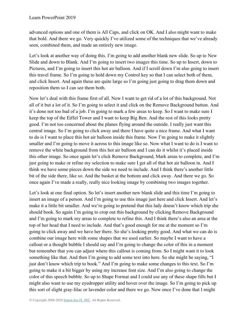advanced options and one of them is All Caps, and click on OK. And I also might want to make that bold. And there we go. Very quickly I've utilized some of the techniques that we've already seen, combined them, and made an entirely new image.

Let's look at another way of doing this. I'm going to add another blank new slide. So up to New Slide and down to Blank. And I'm going to insert two images this time. So up to Insert, down to Pictures, and I'm going to insert this hot air balloon. And if I scroll down I'm also going to insert this travel frame. So I'm going to hold down my Control key so that I can select both of them, and click Insert. And again these are quite large so I'm going just going to drag them down and reposition them so I can see them both.

Now let's deal with this frame first of all. Now I want to get rid of a lot of this background. Not all of it but a lot of it. So I'm going to select it and click on the Remove Background button. And it's done not too bad of a job. I'm going to mark a few areas to keep. So I want to make sure I keep the top of the Eiffel Tower and I want to keep Big Ben. And the rest of this looks pretty good. I'm not too concerned about the planes flying around the outside. I really just want this central image. So I'm going to click away and there I have quite a nice frame. And what I want to do is I want to place this hot air balloon inside this frame. Now I'm going to make it slightly smaller and I'm going to move it across to this image like so. Now what I want to do is I want to remove the white background from this hot air balloon and I can do it whilst it's placed inside this other image. So once again let's click Remove Background, Mark areas to complete, and I'm just going to make or refine my selection to make sure I get all of that hot air balloon in. And I think we have some pieces down the side we need to include. And I think there's another little bit of the side there, like so. And the basket at the bottom and click away. And there we go. So once again I've made a really, really nice looking image by combining two images together.

Let's look at one final option. So let's insert another new blank slide and this time I'm going to insert an image of a person. And I'm going to use this image just here and click Insert. And let's make it a little bit smaller. And we're going to pretend that this lady doesn't know which trip she should book. So again I'm going to crop out this background by clicking Remove Background and I'm going to mark my areas to complete to refine this. And I think there's also an area at the top of her head that I need to include. And that's good enough for me at the moment so I'm going to click away and we have her there. So she's looking pretty good. And what we can do is combine our image here with some shapes that we used earlier. So maybe I want to have a callout or a thought bubble I should say and I'm going to change the color of this in a moment but remember that you can adjust where this callout is coming from. So I might want it to look something like that. And then I'm going to add some text into here. So she might be saying, "I just don't know which trip to book." And I'm going to make some changes to this text. So I'm going to make it a bit bigger by using my increase font size. And I'm also going to change the color of this speech bubble. So up to Shape Format and I could use any of these shape fills but I might also want to use my eyedropper utility and hover over the image. So I'm going to pick up this sort of slight gray-lilac or lavender color and there we go. Now once I've done that I might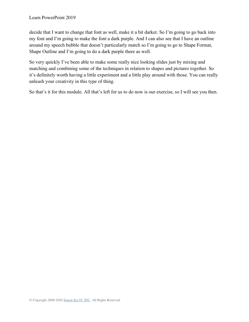decide that I want to change that font as well, make it a bit darker. So I'm going to go back into my font and I'm going to make the font a dark purple. And I can also see that I have an outline around my speech bubble that doesn't particularly match so I'm going to go to Shape Format, Shape Outline and I'm going to do a dark purple there as well.

So very quickly I've been able to make some really nice looking slides just by mixing and matching and combining some of the techniques in relation to shapes and pictures together. So it's definitely worth having a little experiment and a little play around with those. You can really unleash your creativity in this type of thing.

So that's it for this module. All that's left for us to do now is our exercise, so I will see you then.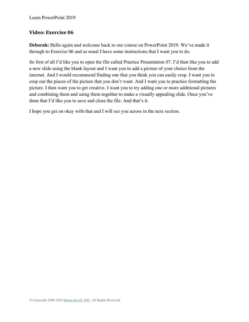### **Video: Exercise 06**

**Deborah:** Hello again and welcome back to our course on PowerPoint 2019. We've made it through to Exercise 06 and as usual I have some instructions that I want you to do.

So first of all I'd like you to open the file called Practice Presentation 07. I'd then like you to add a new slide using the blank layout and I want you to add a picture of your choice from the internet. And I would recommend finding one that you think you can easily crop. I want you to crop out the pieces of the picture that you don't want. And I want you to practice formatting the picture. I then want you to get creative. I want you to try adding one or more additional pictures and combining them and using them together to make a visually appealing slide. Once you've done that I'd like you to save and close the file. And that's it.

I hope you get on okay with that and I will see you across in the next section.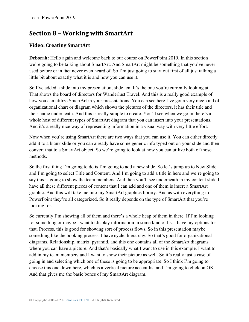# **Section 8 – Working with SmartArt**

## **Video: Creating SmartArt**

**Deborah:** Hello again and welcome back to our course on PowerPoint 2019. In this section we're going to be talking about SmartArt. And SmartArt might be something that you've never used before or in fact never even heard of. So I'm just going to start out first of all just talking a little bit about exactly what it is and how you can use it.

So I've added a slide into my presentation, slide ten. It's the one you're currently looking at. That shows the board of directors for Wanderlust Travel. And this is a really good example of how you can utilize SmartArt in your presentations. You can see here I've got a very nice kind of organizational chart or diagram which shows the pictures of the directors, it has their title and their name underneath. And this is really simple to create. You'll see when we go in there's a whole host of different types of SmartArt diagram that you can insert into your presentations. And it's a really nice way of representing information in a visual way with very little effort.

Now when you're using SmartArt there are two ways that you can use it. You can either directly add it to a blank slide or you can already have some generic info typed out on your slide and then convert that to a SmartArt object. So we're going to look at how you can utilize both of those methods.

So the first thing I'm going to do is I'm going to add a new slide. So let's jump up to New Slide and I'm going to select Title and Content. And I'm going to add a title in here and we're going to say this is going to show the team members. And then you'll see underneath in my content slide I have all these different pieces of content that I can add and one of them is insert a SmartArt graphic. And this will take me into my SmartArt graphics library. And as with everything in PowerPoint they're all categorized. So it really depends on the type of SmartArt that you're looking for.

So currently I'm showing all of them and there's a whole heap of them in there. If I'm looking for something or maybe I want to display information in some kind of list I have my options for that. Process, this is good for showing sort of process flows. So in this presentation maybe something like the booking process. I have cycle, hierarchy. So that's good for organizational diagrams. Relationship, matrix, pyramid, and this one contains all of the SmartArt diagrams where you can have a picture. And that's basically what I want to use in this example. I want to add in my team members and I want to show their picture as well. So it's really just a case of going in and selecting which one of these is going to be appropriate. So I think I'm going to choose this one down here, which is a vertical picture accent list and I'm going to click on OK. And that gives me the basic bones of my SmartArt diagram.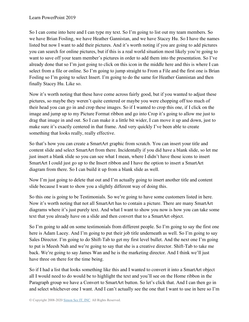So I can come into here and I can type my text. So I'm going to list out my team members. So we have Brian Fosling, we have Heather Gannistan, and we have Stacey Hu. So I have the names listed but now I want to add their pictures. And it's worth noting if you are going to add pictures you can search for online pictures, but if this is a real world situation most likely you're going to want to save off your team member's pictures in order to add them into the presentation. So I've already done that so I'm just going to click on this icon in the middle here and this is where I can select from a file or online. So I'm going to jump straight to From a File and the first one is Brian Fosling so I'm going to select Insert. I'm going to do the same for Heather Gannistan and then finally Stacey Hu. Like so.

Now it's worth noting that these have come across fairly good, but if you wanted to adjust these pictures, so maybe they weren't quite centered or maybe you were chopping off too much of their head you can go in and crop these images. So if I wanted to crop this one, if I click on the image and jump up to my Picture Format ribbon and go into Crop it's going to allow me just to drag that image in and out. So I can make it a little bit wider, I can move it up and down, just to make sure it's exactly centered in that frame. And very quickly I've been able to create something that looks really, really effective.

So that's how you can create a SmartArt graphic from scratch. You can insert your title and content slide and select SmartArt from there. Incidentally if you did have a blank slide, so let me just insert a blank slide so you can see what I mean, where I didn't have those icons to insert SmartArt I could just go up to the Insert ribbon and I have the option to insert a SmartArt diagram from there. So I can build it up from a blank slide as well.

Now I'm just going to delete that out and I'm actually going to insert another title and content slide because I want to show you a slightly different way of doing this.

So this one is going to be Testimonials. So we're going to have some customers listed in here. Now it's worth noting that not all SmartArt has to contain a picture. There are many SmartArt diagrams where it's just purely text. And what I want to show you now is how you can take some text that you already have on a slide and then convert that to a SmartArt object.

So I'm going to add on some testimonials from different people. So I'm going to say the first one here is Adam Lacey. And I'm going to put their job title underneath as well. So I'm going to say Sales Director. I'm going to do Shift-Tab to get my first level bullet. And the next one I'm going to put is Meesh Nah and we're going to say that she is a creative director. Shift-Tab to take me back. We're going to say James Wan and he is the marketing director. And I think we'll just have three on there for the time being.

So if I had a list that looks something like this and I wanted to convert it into a SmartArt object all I would need to do would be to highlight the text and you'll see on the Home ribbon in the Paragraph group we have a Convert to SmartArt button. So let's click that. And I can then go in and select whichever one I want. And I can't actually see the one that I want to use in here so I'm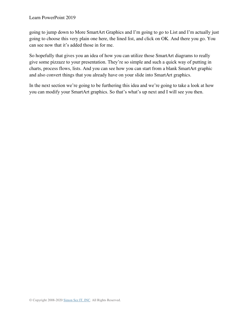going to jump down to More SmartArt Graphics and I'm going to go to List and I'm actually just going to choose this very plain one here, the lined list, and click on OK. And there you go. You can see now that it's added those in for me.

So hopefully that gives you an idea of how you can utilize those SmartArt diagrams to really give some pizzazz to your presentation. They're so simple and such a quick way of putting in charts, process flows, lists. And you can see how you can start from a blank SmartArt graphic and also convert things that you already have on your slide into SmartArt graphics.

In the next section we're going to be furthering this idea and we're going to take a look at how you can modify your SmartArt graphics. So that's what's up next and I will see you then.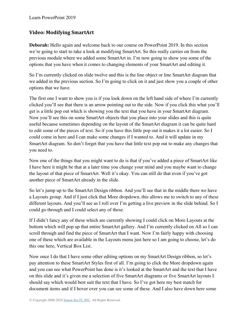## **Video: Modifying SmartArt**

**Deborah:** Hello again and welcome back to our course on PowerPoint 2019. In this section we're going to start to take a look at modifying SmartArt. So this really carries on from the previous module where we added some SmartArt in. I'm now going to show you some of the options that you have when it comes to changing elements of your SmartArt and editing it.

So I'm currently clicked on slide twelve and this is the line object or line SmartArt diagram that we added in the previous section. So I'm going to click on it and just show you a couple of other options that we have.

The first one I want to show you is if you look down on the left hand side of where I'm currently clicked you'll see that there is an arrow pointing out to the side. Now if you click this what you'll get is a little pop out which is showing you the text that you have in your SmartArt diagram. Now you'll see this on some SmartArt objects that you place into your slides and this is quite useful because sometimes depending on the layout of the SmartArt diagram it can be quite hard to edit some of the pieces of text. So if you have this little pop out it makes it a lot easier. So I could come in here and I can make some changes if I wanted to. And it will update in my SmartArt diagram. So don't forget that you have that little text pop out to make any changes that you need to.

Now one of the things that you might want to do is that if you've added a piece of SmartArt like I have here it might be that at a later time you change your mind and you maybe want to change the layout of that piece of SmartArt. Well it's okay. You can still do that even if you've got another piece of SmartArt already in the slide.

So let's jump up to the SmartArt Design ribbon. And you'll see that in the middle there we have a Layouts group. And if I just click that More dropdown, this allows me to switch to any of these different layouts. And you'll see as I roll over I'm getting a live preview in the slide behind. So I could go through and I could select any of these.

If I didn't fancy any of these which are currently showing I could click on More Layouts at the bottom which will pop up that entire SmartArt gallery. And I'm currently clicked on All so I can scroll through and find the piece of SmartArt that I want. Now I'm fairly happy with choosing one of these which are available in the Layouts menu just here so I am going to choose, let's do this one here, Vertical Box List.

Now once I do that I have some other editing options on my SmartArt Design ribbon, so let's pay attention to these SmartArt Styles first of all. I'm going to click the More dropdown again and you can see what PowerPoint has done is it's looked at the SmartArt and the text that I have on this slide and it's given me a selection of five SmartArt diagrams or five SmartArt layouts I should say which would best suit the text that I have. So I've got here my best match for document items and if I hover over you can see some of these. And I also have down here some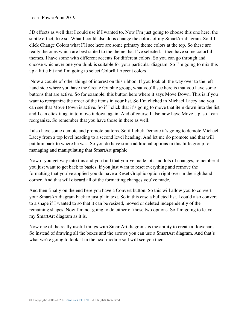3D effects as well that I could use if I wanted to. Now I'm just going to choose this one here, the subtle effect, like so. What I could also do is change the colors of my SmartArt diagram. So if I click Change Colors what I'll see here are some primary theme colors at the top. So these are really the ones which are best suited to the theme that I've selected. I then have some colorful themes, I have some with different accents for different colors. So you can go through and choose whichever one you think is suitable for your particular diagram. So I'm going to mix this up a little bit and I'm going to select Colorful Accent colors.

 Now a couple of other things of interest on this ribbon. If you look all the way over to the left hand side where you have the Create Graphic group, what you'll see here is that you have some buttons that are active. So for example, this button here where it says Move Down. This is if you want to reorganize the order of the items in your list. So I'm clicked in Michael Lacey and you can see that Move Down is active. So if I click that it's going to move that item down into the list and I can click it again to move it down again. And of course I also now have Move Up, so I can reorganize. So remember that you have those in there as well.

I also have some demote and promote buttons. So if I click Demote it's going to demote Michael Lacey from a top level heading to a second level heading. And let me do promote and that will put him back to where he was. So you do have some additional options in this little group for managing and manipulating that SmartArt graphic.

Now if you get way into this and you find that you've made lots and lots of changes, remember if you just want to get back to basics, if you just want to reset everything and remove the formatting that you've applied you do have a Reset Graphic option right over in the righthand corner. And that will discard all of the formatting changes you've made.

And then finally on the end here you have a Convert button. So this will allow you to convert your SmartArt diagram back to just plain text. So in this case a bulleted list. I could also convert to a shape if I wanted to so that it can be resized, moved or deleted independently of the remaining shapes. Now I'm not going to do either of those two options. So I'm going to leave my SmartArt diagram as it is.

Now one of the really useful things with SmartArt diagrams is the ability to create a flowchart. So instead of drawing all the boxes and the arrows you can use a SmartArt diagram. And that's what we're going to look at in the next module so I will see you then.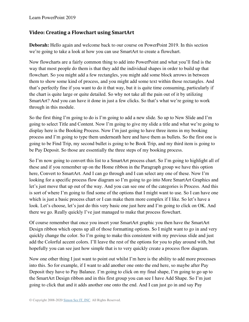### **Video: Creating a Flowchart using SmartArt**

**Deborah:** Hello again and welcome back to our course on PowerPoint 2019. In this section we're going to take a look at how you can use SmartArt to create a flowchart.

Now flowcharts are a fairly common thing to add into PowerPoint and what you'll find is the way that most people do them is that they add the individual shapes in order to build up that flowchart. So you might add a few rectangles, you might add some block arrows in between them to show some kind of process, and you might add some text within those rectangles. And that's perfectly fine if you want to do it that way, but it is quite time consuming, particularly if the chart is quite large or quite detailed. So why not take all the pain out of it by utilizing SmartArt? And you can have it done in just a few clicks. So that's what we're going to work through in this module.

So the first thing I'm going to do is I'm going to add a new slide. So up to New Slide and I'm going to select Title and Content. Now I'm going to give my slide a title and what we're going to display here is the Booking Process. Now I'm just going to have three items in my booking process and I'm going to type them underneath here and have them as bullets. So the first one is going to be Find Trip, my second bullet is going to be Book Trip, and my third item is going to be Pay Deposit. So those are essentially the three steps of my booking process.

So I'm now going to convert this list to a SmartArt process chart. So I'm going to highlight all of these and if you remember up on the Home ribbon in the Paragraph group we have this option here, Convert to SmartArt. And I can go through and I can select any one of these. Now I'm looking for a specific process flow diagram so I'm going to go into More SmartArt Graphics and let's just move that up out of the way. And you can see one of the categories is Process. And this is sort of where I'm going to find some of the options that I might want to use. So I can have one which is just a basic process chart or I can make them more complex if I like. So let's have a look. Let's choose, let's just do this very basic one just here and I'm going to click on OK. And there we go. Really quickly I've just managed to make that process flowchart.

Of course remember that once you insert your SmartArt graphic you then have the SmartArt Design ribbon which opens up all of those formatting options. So I might want to go in and very quickly change the color. So I'm going to make this consistent with my previous slide and just add the Colorful accent colors. I'll leave the rest of the options for you to play around with, but hopefully you can see just how simple that is to very quickly create a process flow diagram.

Now one other thing I just want to point out whilst I'm here is the ability to add more processes into this. So for example, if I want to add another one onto the end here, so maybe after Pay Deposit they have to Pay Balance. I'm going to click on my final shape, I'm going to go up to the SmartArt Design ribbon and in this first group you can see I have Add Shape. So I'm just going to click that and it adds another one onto the end. And I can just go in and say Pay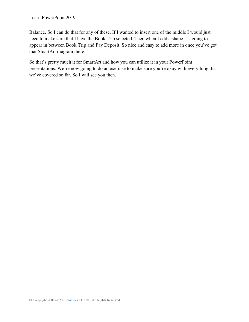Balance. So I can do that for any of these. If I wanted to insert one of the middle I would just need to make sure that I have the Book Trip selected. Then when I add a shape it's going to appear in between Book Trip and Pay Deposit. So nice and easy to add more in once you've got that SmartArt diagram there.

So that's pretty much it for SmartArt and how you can utilize it in your PowerPoint presentations. We're now going to do an exercise to make sure you're okay with everything that we've covered so far. So I will see you then.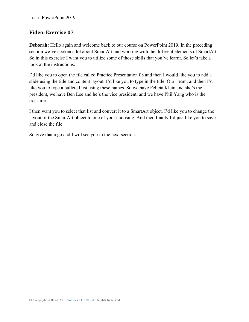### **Video: Exercise 07**

**Deborah:** Hello again and welcome back to our course on PowerPoint 2019. In the preceding section we've spoken a lot about SmartArt and working with the different elements of SmartArt. So in this exercise I want you to utilize some of those skills that you've learnt. So let's take a look at the instructions.

I'd like you to open the file called Practice Presentation 08 and then I would like you to add a slide using the title and content layout. I'd like you to type in the title, Our Team, and then I'd like you to type a bulleted list using these names. So we have Felicia Klein and she's the president, we have Ben Lee and he's the vice president, and we have Phil Yang who is the treasurer.

I then want you to select that list and convert it to a SmartArt object. I'd like you to change the layout of the SmartArt object to one of your choosing. And then finally I'd just like you to save and close the file.

So give that a go and I will see you in the next section.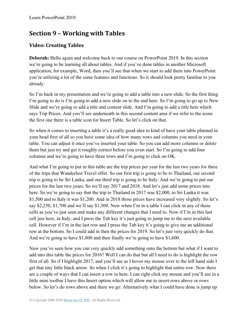# **Section 9 – Working with Tables**

## **Video: Creating Tables**

**Deborah:** Hello again and welcome back to our course on PowerPoint 2019. In this section we're going to be learning all about tables. And if you've done tables in another Microsoft application, for example, Word, then you'll see that when we start to add them into PowerPoint you're utilizing a lot of the same features and functions. So it should look pretty familiar to you already.

So I'm back in my presentation and we're going to add a table into a new slide. So the first thing I'm going to do is I'm going to add a new slide on to the end here. So I'm going to go up to New Slide and we're going to add a title and content slide. And I'm going to add a title here which says Trip Prices. And you'll see underneath in this second content area if we refer to the icons the first one there is a table icon for Insert Table. So let's click on that.

So when it comes to inserting a table it's a really good idea to kind of have your table planned in your head first of all so you have some idea of how many rows and columns you need in your table. You can adjust it once you've inserted your table. So you can add more columns or delete them but just try and get it roughly correct before you even start. So I'm going to add four columns and we're going to have three rows and I'm going to click on OK.

And what I'm going to put in this table are the trip prices per year for the last two years for three of the trips that Wanderlust Travel offer. So our first trip is going to be to Thailand, our second trip is going to be Sri Lanka, and our third trip is going to be Italy. And we're going to put our prices for the last two years. So we'll say 2017 and 2018. And let's just add some prices into here. So we're going to say that the trip to Thailand in 2017 was \$2,000, to Sri Lanka it was \$1,500 and to Italy it was \$1,200. And in 2018 those prices have increased very slightly. So let's say \$2,250, \$1,700 and we'll say \$1,500. Now when I'm in a table I can click in any of these cells as you've just seen and make any different changes that I need to. Now if I'm in this last cell just here, in Italy, and I press the Tab key it's just going to jump me to the next available cell. However if I'm in the last row and I press the Tab key it's going to give me an additional row at the bottom. So I could add in then the prices for 2019. So let's just very quickly do that. And we're going to have \$1,800 and then finally we're going to have \$1,600.

Now you've seen how you can very quickly add something onto the bottom but what if I want to add into this table the prices for 2016? Well I can do that but all I need to do is highlight the row first of all. So if I highlight 2017, and you'll see as I hover my mouse over to the left hand side I get that tiny little black arrow. So when I click it's going to highlight that entire row. Now there are a couple of ways that I can insert a row in here. I can right click my mouse and you'll see in a little mini toolbar I have this Insert option which will allow me to insert rows above or rows below. So let's do rows above and there we go. Alternatively what I could have done is jump up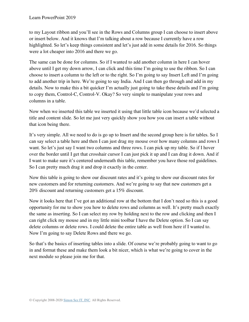to my Layout ribbon and you'll see in the Rows and Columns group I can choose to insert above or insert below. And it knows that I'm talking about a row because I currently have a row highlighted. So let's keep things consistent and let's just add in some details for 2016. So things were a lot cheaper into 2016 and there we go.

The same can be done for columns. So if I wanted to add another column in here I can hover above until I get my down arrow, I can click and this time I'm going to use the ribbon. So I can choose to insert a column to the left or to the right. So I'm going to say Insert Left and I'm going to add another trip in here. We're going to say India. And I can then go through and add in my details. Now to make this a bit quicker I'm actually just going to take these details and I'm going to copy them, Control-C, Control-V. Okay? So very simple to manipulate your rows and columns in a table.

Now when we inserted this table we inserted it using that little table icon because we'd selected a title and content slide. So let me just very quickly show you how you can insert a table without that icon being there.

It's very simple. All we need to do is go up to Insert and the second group here is for tables. So I can say select a table here and then I can just drag my mouse over how many columns and rows I want. So let's just say I want two columns and three rows. I can pick up my table. So if I hover over the border until I get that crosshair cursor I can just pick it up and I can drag it down. And if I want to make sure it's centered underneath this table, remember you have those red guidelines. So I can pretty much drag it and drop it exactly in the center.

Now this table is going to show our discount rates and it's going to show our discount rates for new customers and for returning customers. And we're going to say that new customers get a 20% discount and returning customers get a 15% discount.

Now it looks here that I've got an additional row at the bottom that I don't need so this is a good opportunity for me to show you how to delete rows and columns as well. It's pretty much exactly the same as inserting. So I can select my row by holding next to the row and clicking and then I can right click my mouse and in my little mini toolbar I have the Delete option. So I can say delete columns or delete rows. I could delete the entire table as well from here if I wanted to. Now I'm going to say Delete Rows and there we go.

So that's the basics of inserting tables into a slide. Of course we're probably going to want to go in and format these and make them look a bit nicer, which is what we're going to cover in the next module so please join me for that.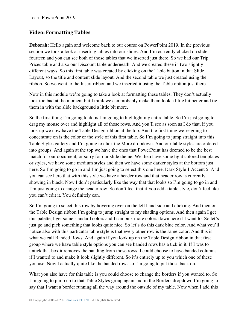## **Video: Formatting Tables**

**Deborah:** Hello again and welcome back to our course on PowerPoint 2019. In the previous section we took a look at inserting tables into our slides. And I'm currently clicked on slide fourteen and you can see both of those tables that we inserted just there. So we had our Trip Prices table and also our Discount table underneath. And we created these in two slightly different ways. So this first table was created by clicking on the Table button in that Slide Layout, so the title and content slide layout. And the second table we just created using the ribbon. So we went to the Insert ribbon and we inserted it using the Table option just there.

Now in this module we're going to take a look at formatting these tables. They don't actually look too bad at the moment but I think we can probably make them look a little bit better and tie them in with the slide background a little bit more.

So the first thing I'm going to do is I'm going to highlight my entire table. So I'm just going to drag my mouse over and highlight all of those rows. And you'll see as soon as I do that, if you look up we now have the Table Design ribbon at the top. And the first thing we're going to concentrate on is the color or the style of this first table. So I'm going to jump straight into this Table Styles gallery and I'm going to click the More dropdown. And our table styles are ordered into groups. And again at the top we have the ones that PowerPoint has deemed to be the best match for our document, or sorry for our slide theme. We then have some light colored templates or styles, we have some medium styles and then we have some darker styles at the bottom just here. So I'm going to go in and I'm just going to select this one here, Dark Style 1 Accent 5. And you can see here that with this style we have a header row and that header row is currently showing in black. Now I don't particularly like the way that that looks so I'm going to go in and I'm just going to change the header row. So don't feel that if you add a table style, don't feel like you can't edit it. You definitely can.

So I'm going to select this row by hovering over on the left hand side and clicking. And then on the Table Design ribbon I'm going to jump straight to my shading options. And then again I get this palette, I get some standard colors and I can pick more colors down here if I want to. So let's just go and pick something that looks quite nice. So let's do this dark blue color. And what you'll notice also with this particular table style is that every other row is the same color. And this is what we call Banded Rows. And again if you look up on the Table Design ribbon in that first group where we have table style options you can see banded rows has a tick in it. If I was to untick that box it removes the banding from those rows. I could choose to have banded columns if I wanted to and make it look slightly different. So it's entirely up to you which one of these you use. Now I actually quite like the banded rows so I'm going to put those back on.

What you also have for this table is you could choose to change the borders if you wanted to. So I'm going to jump up to that Table Styles group again and in the Borders dropdown I'm going to say that I want a border running all the way around the outside of my table. Now when I add this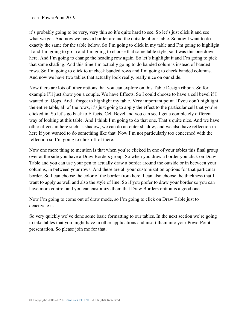it's probably going to be very, very thin so it's quite hard to see. So let's just click it and see what we get. And now we have a border around the outside of our table. So now I want to do exactly the same for the table below. So I'm going to click in my table and I'm going to highlight it and I'm going to go in and I'm going to choose that same table style, so it was this one down here. And I'm going to change the heading row again. So let's highlight it and I'm going to pick that same shading. And this time I'm actually going to do banded columns instead of banded rows. So I'm going to click to uncheck banded rows and I'm going to check banded columns. And now we have two tables that actually look really, really nice on our slide.

Now there are lots of other options that you can explore on this Table Design ribbon. So for example I'll just show you a couple. We have Effects. So I could choose to have a cell bevel if I wanted to. Oops. And I forgot to highlight my table. Very important point. If you don't highlight the entire table, all of the rows, it's just going to apply the effect to the particular cell that you're clicked in. So let's go back to Effects, Cell Bevel and you can see I get a completely different way of looking at this table. And I think I'm going to do that one. That's quite nice. And we have other effects in here such as shadow, we can do an outer shadow, and we also have reflection in here if you wanted to do something like that. Now I'm not particularly too concerned with the reflection so I'm going to click off of there.

Now one more thing to mention is that when you're clicked in one of your tables this final group over at the side you have a Draw Borders group. So when you draw a border you click on Draw Table and you can use your pen to actually draw a border around the outside or in between your columns, in between your rows. And these are all your customization options for that particular border. So I can choose the color of the border from here. I can also choose the thickness that I want to apply as well and also the style of line. So if you prefer to draw your border so you can have more control and you can customize them that Draw Borders option is a good one.

Now I'm going to come out of draw mode, so I'm going to click on Draw Table just to deactivate it.

So very quickly we've done some basic formatting to our tables. In the next section we're going to take tables that you might have in other applications and insert them into your PowerPoint presentation. So please join me for that.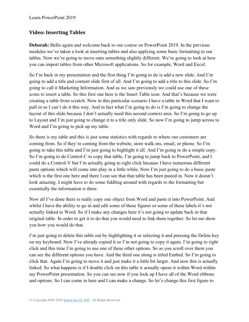## **Video: Inserting Tables**

**Deborah:** Hello again and welcome back to our course on PowerPoint 2019. In the previous modules we've taken a look at inserting tables and also applying some basic formatting to our tables. Now we're going to move onto something slightly different. We're going to look at how you can import tables from other Microsoft applications. So for example, Word and Excel.

So I'm back in my presentation and the first thing I'm going to do is add a new slide. And I'm going to add a title and content slide first of all. And I'm going to add a title to this slide. So I'm going to call it Marketing Information. And as we saw previously we could use one of these icons to insert a table. So this first one here is the Insert Table icon. And that's because we were creating a table from scratch. Now in this particular scenario I have a table in Word that I want to pull in so I can't do it this way. And in fact what I'm going to do is I'm going to change the layout of this slide because I don't actually need this second context area. So I'm going to go up to Layout and I'm just going to change it to a title only slide. So now I'm going to jump across to Word and I'm going to pick up my table.

So there is my table and this is just some statistics with regards to where our customers are coming from. So if they're coming from the website, store walk-ins, email, or phone. So I'm going to take this table and I'm just going to highlight it all. And I'm going to do a simple copy. So I'm going to do Control-C to copy that table, I'm going to jump back to PowerPoint, and I could do a Control-V but I'm actually going to right click because I have numerous different paste options which will come into play in a little while. Now I'm just going to do a basic paste which is the first one here and there I can see that that table has been pasted in. Now it doesn't look amazing. I might have to do some fiddling around with regards to the formatting but essentially the information is there.

Now all I've done there is really copy one object from Word and paste it into PowerPoint. And whilst I have the ability to go in and edit some of these figures or some of these labels it's not actually linked to Word. So if I make any changes here it's not going to update back in that original table. In order to get it to do that you would need to link them together. So let me show you how you would do that.

I'm just going to delete this table out by highlighting it or selecting it and pressing the Delete key on my keyboard. Now I've already copied it so I'm not going to copy it again. I'm going to right click and this time I'm going to use one of these other options. So as you scroll over them you can see the different options you have. And the third one along is titled Embed. So I'm going to click that. Again I'm going to move it and just make it a little bit larger. And now this is actually linked. So what happens is if I double click on this table it actually opens it within Word within my PowerPoint presentation. So you can see now if you look up I have all of the Word ribbons and options. So I can come in here and I can make a change. So let's change this first figure to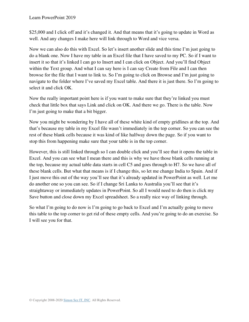Learn PowerPoint 2019

\$25,000 and I click off and it's changed it. And that means that it's going to update in Word as well. And any changes I make here will link through to Word and vice versa.

Now we can also do this with Excel. So let's insert another slide and this time I'm just going to do a blank one. Now I have my table in an Excel file that I have saved to my PC. So if I want to insert it so that it's linked I can go to Insert and I can click on Object. And you'll find Object within the Text group. And what I can say here is I can say Create from File and I can then browse for the file that I want to link to. So I'm going to click on Browse and I'm just going to navigate to the folder where I've saved my Excel table. And there it is just there. So I'm going to select it and click OK.

Now the really important point here is if you want to make sure that they're linked you must check that little box that says Link and click on OK. And there we go. There is the table. Now I'm just going to make that a bit bigger.

Now you might be wondering by I have all of these white kind of empty gridlines at the top. And that's because my table in my Excel file wasn't immediately in the top corner. So you can see the rest of these blank cells because it was kind of like halfway down the page. So if you want to stop this from happening make sure that your table is in the top corner.

However, this is still linked through so I can double click and you'll see that it opens the table in Excel. And you can see what I mean there and this is why we have those blank cells running at the top, because my actual table data starts in cell C5 and goes through to H7. So we have all of these blank cells. But what that means is if I change this, so let me change India to Spain. And if I just move this out of the way you'll see that it's already updated in PowerPoint as well. Let me do another one so you can see. So if I change Sri Lanka to Australia you'll see that it's straightaway or immediately updates in PowerPoint. So all I would need to do then is click my Save button and close down my Excel spreadsheet. So a really nice way of linking through.

So what I'm going to do now is I'm going to go back to Excel and I'm actually going to move this table to the top corner to get rid of these empty cells. And you're going to do an exercise. So I will see you for that.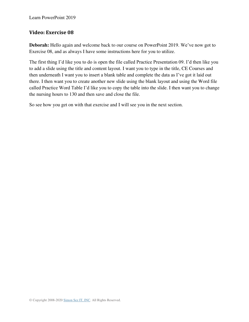### **Video: Exercise 08**

**Deborah:** Hello again and welcome back to our course on PowerPoint 2019. We've now got to Exercise 08, and as always I have some instructions here for you to utilize.

The first thing I'd like you to do is open the file called Practice Presentation 09. I'd then like you to add a slide using the title and content layout. I want you to type in the title, CE Courses and then underneath I want you to insert a blank table and complete the data as I've got it laid out there. I then want you to create another new slide using the blank layout and using the Word file called Practice Word Table I'd like you to copy the table into the slide. I then want you to change the nursing hours to 130 and then save and close the file.

So see how you get on with that exercise and I will see you in the next section.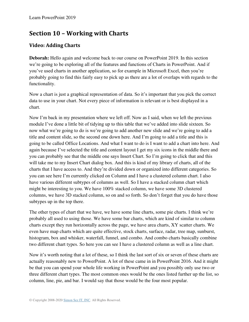# **Section 10 – Working with Charts**

## **Video: Adding Charts**

**Deborah:** Hello again and welcome back to our course on PowerPoint 2019. In this section we're going to be exploring all of the features and functions of Charts in PowerPoint. And if you've used charts in another application, so for example in Microsoft Excel, then you're probably going to find this fairly easy to pick up as there are a lot of overlaps with regards to the functionality.

Now a chart is just a graphical representation of data. So it's important that you pick the correct data to use in your chart. Not every piece of information is relevant or is best displayed in a chart.

Now I'm back in my presentation where we left off. Now as I said, when we left the previous module I've done a little bit of tidying up to this table that we've added into slide sixteen. So now what we're going to do is we're going to add another new slide and we're going to add a title and content slide, so the second one down here. And I'm going to add a title and this is going to be called Office Locations. And what I want to do is I want to add a chart into here. And again because I've selected the title and content layout I get my six icons in the middle there and you can probably see that the middle one says Insert Chart. So I'm going to click that and this will take me to my Insert Chart dialog box. And this is kind of my library of charts, all of the charts that I have access to. And they're divided down or organized into different categories. So you can see here I'm currently clicked on Column and I have a clustered column chart. I also have various different subtypes of columns as well. So I have a stacked column chart which might be interesting to you. We have 100% stacked column, we have some 3D clustered columns, we have 3D stacked column, so on and so forth. So don't forget that you do have those subtypes up in the top there.

The other types of chart that we have, we have some line charts, some pie charts. I think we're probably all used to using those. We have some bar charts, which are kind of similar to column charts except they run horizontally across the page, we have area charts, XY scatter charts. We even have map charts which are quite effective, stock charts, surface, radar, tree map, sunburst, histogram, box and whisker, waterfall, funnel, and combo. And combo charts basically combine two different chart types. So here you can see I have a clustered column as well as a line chart.

Now it's worth noting that a lot of these, so I think the last sort of six or seven of these charts are actually reasonably new to PowerPoint. A lot of these came in in PowerPoint 2016. And it might be that you can spend your whole life working in PowerPoint and you possibly only use two or three different chart types. The most common ones would be the ones listed further up the list, so column, line, pie, and bar. I would say that those would be the four most popular.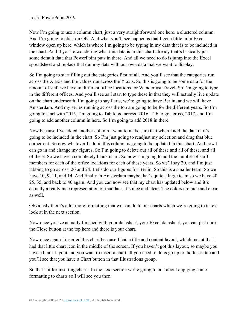Now I'm going to use a column chart, just a very straightforward one here, a clustered column. And I'm going to click on OK. And what you'll see happen is that I get a little mini Excel window open up here, which is where I'm going to be typing in my data that is to be included in the chart. And if you're wondering what this data is in this chart already that's basically just some default data that PowerPoint puts in there. And all we need to do is jump into the Excel spreadsheet and replace that dummy data with our own data that we want to display.

So I'm going to start filling out the categories first of all. And you'll see that the categories run across the X axis and the values run across the Y axis. So this is going to be some data for the amount of staff we have in different office locations for Wanderlust Travel. So I'm going to type in the different offices. And you'll see as I start to type these in that they will actually live update on the chart underneath. I'm going to say Paris, we're going to have Berlin, and we will have Amsterdam. And my series running across the top are going to be for the different years. So I'm going to start with 2015, I'm going to Tab to go across, 2016, Tab to go across, 2017, and I'm going to add another column in here. So I'm going to add 2018 in there.

Now because I've added another column I want to make sure that when I add the data in it's going to be included in the chart. So I'm just going to readjust my selection and drag that blue corner out. So now whatever I add in this column is going to be updated in this chart. And now I can go in and change my figures. So I'm going to delete out all of these and all of these, and all of these. So we have a completely blank chart. So now I'm going to add the number of staff members for each of the office locations for each of these years. So we'll say 20, and I'm just tabbing to go across. 26 and 24. Let's do our figures for Berlin. So this is a smaller team. So we have 10, 9, 11, and 14. And finally in Amsterdam maybe that's quite a large team so we have 40, 25, 35, and back to 40 again. And you can now see that my chart has updated below and it's actually a really nice representation of that data. It's nice and clear. The colors are nice and clear as well.

Obviously there's a lot more formatting that we can do to our charts which we're going to take a look at in the next section.

Now once you've actually finished with your datasheet, your Excel datasheet, you can just click the Close button at the top here and there is your chart.

Now once again I inserted this chart because I had a title and content layout, which meant that I had that little chart icon in the middle of the screen. If you haven't got this layout, so maybe you have a blank layout and you want to insert a chart all you need to do is go up to the Insert tab and you'll see that you have a Chart button in that Illustrations group.

So that's it for inserting charts. In the next section we're going to talk about applying some formatting to charts so I will see you then.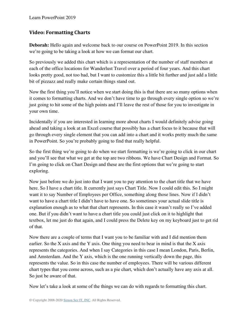## **Video: Formatting Charts**

**Deborah:** Hello again and welcome back to our course on PowerPoint 2019. In this section we're going to be taking a look at how we can format our chart.

So previously we added this chart which is a representation of the number of staff members at each of the office locations for Wanderlust Travel over a period of four years. And this chart looks pretty good, not too bad, but I want to customize this a little bit further and just add a little bit of pizzazz and really make certain things stand out.

Now the first thing you'll notice when we start doing this is that there are so many options when it comes to formatting charts. And we don't have time to go through every single option so we're just going to hit some of the high points and I'll leave the rest of those for you to investigate in your own time.

Incidentally if you are interested in learning more about charts I would definitely advise going ahead and taking a look at an Excel course that possibly has a chart focus to it because that will go through every single element that you can add into a chart and it works pretty much the same in PowerPoint. So you're probably going to find that really helpful.

So the first thing we're going to do when we start formatting is we're going to click in our chart and you'll see that what we get at the top are two ribbons. We have Chart Design and Format. So I'm going to click on Chart Design and these are the first options that we're going to start exploring.

Now just before we do just into that I want you to pay attention to the chart title that we have here. So I have a chart title. It currently just says Chart Title. Now I could edit this. So I might want it to say Number of Employees per Office, something along those lines. Now if I didn't want to have a chart title I didn't have to have one. So sometimes your actual slide title is explanation enough as to what that chart represents. In this case it wasn't really so I've added one. But if you didn't want to have a chart title you could just click on it to highlight that textbox, let me just do that again, and I could press the Delete key on my keyboard just to get rid of that.

Now there are a couple of terms that I want you to be familiar with and I did mention them earlier. So the X axis and the Y axis. One thing you need to bear in mind is that the X axis represents the categories. And when I say Categories in this case I mean London, Paris, Berlin, and Amsterdam. And the Y axis, which is the one running vertically down the page, this represents the value. So in this case the number of employees. There will be various different chart types that you come across, such as a pie chart, which don't actually have any axis at all. So just be aware of that.

Now let's take a look at some of the things we can do with regards to formatting this chart.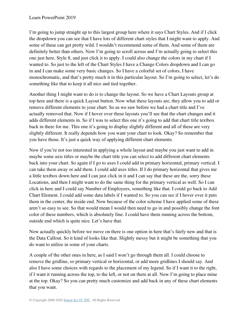I'm going to jump straight up to this largest group here where it says Chart Styles. And if I click the dropdown you can see that I have lots of different chart styles that I might want to apply. And some of these can get pretty wild. I wouldn't recommend some of them. And some of them are definitely better than others. Now I'm going to scroll across and I'm actually going to select this one just here, Style 8, and just click it to apply. I could also change the colors in my chart if I wanted to. So just to the left of the Chart Styles I have a Change Colors dropdown and I can go in and I can make some very basic changes. So I have a colorful set of colors, I have monochromatic, and that's pretty much it in this particular layout. So I'm going to select, let's do something like that to keep it all nice and tied together.

Another thing I might want to do is to change the layout. So we have a Chart Layouts group at top here and there is a quick Layout button. Now what these layouts are, they allow you to add or remove different elements to your chart. So as we saw before we had a chart title and I've actually removed that. Now if I hover over these layouts you'll see that the chart changes and it adds different elements in. So if I was to select this one it's going to add that chart title textbox back in there for me. This one it's going to display slightly different and all of these are very slightly different. It really depends how you want your chart to look. Okay? So remember that you have those. It's just a quick way of applying different chart elements.

Now if you're not too interested in applying a whole layout and maybe you just want to add in maybe some axis titles or maybe the chart title you can select to add different chart elements back into your chart. So again if I go to axes I could add in primary horizontal, primary vertical. I can take them away or add them. I could add axes titles. If I do primary horizontal that gives me a little textbox down here and I can just click in it and I can say that these are the, sorry these Locations, and then I might want to do the same thing for the primary vertical as well. So I can click in here and I could say Number of Employees, something like that. I could go back to Add Chart Element. I could add some data labels if I wanted to. So you can see if I hover over it puts them in the center, the inside end. Now because of the color scheme I have applied some of these aren't so easy to see. So that would mean I would then need to go in and possibly change the font color of these numbers, which is absolutely fine. I could have them running across the bottom, outside end which is quite nice. Let's have that.

Now actually quickly before we move on there is one option in here that's fairly new and that is the Data Callout. So it kind of looks like that. Slightly messy but it might be something that you do want to utilize in some of your charts.

A couple of the other ones in here, as I said I won't go through them all. I could choose to remove the gridline, so primary vertical or horizontal, or add more gridlines I should say. And also I have some choices with regards to the placement of my legend. So if I want it to the right, if I want it running across the top, to the left, or not on there at all. Now I'm going to place mine at the top. Okay? So you can pretty much customize and add back in any of these chart elements that you want.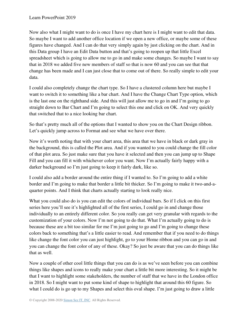Now also what I might want to do is once I have my chart here is I might want to edit that data. So maybe I want to add another office location if we open a new office, or maybe some of these figures have changed. And I can do that very simply again by just clicking on the chart. And in this Data group I have an Edit Data button and that's going to reopen up that little Excel spreadsheet which is going to allow me to go in and make some changes. So maybe I want to say that in 2018 we added five new members of staff so that is now 60 and you can see that that change has been made and I can just close that to come out of there. So really simple to edit your data.

I could also completely change the chart type. So I have a clustered column here but maybe I want to switch it to something like a bar chart. And I have the Change Chart Type option, which is the last one on the righthand side. And this will just allow me to go in and I'm going to go straight down to Bar Chart and I'm going to select this one and click on OK. And very quickly that switched that to a nice looking bar chart.

So that's pretty much all of the options that I wanted to show you on the Chart Design ribbon. Let's quickly jump across to Format and see what we have over there.

Now it's worth noting that with your chart area, this area that we have in black or dark gray in the background, this is called the Plot area. And if you wanted to you could change the fill color of that plot area. So just make sure that you have it selected and then you can jump up to Shape Fill and you can fill it with whichever color you want. Now I'm actually fairly happy with a darker background so I'm just going to keep it fairly dark, like so.

I could also add a border around the entire thing if I wanted to. So I'm going to add a white border and I'm going to make that border a little bit thicker. So I'm going to make it two-and-aquarter points. And I think that charts actually starting to look really nice.

What you could also do is you can edit the colors of individual bars. So if I click on this first series here you'll see it's highlighted all of the first series, I could go in and change those individually to an entirely different color. So you really can get very granular with regards to the customization of your colors. Now I'm not going to do that. What I'm actually going to do is because these are a bit too similar for me I'm just going to go and I'm going to change these colors back to something that's a little easier to read. And remember that if you need to do things like change the font color you can just highlight, go to your Home ribbon and you can go in and you can change the font color of any of these. Okay? So just be aware that you can do things like that as well.

Now a couple of other cool little things that you can do is as we've seen before you can combine things like shapes and icons to really make your chart a little bit more interesting. So it might be that I want to highlight some stakeholders, the number of staff that we have in the London office in 2018. So I might want to put some kind of shape to highlight that around this 60 figure. So what I could do is go up to my Shapes and select this oval shape. I'm just going to draw a little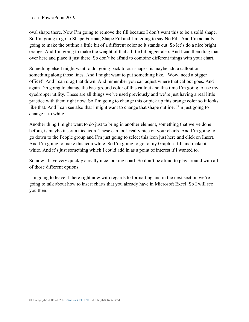oval shape there. Now I'm going to remove the fill because I don't want this to be a solid shape. So I'm going to go to Shape Format, Shape Fill and I'm going to say No Fill. And I'm actually going to make the outline a little bit of a different color so it stands out. So let's do a nice bright orange. And I'm going to make the weight of that a little bit bigger also. And I can then drag that over here and place it just there. So don't be afraid to combine different things with your chart.

Something else I might want to do, going back to our shapes, is maybe add a callout or something along those lines. And I might want to put something like, "Wow, need a bigger office!" And I can drag that down. And remember you can adjust where that callout goes. And again I'm going to change the background color of this callout and this time I'm going to use my eyedropper utility. These are all things we've used previously and we're just having a real little practice with them right now. So I'm going to change this or pick up this orange color so it looks like that. And I can see also that I might want to change that shape outline. I'm just going to change it to white.

Another thing I might want to do just to bring in another element, something that we've done before, is maybe insert a nice icon. These can look really nice on your charts. And I'm going to go down to the People group and I'm just going to select this icon just here and click on Insert. And I'm going to make this icon white. So I'm going to go to my Graphics fill and make it white. And it's just something which I could add in as a point of interest if I wanted to.

So now I have very quickly a really nice looking chart. So don't be afraid to play around with all of those different options.

I'm going to leave it there right now with regards to formatting and in the next section we're going to talk about how to insert charts that you already have in Microsoft Excel. So I will see you then.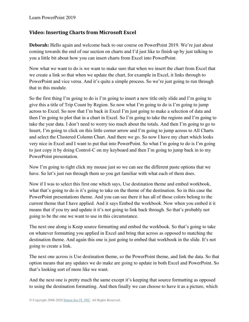### **Video: Inserting Charts from Microsoft Excel**

**Deborah:** Hello again and welcome back to our course on PowerPoint 2019. We're just about coming towards the end of our section on charts and I'd just like to finish up by just talking to you a little bit about how you can insert charts from Excel into PowerPoint.

Now what we want to do is we want to make sure that when we insert the chart from Excel that we create a link so that when we update the chart, for example in Excel, it links through to PowerPoint and vice versa. And it's quite a simple process. So we're just going to run through that in this module.

So the first thing I'm going to do is I'm going to insert a new title only slide and I'm going to give this a title of Trip Count by Region. So now what I'm going to do is I'm going to jump across to Excel. So now that I'm back in Excel I'm just going to make a selection of data and then I'm going to plot that in a chart in Excel. So I'm going to take the regions and I'm going to take the year data. I don't need to worry too much about the totals. And then I'm going to go to Insert, I'm going to click on this little corner arrow and I'm going to jump across to All Charts and select the Clustered Column Chart. And there we go. So now I have my chart which looks very nice in Excel and I want to put that into PowerPoint. So what I'm going to do is I'm going to just copy it by doing Control-C on my keyboard and then I'm going to jump back in to my PowerPoint presentation.

Now I'm going to right click my mouse just so we can see the different paste options that we have. So let's just run through them so you get familiar with what each of them does.

Now if I was to select this first one which says, Use destination theme and embed workbook, what that's going to do is it's going to take on the theme of the destination. So in this case the PowerPoint presentations theme. And you can see there it has all of those colors belong to the current theme that I have applied. And it says Embed the workbook. Now when you embed it it means that if you try and update it it's not going to link back through. So that's probably not going to be the one we want to use in this circumstance.

The next one along is Keep source formatting and embed the workbook. So that's going to take on whatever formatting you applied in Excel and bring that across as opposed to matching the destination theme. And again this one is just going to embed that workbook in the slide. It's not going to create a link.

The next one across is Use destination theme, so the PowerPoint theme, and link the data. So that option means that any updates we do make are going to update in both Excel and PowerPoint. So that's looking sort of more like we want.

And the next one is pretty much the same except it's keeping that source formatting as opposed to using the destination formatting. And then finally we can choose to have it as a picture, which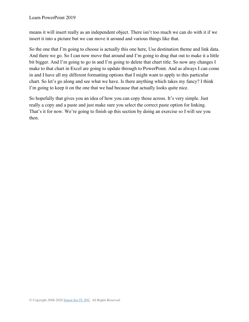means it will insert really as an independent object. There isn't too much we can do with it if we insert it into a picture but we can move it around and various things like that.

So the one that I'm going to choose is actually this one here, Use destination theme and link data. And there we go. So I can now move that around and I'm going to drag that out to make it a little bit bigger. And I'm going to go in and I'm going to delete that chart title. So now any changes I make to that chart in Excel are going to update through to PowerPoint. And as always I can come in and I have all my different formatting options that I might want to apply to this particular chart. So let's go along and see what we have. Is there anything which takes my fancy? I think I'm going to keep it on the one that we had because that actually looks quite nice.

So hopefully that gives you an idea of how you can copy those across. It's very simple. Just really a copy and a paste and just make sure you select the correct paste option for linking. That's it for now. We're going to finish up this section by doing an exercise so I will see you then.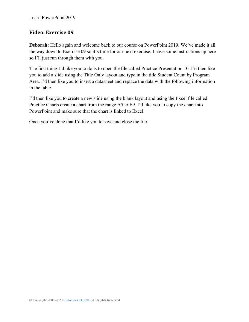### **Video: Exercise 09**

**Deborah:** Hello again and welcome back to our course on PowerPoint 2019. We've made it all the way down to Exercise 09 so it's time for our next exercise. I have some instructions up here so I'll just run through them with you.

The first thing I'd like you to do is to open the file called Practice Presentation 10. I'd then like you to add a slide using the Title Only layout and type in the title Student Count by Program Area. I'd then like you to insert a datasheet and replace the data with the following information in the table.

I'd then like you to create a new slide using the blank layout and using the Excel file called Practice Charts create a chart from the range A5 to E9. I'd like you to copy the chart into PowerPoint and make sure that the chart is linked to Excel.

Once you've done that I'd like you to save and close the file.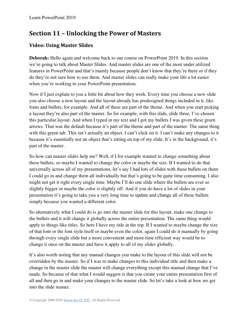# **Section 11 – Unlocking the Power of Masters**

## **Video: Using Master Slides**

**Deborah:** Hello again and welcome back to our course on PowerPoint 2019. In this section we're going to talk about Master Slides. And master slides are one of the most under utilized features in PowerPoint and that's mainly because people don't know that they're there or if they do they're not sure how to use them. And master slides can really make your life a lot easier when you're working in your PowerPoint presentation.

Now if I just explain to you a little bit about how they work. Every time you choose a new slide you also choose a new layout and the layout already has predesigned things included in it, like fonts and bullets, for example. And all of these are part of the theme. And when you start picking a layout they're also part of the master. So for example, with this slide, slide three, I've chosen this particular layout. And when I typed in my text and I got my bullets I was given these green arrows. That was the default because it's part of the theme and part of the master. The same thing with this green tab. This isn't actually an object. I can't click on it. I can't make any changes to it because it's essentially not an object that's sitting on top of my slide. It's in the background, it's part of the master.

So how can master slides help me? Well, if I for example wanted to change something about these bullets, so maybe I wanted to change the color or maybe the size. If I wanted to do that universally across all of my presentations, let's say I had lots of slides with these bullets on them I could go in and change them all individually but that's going to be quite time consuming. I also might not get it right every single time. Maybe I'll do one slide where the bullets are ever so slightly bigger or maybe the color is slightly off. And if you do have a lot of slides in your presentation it's going to take you a very long time to update and change all of those bullets simply because you wanted a different color.

So alternatively what I could do is go into the master slide for this layout, make one change to the bullets and it will change it globally across the entire presentation. The same thing would apply to things like titles. So here I have my title at the top. If I wanted to maybe change the size of that font or the font style itself or maybe even the color, again I could do it manually by going through every single slide but a more convenient and more time efficient way would be to change it once on the master and have it apply to all of my slides globally.

It's also worth noting that any manual changes you make to the layout of this slide will not be overridden by the master. So if I was to make changes to this individual title and then make a change in the master slide the master will change everything except this manual change that I've made. So because of that what I would suggest is that you create your entire presentation first of all and then go in and make your changes to the master slide. So let's take a look at how we get into the slide master.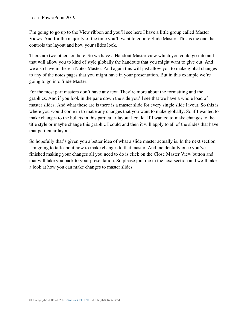I'm going to go up to the View ribbon and you'll see here I have a little group called Master Views. And for the majority of the time you'll want to go into Slide Master. This is the one that controls the layout and how your slides look.

There are two others on here. So we have a Handout Master view which you could go into and that will allow you to kind of style globally the handouts that you might want to give out. And we also have in there a Notes Master. And again this will just allow you to make global changes to any of the notes pages that you might have in your presentation. But in this example we're going to go into Slide Master.

For the most part masters don't have any text. They're more about the formatting and the graphics. And if you look in the pane down the side you'll see that we have a whole load of master slides. And what these are is there is a master slide for every single slide layout. So this is where you would come in to make any changes that you want to make globally. So if I wanted to make changes to the bullets in this particular layout I could. If I wanted to make changes to the title style or maybe change this graphic I could and then it will apply to all of the slides that have that particular layout.

So hopefully that's given you a better idea of what a slide master actually is. In the next section I'm going to talk about how to make changes to that master. And incidentally once you've finished making your changes all you need to do is click on the Close Master View button and that will take you back to your presentation. So please join me in the next section and we'll take a look at how you can make changes to master slides.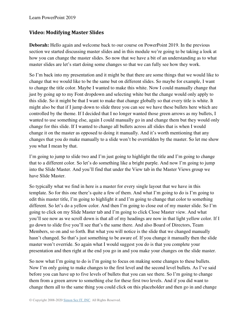### **Video: Modifying Master Slides**

**Deborah:** Hello again and welcome back to our course on PowerPoint 2019. In the previous section we started discussing master slides and in this module we're going to be taking a look at how you can change the master slides. So now that we have a bit of an understanding as to what master slides are let's start doing some changes so that we can fully see how they work.

So I'm back into my presentation and it might be that there are some things that we would like to change that we would like to be the same but on different slides. So maybe for example, I want to change the title color. Maybe I wanted to make this white. Now I could manually change that just by going up to my Font dropdown and selecting white but the change would only apply to this slide. So it might be that I want to make that change globally so that every title is white. It might also be that if I jump down to slide three you can see we have these bullets here which are controlled by the theme. If I decided that I no longer wanted those green arrows as my bullets, I wanted to use something else, again I could manually go in and change them but they would only change for this slide. If I wanted to change all bullets across all slides that is when I would change it on the master as opposed to doing it manually. And it's worth mentioning that any changes that you do make manually to a slide won't be overridden by the master. So let me show you what I mean by that.

I'm going to jump to slide two and I'm just going to highlight the title and I'm going to change that to a different color. So let's do something like a bright purple. And now I'm going to jump into the Slide Master. And you'll find that under the View tab in the Master Views group we have Slide Master.

So typically what we find in here is a master for every single layout that we have in this template. So for this one there's quite a few of them. And what I'm going to do is I'm going to edit this master title, I'm going to highlight it and I'm going to change that color to something different. So let's do a yellow color. And then I'm going to close out of my master slide. So I'm going to click on my Slide Master tab and I'm going to click Close Master view. And what you'll see now as we scroll down is that all of my headings are now in that light yellow color. If I go down to slide five you'll see that's the same there. And also Board of Directors, Team Members, so on and so forth. But what you will notice is the slide that we changed manually hasn't changed. So that's just something to be aware of. If you change it manually then the slide master won't override. So again what I would suggest you do is that you complete your presentation and then right at the end you go in and you make your changes on the slide master.

So now what I'm going to do is I'm going to focus on making some changes to these bullets. Now I'm only going to make changes to the first level and the second level bullets. As I've said before you can have up to five levels of bullets that you can see there. So I'm going to change them from a green arrow to something else for these first two levels. And if you did want to change them all to the same thing you could click on this placeholder and then go in and change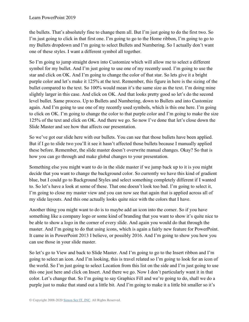the bullets. That's absolutely fine to change them all. But I'm just going to do the first two. So I'm just going to click in that first one. I'm going to go to the Home ribbon, I'm going to go to my Bullets dropdown and I'm going to select Bullets and Numbering. So I actually don't want one of these styles. I want a different symbol all together.

So I'm going to jump straight down into Customize which will allow me to select a different symbol for my bullet. And I'm just going to use one of my recently used. I'm going to use the star and click on OK. And I'm going to change the color of that star. So lets give it a bright purple color and let's make it 125% at the text. Remember, this figure in here is the sizing of the bullet compared to the text. So 100% would mean it's the same size as the text. I'm doing mine slightly larger in this case. And click on OK. And that looks pretty good so let's do the second level bullet. Same process. Up to Bullets and Numbering, down to Bullets and into Customize again. And I'm going to use one of my recently used symbols, which is this one here. I'm going to click on OK. I'm going to change the color to that purple color and I'm going to make the size 125% of the text and click on OK. And there we go. So now I've done that let's close down the Slide Master and see how that affects our presentation.

So we've got our slide here with our bullets. You can see that those bullets have been applied. But if I go to slide two you'll it see it hasn't affected those bullets because I manually applied these before. Remember, the slide master doesn't overwrite manual changes. Okay? So that is how you can go through and make global changes to your presentation.

Something else you might want to do in the slide master if we jump back up to it is you might decide that you want to change the background color. So currently we have this kind of gradient blue, but I could go to Background Styles and select something completely different if I wanted to. So let's have a look at some of these. That one doesn't look too bad. I'm going to select it, I'm going to close my master view and you can now see that again that is applied across all of my slide layouts. And this one actually looks quite nice with the colors that I have.

Another thing you might want to do is to maybe add an icon into the corner. So if you have something like a company logo or some kind of branding that you want to show it's quite nice to be able to show a logo in the corner of every slide. And again you would do that through the master. And I'm going to do that using icons, which is again a fairly new feature for PowerPoint. It came in in PowerPoint 2013 I believe, or possibly 2016. And I'm going to show you how you can use those in your slide master.

So let's go to View and back to Slide Master. And I'm going to go to the Insert ribbon and I'm going to select an icon. And I'm looking, this is travel related so I'm going to look for an icon of the world. So I'm just going to select Location from this list on the side and I'm just going to use this one just here and click on Insert. And there we go. Now I don't particularly want it in that color. Let's change that. So I'm going to say Graphics Fill and we're going to do, shall we do a purple just to make that stand out a little bit. And I'm going to make it a little bit smaller so it's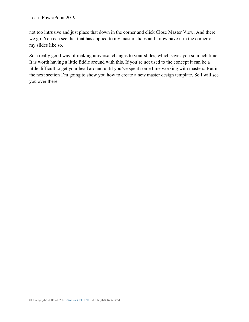not too intrusive and just place that down in the corner and click Close Master View. And there we go. You can see that that has applied to my master slides and I now have it in the corner of my slides like so.

So a really good way of making universal changes to your slides, which saves you so much time. It is worth having a little fiddle around with this. If you're not used to the concept it can be a little difficult to get your head around until you've spent some time working with masters. But in the next section I'm going to show you how to create a new master design template. So I will see you over there.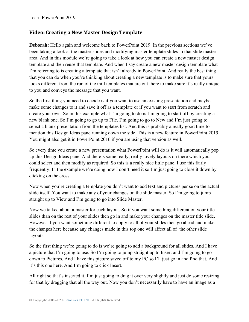## **Video: Creating a New Master Design Template**

**Deborah:** Hello again and welcome back to PowerPoint 2019. In the previous sections we've been taking a look at the master slides and modifying master template slides in that slide master area. And in this module we're going to take a look at how you can create a new master design template and then reuse that template. And when I say create a new master design template what I'm referring to is creating a template that isn't already in PowerPoint. And really the best thing that you can do when you're thinking about creating a new template is to make sure that yours looks different from the run of the mill templates that are out there to make sure it's really unique to you and conveys the message that you want.

So the first thing you need to decide is if you want to use an existing presentation and maybe make some changes to it and save it off as a template or if you want to start from scratch and create your own. So in this example what I'm going to do is I'm going to start off by creating a new blank one. So I'm going to go up to File, I'm going to go to New and I'm just going to select a blank presentation from the templates list. And this is probably a really good time to mention this Design Ideas pane running down the side. This is a new feature in PowerPoint 2019. You might also get it in PowerPoint 2016 if you are using that version as well.

So every time you create a new presentation what PowerPoint will do is it will automatically pop up this Design Ideas pane. And there's some really, really lovely layouts on there which you could select and then modify as required. So this is a really nice little pane. I use this fairly frequently. In the example we're doing now I don't need it so I'm just going to close it down by clicking on the cross.

Now when you're creating a template you don't want to add text and pictures per se on the actual slide itself. You want to make any of your changes on the slide master. So I'm going to jump straight up to View and I'm going to go into Slide Master.

Now we talked about a master for each layout. So if you want something different on your title slides than on the rest of your slides then go in and make your changes on the master title slide. However if you want something different to apply to all of your slides then go ahead and make the changes here because any changes made in this top one will affect all of the other slide layouts.

So the first thing we're going to do is we're going to add a background for all slides. And I have a picture that I'm going to use. So I'm going to jump straight up to Insert and I'm going to go down to Pictures. And I have this picture saved off to my PC so I'll just go in and find that. And it's this one here. And I'm going to click Insert.

All right so that's inserted it. I'm just going to drag it over very slightly and just do some resizing for that by dragging that all the way out. Now you don't necessarily have to have an image as a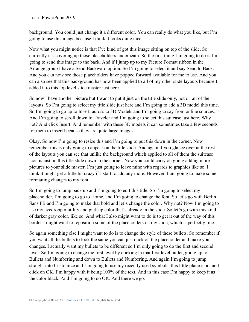background. You could just change it a different color. You can really do what you like, but I'm going to use this image because I think it looks quite nice.

Now what you might notice is that I've kind of got this image sitting on top of the slide. So currently it's covering up those placeholders underneath. So the first thing I'm going to do is I'm going to send this image to the back. And if I jump up to my Picture Format ribbon in the Arrange group I have a Send Backward option. So I'm going to select it and say Send to Back. And you can now see those placeholders have popped forward available for me to use. And you can also see that this background has now been applied to all of my other slide layouts because I added it to this top level slide master just here.

So now I have another picture but I want to put it just on the title slide only, not on all of the layouts. So I'm going to select my title slide just here and I'm going to add a 3D model this time. So I'm going to go up to Insert, across to 3D Models and I'm going to say from online sources. And I'm going to scroll down to Traveler and I'm going to select this suitcase just here. Why not? And click Insert. And remember with these 3D models it can sometimes take a few seconds for them to insert because they are quite large images.

Okay. So now I'm going to resize this and I'm going to put this down in the corner. Now remember this is only going to appear on the title slide. And again if you glance over at the rest of the layouts you can see that unlike the background which applied to all of them the suitcase icon is just on this title slide down in the corner. Now you could carry on going adding more pictures to your slide master. I'm just going to leave mine with regards to graphics like so. I think it might get a little bit crazy if I start to add any more. However, I am going to make some formatting changes to my font.

So I'm going to jump back up and I'm going to edit this title. So I'm going to select my placeholder, I'm going to go to Home, and I'm going to change the font. So let's go with Berlin Sans FB and I'm going to make that bold and let's change the color. Why not? Now I'm going to use my eyedropper utility and pick up color that's already in the slide. So let's go with this kind of darker gray color, like so. And what I also might want to do is to get it out of the way of this border I might want to reposition some of the placeholders on my slide, which is perfectly fine.

So again something else I might want to do is to change the style of these bullets. So remember if you want all the bullets to look the same you can just click on the placeholder and make your changes. I actually want my bullets to be different so I'm only going to do the first and second level. So I'm going to change the first level by clicking in that first level bullet, going up to Bullets and Numbering and down to Bullets and Numbering. And again I'm going to jump straight into Customize and I'm going to use my recently used symbols, this little plane icon, and click on OK. I'm happy with it being 100% of the text. And in this case I'm happy to keep it as the color black. And I'm going to do OK. And there we go.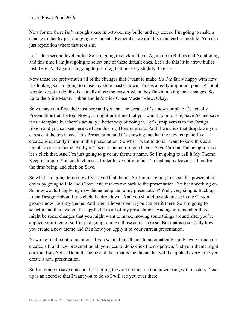Now for me there isn't enough space in between my bullet and my text so I'm going to make a change to that by just dragging my indents. Remember we did this in an earlier module. You can just reposition where that text sits.

Let's do a second level bullet. So I'm going to click in there. Again up to Bullets and Numbering and this time I am just going to select one of these default ones. Let's do this little arrow bullet just there. And again I'm going to just drag that out very slightly, like so.

Now those are pretty much all of the changes that I want to make. So I'm fairly happy with how it's looking so I'm going to close my slide master down. This is a really important point. A lot of people forget to do this, is actually close the master when they finish making their changes. So up to the Slide Master ribbon and let's click Close Master View. Okay.

So we have our first slide just here and you can see because it's a new template it's actually Presentation1 at the top. Now you might just think that you would go into File, Save As and save it as a template but there's actually a better way of doing it. Let's jump across to the Design ribbon and you can see here we have this big Themes group. And if we click that dropdown you can see at the top it says This Presentation and it's showing me that the new template I've created is currently in use in this presentation. So what I want to do is I want to save this as a template or as a theme. And you'll see at the bottom you have a Save Current Theme option, so let's click that. And I'm just going to give my theme a name. So I'm going to call it My Theme. Keep it simple. You could choose a folder to save it into but I'm just happy leaving it here for the time being, and click on Save.

So what I'm going to do now I've saved that theme. So I'm just going to close this presentation down by going to File and Close. And it takes me back to the presentation I've been working on. So how would I apply my new theme template to my presentation? Well, very simple. Back up to the Design ribbon. Let's click the dropdown. And you should be able to see in the Custom group I now have my theme. And when I hover over it you can see it there. So I'm going to select it and there we go. It's applied it to all of my presentation. And again remember there might be some changes that you might want to make, moving some things around after you've applied your theme. So I'm just going to move those across like so. But that is essentially how you create a new theme and then how you apply it to your current presentation.

Now one final point to mention. If you wanted this theme to automatically apply every time you created a brand new presentation all you need to do is click the dropdown, find your theme, right click and say Set as Default Theme and then that is the theme that will be applied every time you create a new presentation.

So I'm going to save this and that's going to wrap up this section on working with masters. Next up is an exercise that I want you to do so I will see you over there.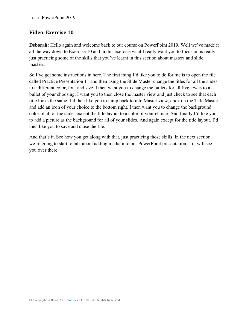## **Video: Exercise 10**

**Deborah:** Hello again and welcome back to our course on PowerPoint 2019. Well we've made it all the way down to Exercise 10 and in this exercise what I really want you to focus on is really just practicing some of the skills that you've learnt in this section about masters and slide masters.

So I've got some instructions in here. The first thing I'd like you to do for me is to open the file called Practice Presentation 11 and then using the Slide Master change the titles for all the slides to a different color, font and size. I then want you to change the bullets for all five levels to a bullet of your choosing. I want you to then close the master view and just check to see that each title looks the same. I'd then like you to jump back to into Master view, click on the Title Master and add an icon of your choice to the bottom right. I then want you to change the background color of all of the slides except the title layout to a color of your choice. And finally I'd like you to add a picture as the background for all of your slides. And again except for the title layout. I'd then like you to save and close the file.

And that's it. See how you get along with that, just practicing those skills. In the next section we're going to start to talk about adding media into our PowerPoint presentation, so I will see you over there.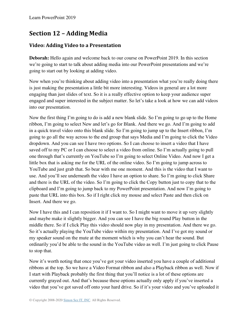# **Section 12 – Adding Media**

## **Video: Adding Video to a Presentation**

**Deborah:** Hello again and welcome back to our course on PowerPoint 2019. In this section we're going to start to talk about adding media into our PowerPoint presentations and we're going to start out by looking at adding video.

Now when you're thinking about adding video into a presentation what you're really doing there is just making the presentation a little bit more interesting. Videos in general are a lot more engaging than just slides of text. So it is a really effective option to keep your audience super engaged and super interested in the subject matter. So let's take a look at how we can add videos into our presentation.

Now the first thing I'm going to do is add a new blank slide. So I'm going to go up to the Home ribbon, I'm going to select New and let's go for Blank. And there we go. And I'm going to add in a quick travel video onto this blank slide. So I'm going to jump up to the Insert ribbon, I'm going to go all the way across to the end group that says Media and I'm going to click the Video dropdown. And you can see I have two options. So I can choose to insert a video that I have saved off to my PC or I can choose to select a video from online. So I'm actually going to pull one through that's currently on YouTube so I'm going to select Online Video. And now I get a little box that is asking me for the URL of the online video. So I'm going to jump across to YouTube and just grab that. So bear with me one moment. And this is the video that I want to use. And you'll see underneath the video I have an option to share. So I'm going to click Share and there is the URL of the video. So I'm going to click the Copy button just to copy that to the clipboard and I'm going to jump back to my PowerPoint presentation. And now I'm going to paste that URL into this box. So if I right click my mouse and select Paste and then click on Insert. And there we go.

Now I have this and I can reposition it if I want to. So I might want to move it up very slightly and maybe make it slightly bigger. And you can see I have the big round Play button in the middle there. So if I click Play this video should now play in my presentation. And there we go. So it's actually playing the YouTube video within my presentation. And I've got my sound or my speaker sound on the mute at the moment which is why you can't hear the sound. But ordinarily you'd be able to the sound in the YouTube video as well. I'm just going to click Pause to stop that.

Now it's worth noting that once you've got your video inserted you have a couple of additional ribbons at the top. So we have a Video Format ribbon and also a Playback ribbon as well. Now if I start with Playback probably the first thing that you'll notice is a lot of these options are currently grayed out. And that's because these options actually only apply if you've inserted a video that you've got saved off onto your hard drive. So if it's your video and you've uploaded it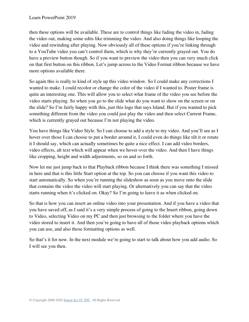then these options will be available. These are to control things like fading the video in, fading the video out, making some edits like trimming the video. And also doing things like looping the video and rewinding after playing. Now obviously all of these options if you're linking through to a YouTube video you can't control them, which is why they're currently grayed out. You do have a preview button though. So if you want to preview the video then you can very much click on that first button on this ribbon. Let's jump across to the Video Format ribbon because we have more options available there.

So again this is really to kind of style up this video window. So I could make any corrections I wanted to make. I could recolor or change the color of the video if I wanted to. Poster frame is quite an interesting one. This will allow you to select what frame of the video you see before the video starts playing. So when you go to the slide what do you want to show on the screen or on the slide? So I'm fairly happy with this, just this logo that says Island. But if you wanted to pick something different from the video you could just play the video and then select Current Frame, which is currently grayed out because I'm not playing the video.

You have things like Video Style. So I can choose to add a style to my video. And you'll see as I hover over those I can choose to put a border around it, I could even do things like tilt it or rotate it I should say, which can actually sometimes be quite a nice effect. I can add video borders, video effects, alt text which will appear when we hover over the video. And then I have things like cropping, height and width adjustments, so on and so forth.

Now let me just jump back to that Playback ribbon because I think there was something I missed in here and that is this little Start option at the top. So you can choose if you want this video to start automatically. So when you're running the slideshow as soon as you move onto the slide that contains the video the video will start playing. Or alternatively you can say that the video starts running when it's clicked on. Okay? So I'm going to leave it as when clicked on.

So that is how you can insert an online video into your presentation. And if you have a video that you have saved off, as I said it's a very simple process of going to the Insert ribbon, going down to Video, selecting Video on my PC and then just browsing to the folder where you have the video stored to insert it. And then you're going to have all of those video playback options which you can use, and also those formatting options as well.

So that's it for now. In the next module we're going to start to talk about how you add audio. So I will see you then.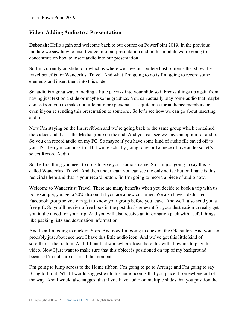#### **Video: Adding Audio to a Presentation**

**Deborah:** Hello again and welcome back to our course on PowerPoint 2019. In the previous module we saw how to insert video into our presentation and in this module we're going to concentrate on how to insert audio into our presentation.

So I'm currently on slide four which is where we have our bulleted list of items that show the travel benefits for Wanderlust Travel. And what I'm going to do is I'm going to record some elements and insert them into this slide.

So audio is a great way of adding a little pizzazz into your slide so it breaks things up again from having just text on a slide or maybe some graphics. You can actually play some audio that maybe comes from you to make it a little bit more personal. It's quite nice for audience members or even if you're sending this presentation to someone. So let's see how we can go about inserting audio.

Now I'm staying on the Insert ribbon and we're going back to the same group which contained the videos and that is the Media group on the end. And you can see we have an option for audio. So you can record audio on my PC. So maybe if you have some kind of audio file saved off to your PC then you can insert it. But we're actually going to record a piece of live audio so let's select Record Audio.

So the first thing you need to do is to give your audio a name. So I'm just going to say this is called Wanderlust Travel. And then underneath you can see the only active button I have is this red circle here and that is your record button. So I'm going to record a piece of audio now.

Welcome to Wanderlust Travel. There are many benefits when you decide to book a trip with us. For example, you get a 20% discount if you are a new customer. We also have a dedicated Facebook group so you can get to know your group before you leave. And we'll also send you a free gift. So you'll receive a free book in the post that's relevant for your destination to really get you in the mood for your trip. And you will also receive an information pack with useful things like packing lists and destination information.

And then I'm going to click on Stop. And now I'm going to click on the OK button. And you can probably just about see here I have this little audio icon. And we've got this little kind of scrollbar at the bottom. And if I put that somewhere down here this will allow me to play this video. Now I just want to make sure that this object is positioned on top of my background because I'm not sure if it is at the moment.

I'm going to jump across to the Home ribbon, I'm going to go to Arrange and I'm going to say Bring to Front. What I would suggest with this audio icon is that you place it somewhere out of the way. And I would also suggest that if you have audio on multiple slides that you position the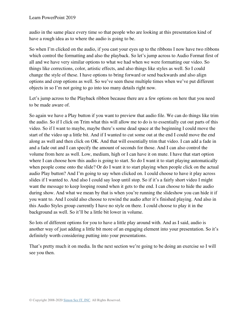audio in the same place every time so that people who are looking at this presentation kind of have a rough idea as to where the audio is going to be.

So when I'm clicked on the audio, if you cast your eyes up to the ribbons I now have two ribbons which control the formatting and also the playback. So let's jump across to Audio Format first of all and we have very similar options to what we had when we were formatting our video. So things like corrections, color, artistic effects, and also things like styles as well. So I could change the style of these. I have options to bring forward or send backwards and also align options and crop options as well. So we've seen these multiple times when we've put different objects in so I'm not going to go into too many details right now.

Let's jump across to the Playback ribbon because there are a few options on here that you need to be made aware of.

So again we have a Play button if you want to preview that audio file. We can do things like trim the audio. So if I click on Trim what this will allow me to do is to essentially cut out parts of this video. So if I want to maybe, maybe there's some dead space at the beginning I could move the start of the video up a little bit. And if I wanted to cut some out at the end I could move the end along as well and then click on OK. And that will essentially trim that video. I can add a fade in and a fade out and I can specify the amount of seconds for those. And I can also control the volume from here as well. Low, medium, high or I can have it on mute. I have that start option where I can choose how this audio is going to start. So do I want it to start playing automatically when people come onto the slide? Or do I want it to start playing when people click on the actual audio Play button? And I'm going to say when clicked on. I could choose to have it play across slides if I wanted to. And also I could say loop until stop. So if it's a fairly short video I might want the message to keep looping round when it gets to the end. I can choose to hide the audio during show. And what we mean by that is when you're running the slideshow you can hide it if you want to. And I could also choose to rewind the audio after it's finished playing. And also in this Audio Styles group currently I have no style on there. I could choose to play it in the background as well. So it'll be a little bit lower in volume.

So lots of different options for you to have a little play around with. And as I said, audio is another way of just adding a little bit more of an engaging element into your presentation. So it's definitely worth considering putting into your presentations.

That's pretty much it on media. In the next section we're going to be doing an exercise so I will see you then.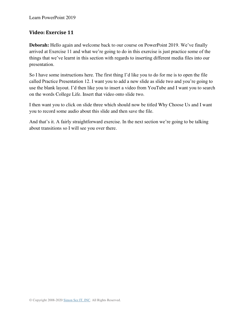#### **Video: Exercise 11**

**Deborah:** Hello again and welcome back to our course on PowerPoint 2019. We've finally arrived at Exercise 11 and what we're going to do in this exercise is just practice some of the things that we've learnt in this section with regards to inserting different media files into our presentation.

So I have some instructions here. The first thing I'd like you to do for me is to open the file called Practice Presentation 12. I want you to add a new slide as slide two and you're going to use the blank layout. I'd then like you to insert a video from YouTube and I want you to search on the words College Life. Insert that video onto slide two.

I then want you to click on slide three which should now be titled Why Choose Us and I want you to record some audio about this slide and then save the file.

And that's it. A fairly straightforward exercise. In the next section we're going to be talking about transitions so I will see you over there.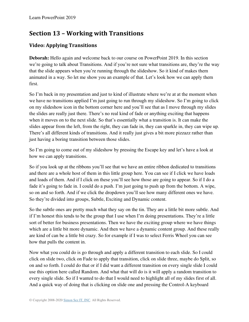# **Section 13 – Working with Transitions**

## **Video: Applying Transitions**

**Deborah:** Hello again and welcome back to our course on PowerPoint 2019. In this section we're going to talk about Transitions. And if you're not sure what transitions are, they're the way that the slide appears when you're running through the slideshow. So it kind of makes them animated in a way. So let me show you an example of that. Let's look how we can apply them first.

So I'm back in my presentation and just to kind of illustrate where we're at at the moment when we have no transitions applied I'm just going to run through my slideshow. So I'm going to click on my slideshow icon in the bottom corner here and you'll see that as I move through my slides the slides are really just there. There's no real kind of fade or anything exciting that happens when it moves on to the next slide. So that's essentially what a transition is. It can make the slides appear from the left, from the right, they can fade in, they can sparkle in, they can wipe up. There's all different kinds of transitions. And it really just gives a bit more pizzazz rather than just having a boring transition between those slides.

So I'm going to come out of my slideshow by pressing the Escape key and let's have a look at how we can apply transitions.

So if you look up at the ribbons you'll see that we have an entire ribbon dedicated to transitions and there are a whole host of them in this little group here. You can see if I click we have loads and loads of them. And if I click on these you'll see how those are going to appear. So if I do a fade it's going to fade in. I could do a push. I'm just going to push up from the bottom. A wipe, so on and so forth. And if we click the dropdown you'll see how many different ones we have. So they're divided into groups, Subtle, Exciting and Dynamic content.

So the subtle ones are pretty much what they say on the tin. They are a little bit more subtle. And if I'm honest this tends to be the group that I use when I'm doing presentations. They're a little sort of better for business presentations. Then we have the exciting group where we have things which are a little bit more dynamic. And then we have a dynamic content group. And these really are kind of can be a little bit crazy. So for example if I was to select Ferris Wheel you can see how that pulls the content in.

Now what you could do is go through and apply a different transition to each slide. So I could click on slide two, click on Fade to apply that transition, click on slide three, maybe do Split, so on and so forth. I could do that or if I did want a different transition on every single slide I could use this option here called Random. And what that will do is it will apply a random transition to every single slide. So if I wanted to do that I would need to highlight all of my slides first of all. And a quick way of doing that is clicking on slide one and pressing the Control-A keyboard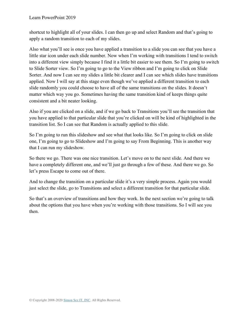shortcut to highlight all of your slides. I can then go up and select Random and that's going to apply a random transition to each of my slides.

Also what you'll see is once you have applied a transition to a slide you can see that you have a little star icon under each slide number. Now when I'm working with transitions I tend to switch into a different view simply because I find it a little bit easier to see them. So I'm going to switch to Slide Sorter view. So I'm going to go to the View ribbon and I'm going to click on Slide Sorter. And now I can see my slides a little bit clearer and I can see which slides have transitions applied. Now I will say at this stage even though we've applied a different transition to each slide randomly you could choose to have all of the same transitions on the slides. It doesn't matter which way you go. Sometimes having the same transition kind of keeps things quite consistent and a bit neater looking.

Also if you are clicked on a slide, and if we go back to Transitions you'll see the transition that you have applied to that particular slide that you're clicked on will be kind of highlighted in the transition list. So I can see that Random is actually applied to this slide.

So I'm going to run this slideshow and see what that looks like. So I'm going to click on slide one, I'm going to go to Slideshow and I'm going to say From Beginning. This is another way that I can run my slideshow.

So there we go. There was one nice transition. Let's move on to the next slide. And there we have a completely different one, and we'll just go through a few of these. And there we go. So let's press Escape to come out of there.

And to change the transition on a particular slide it's a very simple process. Again you would just select the slide, go to Transitions and select a different transition for that particular slide.

So that's an overview of transitions and how they work. In the next section we're going to talk about the options that you have when you're working with those transitions. So I will see you then.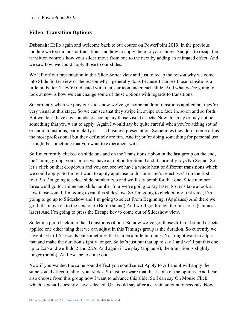## **Video: Transition Options**

**Deborah:** Hello again and welcome back to our course on PowerPoint 2019. In the previous module we took a look at transitions and how to apply them to your slides. And just to recap, the transition controls how your slides move from one to the next by adding an animated effect. And we saw how we could apply those to our slides.

We left off our presentation in this Slide Sorter view and just to recap the reason why we come into Slide Sorter view or the reason why I generally do is because I can see those transitions a little bit better. They're indicated with that star icon under each slide. And what we're going to look at now is how we can change some of those options with regards to transitions.

So currently when we play our slideshow we've got some random transitions applied but they're very visual at this stage. So we can see that they swipe in, swipe out, fade in, so on and so forth. But we don't have any sounds to accompany those visual effects. Now this may or may not be something that you want to apply. Again I would say be quite careful when you're adding sound or audio transitions, particularly if it's a business presentation. Sometimes they don't come off as the most professional but they definitely are fun. And if you're doing something for personal use it might be something that you want to experiment with.

So I'm currently clicked on slide one and on the Transitions ribbon in the last group on the end, the Timing group, you can see we have an option for Sound and it currently says No Sound. So let's click on that dropdown and you can see we have a whole host of different transitions which we could apply. So I might want to apply applause to this one. Let's select, we'll do the first four. So I'm going to select slide number two and we'll say bomb for that one. Slide number three we'll go for chime and slide number four we're going to say laser. So let's take a look at how those sound. I'm going to run this slideshow. So I'm going to click on my first slide, I'm going to go up to Slideshow and I'm going to select From Beginning. (Applause) And there we go. Let's move on to the next one. (Bomb sound) And we'll go through the first four. (Chimes, laser) And I'm going to press the Escape key to come out of Slideshow view.

So let me jump back into that Transitions ribbon. So now we've got those different sound effects applied one other thing that we can adjust in this Timings group is the duration. So currently we have it set to 1.5 seconds but sometimes that can be a little bit quick. You might want to adjust that and make the duration slightly longer. So let's just put that up to say 2 and we'll put this one up to 2.25 and we'll do 2 and 2.25. And again if we play (applause), the transition is slightly longer (bomb). And Escape to come out.

Now if you wanted the same sound effect you could select Apply to All and it will apply the same sound effect to all of your slides. So just be aware that that is one of the options. And I can also choose from this group how I want to advance this slide. So I can say On Mouse Click which is what I currently have selected. Or I could say after a certain amount of seconds. Now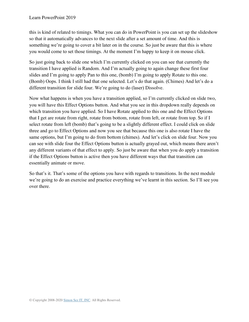this is kind of related to timings. What you can do in PowerPoint is you can set up the slideshow so that it automatically advances to the next slide after a set amount of time. And this is something we're going to cover a bit later on in the course. So just be aware that this is where you would come to set those timings. At the moment I'm happy to keep it on mouse click.

So just going back to slide one which I'm currently clicked on you can see that currently the transition I have applied is Random. And I'm actually going to again change these first four slides and I'm going to apply Pan to this one, (bomb) I'm going to apply Rotate to this one. (Bomb) Oops. I think I still had that one selected. Let's do that again. (Chimes) And let's do a different transition for slide four. We're going to do (laser) Dissolve.

Now what happens is when you have a transition applied, so I'm currently clicked on slide two, you will have this Effect Options button. And what you see in this dropdown really depends on which transition you have applied. So I have Rotate applied to this one and the Effect Options that I get are rotate from right, rotate from bottom, rotate from left, or rotate from top. So if I select rotate from left (bomb) that's going to be a slightly different effect. I could click on slide three and go to Effect Options and now you see that because this one is also rotate I have the same options, but I'm going to do from bottom (chimes). And let's click on slide four. Now you can see with slide four the Effect Options button is actually grayed out, which means there aren't any different variants of that effect to apply. So just be aware that when you do apply a transition if the Effect Options button is active then you have different ways that that transition can essentially animate or move.

So that's it. That's some of the options you have with regards to transitions. In the next module we're going to do an exercise and practice everything we've learnt in this section. So I'll see you over there.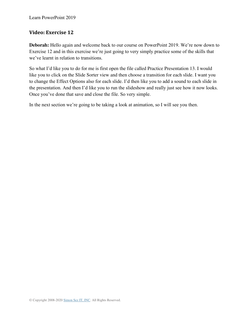#### **Video: Exercise 12**

**Deborah:** Hello again and welcome back to our course on PowerPoint 2019. We're now down to Exercise 12 and in this exercise we're just going to very simply practice some of the skills that we've learnt in relation to transitions.

So what I'd like you to do for me is first open the file called Practice Presentation 13. I would like you to click on the Slide Sorter view and then choose a transition for each slide. I want you to change the Effect Options also for each slide. I'd then like you to add a sound to each slide in the presentation. And then I'd like you to run the slideshow and really just see how it now looks. Once you've done that save and close the file. So very simple.

In the next section we're going to be taking a look at animation, so I will see you then.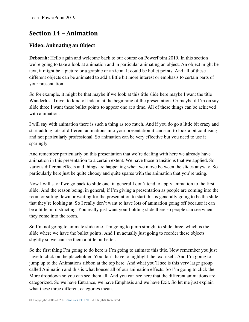## **Section 14 – Animation**

## **Video: Animating an Object**

**Deborah:** Hello again and welcome back to our course on PowerPoint 2019. In this section we're going to take a look at animation and in particular animating an object. An object might be text, it might be a picture or a graphic or an icon. It could be bullet points. And all of these different objects can be animated to add a little bit more interest or emphasis to certain parts of your presentation.

So for example, it might be that maybe if we look at this title slide here maybe I want the title Wanderlust Travel to kind of fade in at the beginning of the presentation. Or maybe if I'm on say slide three I want these bullet points to appear one at a time. All of these things can be achieved with animation.

I will say with animation there is such a thing as too much. And if you do go a little bit crazy and start adding lots of different animations into your presentation it can start to look a bit confusing and not particularly professional. So animation can be very effective but you need to use it sparingly.

And remember particularly on this presentation that we're dealing with here we already have animation in this presentation to a certain extent. We have those transitions that we applied. So various different effects and things are happening when we move between the slides anyway. So particularly here just be quite choosy and quite sparse with the animation that you're using.

Now I will say if we go back to slide one, in general I don't tend to apply animation to the first slide. And the reason being, in general, if I'm giving a presentation as people are coming into the room or sitting down or waiting for the presentation to start this is generally going to be the slide that they're looking at. So I really don't want to have lots of animation going off because it can be a little bit distracting. You really just want your holding slide there so people can see when they come into the room.

So I'm not going to animate slide one. I'm going to jump straight to slide three, which is the slide where we have the bullet points. And I'm actually just going to reorder these objects slightly so we can see them a little bit better.

So the first thing I'm going to do here is I'm going to animate this title. Now remember you just have to click on the placeholder. You don't have to highlight the text itself. And I'm going to jump up to the Animations ribbon at the top here. And what you'll see is this very large group called Animation and this is what houses all of our animation effects. So I'm going to click the More dropdown so you can see them all. And you can see here that the different animations are categorized. So we have Entrance, we have Emphasis and we have Exit. So let me just explain what these three different categories mean.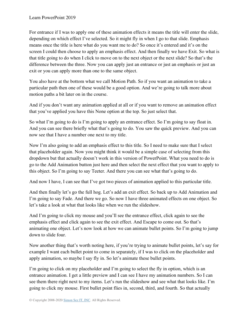For entrance if I was to apply one of these animation effects it means the title will enter the slide, depending on which effect I've selected. So it might fly in when I go to that slide. Emphasis means once the title is here what do you want me to do? So once it's entered and it's on the screen I could then choose to apply an emphasis effect. And then finally we have Exit. So what is that title going to do when I click to move on to the next object or the next slide? So that's the difference between the three. Now you can apply just an entrance or just an emphasis or just an exit or you can apply more than one to the same object.

You also have at the bottom what we call Motion Path. So if you want an animation to take a particular path then one of these would be a good option. And we're going to talk more about motion paths a bit later on in the course.

And if you don't want any animation applied at all or if you want to remove an animation effect that you've applied you have this None option at the top. So just select that.

So what I'm going to do is I'm going to apply an entrance effect. So I'm going to say float in. And you can see there briefly what that's going to do. You saw the quick preview. And you can now see that I have a number one next to my title.

Now I'm also going to add an emphasis effect to this title. So I need to make sure that I select that placeholder again. Now you might think it would be a simple case of selecting from this dropdown but that actually doesn't work in this version of PowerPoint. What you need to do is go to the Add Animation button just here and then select the next effect that you want to apply to this object. So I'm going to say Teeter. And there you can see what that's going to do.

And now I have, I can see that I've got two pieces of animation applied to this particular title.

And then finally let's go the full hog. Let's add an exit effect. So back up to Add Animation and I'm going to say Fade. And there we go. So now I have three animated effects on one object. So let's take a look at what that looks like when we run the slideshow.

And I'm going to click my mouse and you'll see the entrance effect, click again to see the emphasis effect and click again to see the exit effect. And Escape to come out. So that's animating one object. Let's now look at how we can animate bullet points. So I'm going to jump down to slide four.

Now another thing that's worth noting here, if you're trying to animate bullet points, let's say for example I want each bullet point to come in separately, if I was to click on the placeholder and apply animation, so maybe I say fly in. So let's animate these bullet points.

I'm going to click on my placeholder and I'm going to select the fly in option, which is an entrance animation. I get a little preview and I can see I have my animation numbers. So I can see them there right next to my items. Let's run the slideshow and see what that looks like. I'm going to click my mouse. First bullet point flies in, second, third, and fourth. So that actually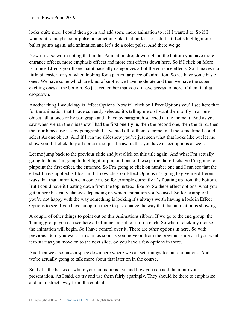looks quite nice. I could then go in and add some more animation to it if I wanted to. So if I wanted it to maybe color pulse or something like that, in fact let's do that. Let's highlight our bullet points again, add animation and let's do a color pulse. And there we go.

Now it's also worth noting that in this Animation dropdown right at the bottom you have more entrance effects, more emphasis effects and more exit effects down here. So if I click on More Entrance Effects you'll see that it basically categorizes all of the entrance effects. So it makes it a little bit easier for you when looking for a particular piece of animation. So we have some basic ones. We have some which are kind of subtle, we have moderate and then we have the super exciting ones at the bottom. So just remember that you do have access to more of them in that dropdown.

Another thing I would say is Effect Options. Now if I click on Effect Options you'll see here that for the animation that I have currently selected it's telling me do I want them to fly in as one object, all at once or by paragraph and I have by paragraph selected at the moment. And as you saw when we ran the slideshow I had the first one fly in, then the second one, then the third, then the fourth because it's by paragraph. If I wanted all of them to come in at the same time I could select As one object. And if I run the slideshow you've just seen what that looks like but let me show you. If I click they all come in. so just be aware that you have effect options as well.

Let me jump back to the previous slide and just click on this title again. And what I'm actually going to do is I'm going to highlight or pinpoint one of these particular effects. So I'm going to pinpoint the first effect, the entrance. So I'm going to click on number one and I can see that the effect I have applied is Float In. If I now click on Effect Options it's going to give me different ways that that animation can come in. So for example currently it's floating up from the bottom. But I could have it floating down from the top instead, like so. So these effect options, what you get in here basically changes depending on which animation you've used. So for example if you're not happy with the way something is looking it's always worth having a look in Effect Options to see if you have an option there to just change the way that that animation is showing.

A couple of other things to point out on this Animations ribbon. If we go to the end group, the Timing group, you can see here all of mine are set to start on click. So when I click my mouse the animation will begin. So I have control over it. There are other options in here. So with previous. So if you want it to start as soon as you move on from the previous slide or if you want it to start as you move on to the next slide. So you have a few options in there.

And then we also have a space down here where we can set timings for our animations. And we're actually going to talk more about that later on in the course.

So that's the basics of where your animations live and how you can add them into your presentation. As I said, do try and use them fairly sparingly. They should be there to emphasize and not distract away from the content.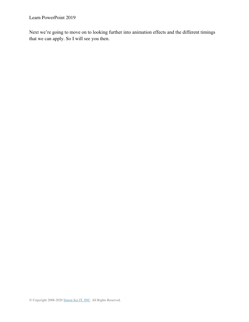Learn PowerPoint 2019

Next we're going to move on to looking further into animation effects and the different timings that we can apply. So I will see you then.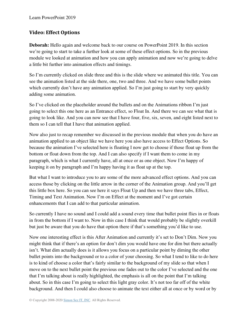## **Video: Effect Options**

**Deborah:** Hello again and welcome back to our course on PowerPoint 2019. In this section we're going to start to take a further look at some of these effect options. So in the previous module we looked at animation and how you can apply animation and now we're going to delve a little bit further into animation effects and timings.

So I'm currently clicked on slide three and this is the slide where we animated this title. You can see the animation listed at the side there, one, two and three. And we have some bullet points which currently don't have any animation applied. So I'm just going to start by very quickly adding some animation.

So I've clicked on the placeholder around the bullets and on the Animations ribbon I'm just going to select this one here as an Entrance effect, so Float In. And there we can see what that is going to look like. And you can now see that I have four, five, six, seven, and eight listed next to them so I can tell that I have that animation applied.

Now also just to recap remember we discussed in the previous module that when you do have an animation applied to an object like we have here you also have access to Effect Options. So because the animation I've selected here is floating I now get to choose if those float up from the bottom or float down from the top. And I can also specify if I want them to come in my paragraph, which is what I currently have, all at once or as one object. Now I'm happy of keeping it on by paragraph and I'm happy having it as float up at the top.

But what I want to introduce you to are some of the more advanced effect options. And you can access those by clicking on the little arrow in the corner of the Animation group. And you'll get this little box here. So you can see here it says Float Up and then we have three tabs, Effect, Timing and Text Animation. Now I'm on Effect at the moment and I've got certain enhancements that I can add to that particular animation.

So currently I have no sound and I could add a sound every time that bullet point flies in or floats in from the bottom if I want to. Now in this case I think that would probably be slightly overkill but just be aware that you do have that option there if that's something you'd like to use.

Now one interesting effect is this After Animation and currently it's set to Don't Dim. Now you might think that if there's an option for don't dim you would have one for dim but there actually isn't. What dim actually does is it allows you focus on a particular point by diming the other bullet points into the background or to a color of your choosing. So what I tend to like to do here is to kind of choose a color that's fairly similar to the background of my slide so that when I move on to the next bullet point the previous one fades out to the color I've selected and the one that I'm talking about is really highlighted, the emphasis is all on the point that I'm talking about. So in this case I'm going to select this light gray color. It's not too far off of the white background. And then I could also choose to animate the text either all at once or by word or by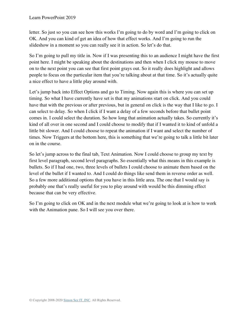letter. So just so you can see how this works I'm going to do by word and I'm going to click on OK. And you can kind of get an idea of how that effect works. And I'm going to run the slideshow in a moment so you can really see it in action. So let's do that.

So I'm going to pull my title in. Now if I was presenting this to an audience I might have the first point here. I might be speaking about the destinations and then when I click my mouse to move on to the next point you can see that first point grays out. So it really does highlight and allows people to focus on the particular item that you're talking about at that time. So it's actually quite a nice effect to have a little play around with.

Let's jump back into Effect Options and go to Timing. Now again this is where you can set up timing. So what I have currently have set is that my animations start on click. And you could have that with the previous or after previous, but in general on click is the way that I like to go. I can select to delay. So when I click if I want a delay of a few seconds before that bullet point comes in. I could select the duration. So how long that animation actually takes. So currently it's kind of all over in one second and I could choose to modify that if I wanted it to kind of unfold a little bit slower. And I could choose to repeat the animation if I want and select the number of times. Now Triggers at the bottom here, this is something that we're going to talk a little bit later on in the course.

So let's jump across to the final tab, Text Animation. Now I could choose to group my text by first level paragraph, second level paragraphs. So essentially what this means in this example is bullets. So if I had one, two, three levels of bullets I could choose to animate them based on the level of the bullet if I wanted to. And I could do things like send them in reverse order as well. So a few more additional options that you have in this little area. The one that I would say is probably one that's really useful for you to play around with would be this dimming effect because that can be very effective.

So I'm going to click on OK and in the next module what we're going to look at is how to work with the Animation pane. So I will see you over there.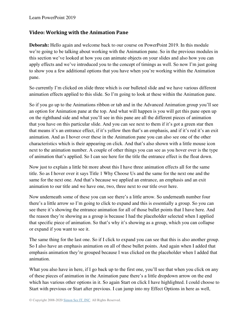#### **Video: Working with the Animation Pane**

**Deborah:** Hello again and welcome back to our course on PowerPoint 2019. In this module we're going to be talking about working with the Animation pane. So in the previous modules in this section we've looked at how you can animate objects on your slides and also how you can apply effects and we've introduced you to the concept of timings as well. So now I'm just going to show you a few additional options that you have when you're working within the Animation pane.

So currently I'm clicked on slide three which is our bulleted slide and we have various different animation effects applied to this slide. So I'm going to look at these within the Animation pane.

So if you go up to the Animations ribbon or tab and in the Advanced Animation group you'll see an option for Animation pane at the top. And what will happen is you will get this pane open up on the righthand side and what you'll see in this pane are all the different pieces of animation that you have on this particular slide. And you can see next to them if it's got a green star then that means it's an entrance effect, if it's yellow then that's an emphasis, and if it's red it's an exit animation. And as I hover over these in the Animation pane you can also see one of the other characteristics which is their appearing on click. And that's also shown with a little mouse icon next to the animation number. A couple of other things you can see as you hover over is the type of animation that's applied. So I can see here for the title the entrance effect is the float down.

Now just to explain a little bit more about this I have three animation effects all for the same title. So as I hover over it says Title 1 Why Choose Us and the same for the next one and the same for the next one. And that's because we applied an entrance, an emphasis and an exit animation to our title and we have one, two, three next to our title over here.

Now underneath some of these you can see there's a little arrow. So underneath number four there's a little arrow so I'm going to click to expand and this is essentially a group. So you can see there it's showing the entrance animation for all of those bullet points that I have here. And the reason they're showing as a group is because I had the placeholder selected when I applied that specific piece of animation. So that's why it's showing as a group, which you can collapse or expand if you want to see it.

The same thing for the last one. So if I click to expand you can see that this is also another group. So I also have an emphasis animation on all of these bullet points. And again when I added that emphasis animation they're grouped because I was clicked on the placeholder when I added that animation.

What you also have in here, if I go back up to the first one, you'll see that when you click on any of these pieces of animation in the Animation pane there's a little dropdown arrow on the end which has various other options in it. So again Start on click I have highlighted. I could choose to Start with previous or Start after previous. I can jump into my Effect Options in here as well,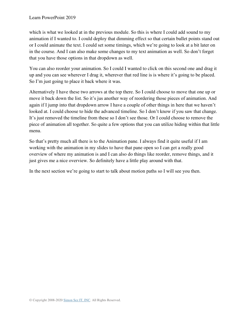which is what we looked at in the previous module. So this is where I could add sound to my animation if I wanted to. I could deploy that dimming effect so that certain bullet points stand out or I could animate the text. I could set some timings, which we're going to look at a bit later on in the course. And I can also make some changes to my text animation as well. So don't forget that you have those options in that dropdown as well.

You can also reorder your animation. So I could I wanted to click on this second one and drag it up and you can see wherever I drag it, wherever that red line is is where it's going to be placed. So I'm just going to place it back where it was.

Alternatively I have these two arrows at the top there. So I could choose to move that one up or move it back down the list. So it's jus another way of reordering those pieces of animation. And again if I jump into that dropdown arrow I have a couple of other things in here that we haven't looked at. I could choose to hide the advanced timeline. So I don't know if you saw that change. It's just removed the timeline from these so I don't see those. Or I could choose to remove the piece of animation all together. So quite a few options that you can utilize hiding within that little menu.

So that's pretty much all there is to the Animation pane. I always find it quite useful if I am working with the animation in my slides to have that pane open so I can get a really good overview of where my animation is and I can also do things like reorder, remove things, and it just gives me a nice overview. So definitely have a little play around with that.

In the next section we're going to start to talk about motion paths so I will see you then.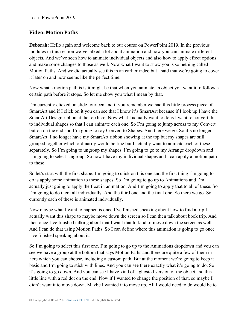#### **Video: Motion Paths**

**Deborah:** Hello again and welcome back to our course on PowerPoint 2019. In the previous modules in this section we've talked a lot about animation and how you can animate different objects. And we've seen how to animate individual objects and also how to apply effect options and make some changes to those as well. Now what I want to show you is something called Motion Paths. And we did actually see this in an earlier video but I said that we're going to cover it later on and now seems like the perfect time.

Now what a motion path is is it might be that when you animate an object you want it to follow a certain path before it stops. So let me show you what I mean by that.

I'm currently clicked on slide fourteen and if you remember we had this little process piece of SmartArt and if I click on it you can see that I know it's SmartArt because if I look up I have the SmartArt Design ribbon at the top here. Now what I actually want to do is I want to convert this to individual shapes so that I can animate each one. So I'm going to jump across to my Convert button on the end and I'm going to say Convert to Shapes. And there we go. So it's no longer SmartArt. I no longer have my SmartArt ribbon showing at the top but my shapes are still grouped together which ordinarily would be fine but I actually want to animate each of these separately. So I'm going to ungroup my shapes. I'm going to go to my Arrange dropdown and I'm going to select Ungroup. So now I have my individual shapes and I can apply a motion path to these.

So let's start with the first shape. I'm going to click on this one and the first thing I'm going to do is apply some animation to these shapes. So I'm going to go up to Animations and I'm actually just going to apply the float in animation. And I'm going to apply that to all of these. So I'm going to do them all individually. And the third one and the final one. So there we go. So currently each of these is animated individually.

Now maybe what I want to happen is once I've finished speaking about how to find a trip I actually want this shape to maybe move down the screen so I can then talk about book trip. And then once I've finished talking about that I want that to kind of move down the screen as well. And I can do that using Motion Paths. So I can define where this animation is going to go once I've finished speaking about it.

So I'm going to select this first one, I'm going to go up to the Animations dropdown and you can see we have a group at the bottom that says Motion Paths and there are quite a few of them in here which you can choose, including a custom path. But at the moment we're going to keep it basic and I'm going to stick with lines. And you can see there exactly what it's going to do. So it's going to go down. And you can see I have kind of a ghosted version of the object and this little line with a red dot on the end. Now if I wanted to change the position of that, so maybe I didn't want it to move down. Maybe I wanted it to move up. All I would need to do would be to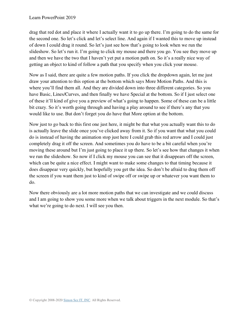drag that red dot and place it where I actually want it to go up there. I'm going to do the same for the second one. So let's click and let's select line. And again if I wanted this to move up instead of down I could drag it round. So let's just see how that's going to look when we run the slideshow. So let's run it. I'm going to click my mouse and there you go. You see they move up and then we have the two that I haven't yet put a motion path on. So it's a really nice way of getting an object to kind of follow a path that you specify when you click your mouse.

Now as I said, there are quite a few motion paths. If you click the dropdown again, let me just draw your attention to this option at the bottom which says More Motion Paths. And this is where you'll find them all. And they are divided down into three different categories. So you have Basic, Lines/Curves, and then finally we have Special at the bottom. So if I just select one of these it'll kind of give you a preview of what's going to happen. Some of these can be a little bit crazy. So it's worth going through and having a play around to see if there's any that you would like to use. But don't forget you do have that More option at the bottom.

Now just to go back to this first one just here, it might be that what you actually want this to do is actually leave the slide once you've clicked away from it. So if you want that what you could do is instead of having the animation stop just here I could grab this red arrow and I could just completely drag it off the screen. And sometimes you do have to be a bit careful when you're moving these around but I'm just going to place it up there. So let's see how that changes it when we run the slideshow. So now if I click my mouse you can see that it disappears off the screen, which can be quite a nice effect. I might want to make some changes to that timing because it does disappear very quickly, but hopefully you get the idea. So don't be afraid to drag them off the screen if you want them just to kind of swipe off or swipe up or whatever you want them to do.

Now there obviously are a lot more motion paths that we can investigate and we could discuss and I am going to show you some more when we talk about triggers in the next module. So that's what we're going to do next. I will see you then.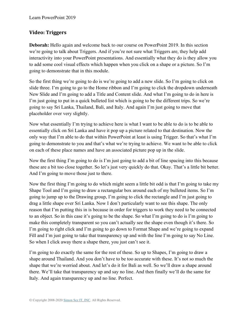#### **Video: Triggers**

**Deborah:** Hello again and welcome back to our course on PowerPoint 2019. In this section we're going to talk about Triggers. And if you're not sure what Triggers are, they help add interactivity into your PowerPoint presentations. And essentially what they do is they allow you to add some cool visual effects which happen when you click on a shape or a picture. So I'm going to demonstrate that in this module.

So the first thing we're going to do is we're going to add a new slide. So I'm going to click on slide three. I'm going to go to the Home ribbon and I'm going to click the dropdown underneath New Slide and I'm going to add a Title and Content slide. And what I'm going to do in here is I'm just going to put in a quick bulleted list which is going to be the different trips. So we're going to say Sri Lanka, Thailand, Bali, and Italy. And again I'm just going to move that placeholder over very slightly.

Now what essentially I'm trying to achieve here is what I want to be able to do is to be able to essentially click on Sri Lanka and have it pop up a picture related to that destination. Now the only way that I'm able to do that within PowerPoint at least is using Trigger. So that's what I'm going to demonstrate to you and that's what we're trying to achieve. We want to be able to click on each of these place names and have an associated picture pop up in the slide.

Now the first thing I'm going to do is I'm just going to add a bit of line spacing into this because these are a bit too close together. So let's just very quickly do that. Okay. That's a little bit better. And I'm going to move those just to there.

Now the first thing I'm going to do which might seem a little bit odd is that I'm going to take my Shape Tool and I'm going to draw a rectangular box around each of my bulleted items. So I'm going to jump up to the Drawing group, I'm going to click the rectangle and I'm just going to drag a little shape over Sri Lanka. Now I don't particularly want to see this shape. The only reason that I'm putting this in is because in order for triggers to work they need to be connected to an object. So in this case it's going to be the shape. So what I'm going to do is I'm going to make this completely transparent so you can't actually see the shape even though it's there. So I'm going to right click and I'm going to go down to Format Shape and we're going to expand Fill and I'm just going to take that transparency up and with the line I'm going to say No Line. So when I click away there a shape there, you just can't see it.

I'm going to do exactly the same for the rest of these. So up to Shapes, I'm going to draw a shape around Thailand. And you don't have to be too accurate with these. It's not so much the shape that we're worried about. And let's do it for Bali as well. So we'll draw a shape around there. We'll take that transparency up and say no line. And then finally we'll do the same for Italy. And again transparency up and no line. Perfect.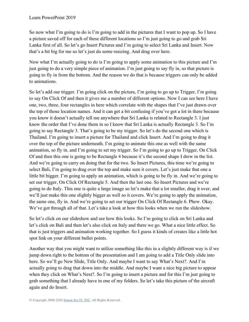So now what I'm going to do is I'm going to add in the pictures that I want to pop up. So I have a picture saved off for each of these different locations so I'm just going to go and grab Sri Lanka first of all. So let's go Insert Pictures and I'm going to select Sri Lanka and Insert. Now that's a bit big for me so let's just do some resizing. And drag over here.

Now what I'm actually going to do is I'm going to apply some animation to this picture and I'm just going to do a very simple piece of animation. I'm just going to say fly in, so that picture is going to fly in from the bottom. And the reason we do that is because triggers can only be added to animations.

So let's add our trigger. I'm going click on the picture, I'm going to go up to Trigger, I'm going to say On Click Of and then it gives me a number of different options. Now I can see here I have one, two, three, four rectangles in here which correlate with the shapes that I've just drawn over the top of those location names. And it can get a bit confusing if you've got a lot in there because you know it doesn't actually tell me anywhere that Sri Lanka is related to Rectangle 3. I just know the order that I've done them in so I know that Sri Lanka is actually Rectangle 3. So I'm going to say Rectangle 3. That's going to be my trigger. So let's do the second one which is Thailand. I'm going to insert a picture for Thailand and click Insert. And I'm going to drag it over the top of the picture underneath. I'm going to animate this one as well with the same animation, so fly in. and I'm going to set my trigger. So I'm going to go up to Trigger, On Click Of and then this one is going to be Rectangle 4 because it's the second shape I drew in the list. And we're going to carry on doing that for the two. So Insert Pictures, this time we're going to select Bali, I'm going to drag over the top and make sure it covers. Let's just make that one a little bit bigger. I'm going to apply an animation, which is going to be fly in. And we're going to set our trigger, On Click Of Rectangle 5. And then the last one. So Insert Pictures and we're going to do Italy. This one is quite a large image so let's make that a lot smaller, drag it over, and we'll just make this one slightly bigger as well so it covers. We're going to apply the animation, the same one, fly in. And we're going to set our trigger On Click Of Rectangle 6. Phew. Okay. We've got through all of that. Let's take a look at how this looks when we run the slideshow.

So let's click on our slideshow and see how this looks. So I'm going to click on Sri Lanka and let's click on Bali and then let's also click on Italy and there we go. What a nice little effect. So that is just triggers and animation working together. So I guess it kinds of creates like a little hot spot link on your different bullet points.

Another way that you might want to utilize something like this in a slightly different way is if we jump down right to the bottom of the presentation and I am going to add a Title Only slide into here. So we'll go New Slide, Title Only. And maybe I want to say What's Next?. And I'm actually going to drag that down into the middle. And maybe I want a nice big picture to appear when they click on What's Next?. So I'm going to insert a picture and for this I'm just going to grab something that I already have in one of my folders. So let's take this picture of the aircraft again and do Insert.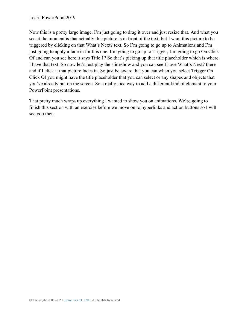Now this is a pretty large image. I'm just going to drag it over and just resize that. And what you see at the moment is that actually this picture is in front of the text, but I want this picture to be triggered by clicking on that What's Next? text. So I'm going to go up to Animations and I'm just going to apply a fade in for this one. I'm going to go up to Trigger, I'm going to go On Click Of and can you see here it says Title 1? So that's picking up that title placeholder which is where I have that text. So now let's just play the slideshow and you can see I have What's Next? there and if I click it that picture fades in. So just be aware that you can when you select Trigger On Click Of you might have the title placeholder that you can select or any shapes and objects that you've already put on the screen. So a really nice way to add a different kind of element to your PowerPoint presentations.

That pretty much wraps up everything I wanted to show you on animations. We're going to finish this section with an exercise before we move on to hyperlinks and action buttons so I will see you then.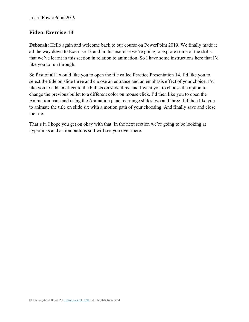#### **Video: Exercise 13**

**Deborah:** Hello again and welcome back to our course on PowerPoint 2019. We finally made it all the way down to Exercise 13 and in this exercise we're going to explore some of the skills that we've learnt in this section in relation to animation. So I have some instructions here that I'd like you to run through.

So first of all I would like you to open the file called Practice Presentation 14. I'd like you to select the title on slide three and choose an entrance and an emphasis effect of your choice. I'd like you to add an effect to the bullets on slide three and I want you to choose the option to change the previous bullet to a different color on mouse click. I'd then like you to open the Animation pane and using the Animation pane rearrange slides two and three. I'd then like you to animate the title on slide six with a motion path of your choosing. And finally save and close the file.

That's it. I hope you get on okay with that. In the next section we're going to be looking at hyperlinks and action buttons so I will see you over there.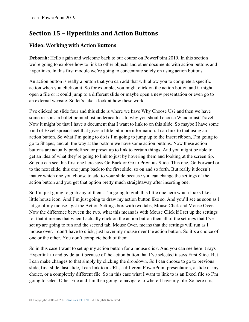# **Section 15 – Hyperlinks and Action Buttons**

## **Video: Working with Action Buttons**

**Deborah:** Hello again and welcome back to our course on PowerPoint 2019. In this section we're going to explore how to link to other objects and other documents with action buttons and hyperlinks. In this first module we're going to concentrate solely on using action buttons.

An action button is really a button that you can add that will allow you to complete a specific action when you click on it. So for example, you might click on the action button and it might open a file or it could jump to a different slide or maybe open a new presentation or even go to an external website. So let's take a look at how these work.

I've clicked on slide four and this slide is where we have Why Choose Us? and then we have some reasons, a bullet pointed list underneath as to why you should choose Wanderlust Travel. Now it might be that I have a document that I want to link to on this slide. So maybe I have some kind of Excel spreadsheet that gives a little bit more information. I can link to that using an action button. So what I'm going to do is I'm going to jump up to the Insert ribbon, I'm going to go to Shapes, and all the way at the bottom we have some action buttons. Now these action buttons are actually predefined or preset up to link to certain things. And you might be able to get an idea of what they're going to link to just by hovering them and looking at the screen tip. So you can see this first one here says Go Back or Go to Previous Slide. This one, Go Forward or to the next slide, this one jump back to the first slide, so on and so forth. But really it doesn't matter which one you choose to add to your slide because you can change the settings of the action button and you get that option pretty much straightaway after inserting one.

So I'm just going to grab any of them. I'm going to grab this little one here which looks like a little house icon. And I'm just going to draw my action button like so. And you'll see as soon as I let go of my mouse I get the Action Settings box with two tabs, Mouse Click and Mouse Over. Now the difference between the two, what this means is with Mouse Click if I set up the settings for that it means that when I actually click on the action button then all of the settings that I've set up are going to run and the second tab, Mouse Over, means that the settings will run as I mouse over. I don't have to click, just hover my mouse over the action button. So it's a choice of one or the other. You don't complete both of them.

So in this case I want to set up my action button for a mouse click. And you can see here it says Hyperlink to and by default because of the action button that I've selected it says First Slide. But I can make changes to that simply by clicking the dropdown. So I can choose to go to previous slide, first slide, last slide, I can link to a URL, a different PowerPoint presentation, a slide of my choice, or a completely different file. So in this case what I want to link to is an Excel file so I'm going to select Other File and I'm then going to navigate to where I have my file. So here it is,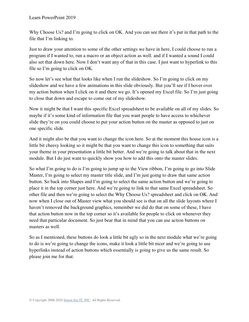Why Choose Us? and I'm going to click on OK. And you can see there it's put in that path to the file that I'm linking to.

Just to draw your attention to some of the other settings we have in here, I could choose to run a program if I wanted to, run a macro or an object action as well. and if I wanted a sound I could also set that down here. Now I don't want any of that in this case. I just want to hyperlink to this file so I'm going to click on OK.

So now let's see what that looks like when I run the slideshow. So I'm going to click on my slideshow and we have a few animations in this slide obviously. But you'll see if I hover over my action button when I click on it and there we go. It's opened my Excel file. So I'm just going to close that down and escape to come out of my slideshow.

Now it might be that I want this specific Excel spreadsheet to be available on all of my slides. So maybe if it's some kind of information file that you want people to have access to whichever slide they're on you could choose to put your action button on the master as opposed to just on one specific slide.

And it might also be that you want to change the icon here. So at the moment this house icon is a little bit cheesy looking so it might be that you want to change this icon to something that suits your theme in your presentation a little bit better. And we're going to talk about that in the next module. But I do just want to quickly show you how to add this onto the master slides.

So what I'm going to do is I'm going to jump up to the View ribbon, I'm going to go into Slide Master, I'm going to select my master title slide, and I'm just going to draw that same action button. So back into Shapes and I'm going to select the same action button and we're going to place it in the top corner just here. And we're going to link to that same Excel spreadsheet. So other file and then we're going to select the Why Choose Us? spreadsheet and click on OK. And now when I close out of Master view what you should see is that on all the slide layouts where I haven't removed the background graphics, remember we did do that on some of these, I have that action button now in the top corner so it's available for people to click on whenever they need that particular document. So just bear that in mind that you can use action buttons on masters as well.

So as I mentioned, these buttons do look a little bit ugly so in the next module what we're going to do is we're going to change the icons, make it look a little bit nicer and we're going to use hyperlinks instead of action buttons which essentially is going to give us the same result. So please join me for that.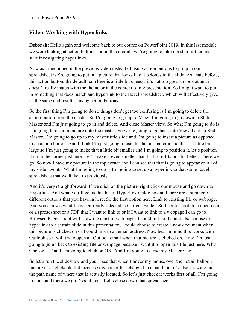#### **Video: Working with Hyperlinks**

**Deborah:** Hello again and welcome back to our course on PowerPoint 2019. In this last module we were looking at action buttons and in this module we're going to take it a step further and start investigating hyperlinks.

Now as I mentioned in the previous video instead of using action buttons to jump to our spreadsheet we're going to put in a picture that looks like it belongs to the slide. As I said before, this action button, the default icon here is a little bit cheesy, it's not too great to look at and it doesn't really match with the theme or in the context of my presentation. So I might want to put in something that does match and hyperlink to the Excel spreadsheet, which will effectively give us the same end result as using action buttons.

So the first thing I'm going to do so things don't get too confusing is I'm going to delete the action button from the master. So I'm going to go up to View, I'm going to go down to Slide Master and I'm just going to go in and delete. And close Master view. So what I'm going to do is I'm going to insert a picture onto the master. So we're going to go back into View, back to Slide Master, I'm going to go up to my master title slide and I'm going to insert a picture as opposed to an action button. And I think I'm just going to use this hot air balloon and that's a little bit large so I'm just going to make that a little bit smaller and I'm going to position it, let's position it up in the corner just here. Let's make it even smaller than that so it fits in a bit better. There we go. So now I have my picture in the top corner and I can see that that is going to appear on all of my slide layouts. What I'm going to do is I'm going to set up a hyperlink to that same Excel spreadsheet that we linked to previously.

And it's very straightforward. If we click on the picture, right click our mouse and go down to Hyperlink. And what you'll get is this Insert Hyperlink dialog box and there are a number of different options that you have in here. So the first option here, Link to existing file or webpage. And you can see what I have currently selected is Current Folder. So I could scroll to a document or a spreadsheet or a PDF that I want to link to or if I want to link to a webpage I can go to Browsed Pages and it will show me a list of web pages I could link to. I could also choose to hyperlink to a certain slide in this presentation, I could choose to create a new document when this picture is clicked on or I could link to an email address. Now bear in mind this works with Outlook so it will try to open an Outlook email when that picture is clicked on. Now I'm just going to jump back to existing file or webpage because I want it to open this file just here, Why Choose Us? and I'm going to click on OK. And I'm going to close my Master view.

So let's run the slideshow and you'll see that when I hover my mouse over the hot air balloon picture it's a clickable link because my cursor has changed to a hand, but it's also showing me the path name of where that is actually located. So let's just check it works first of all. I'm going to click and there we go. Yes, it does. Let's close down that spreadsheet.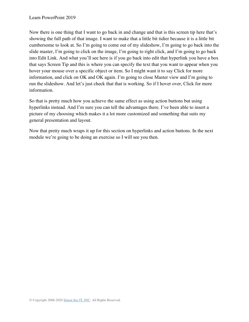Now there is one thing that I want to go back in and change and that is this screen tip here that's showing the full path of that image. I want to make that a little bit tidier because it is a little bit cumbersome to look at. So I'm going to come out of my slideshow, I'm going to go back into the slide master, I'm going to click on the image, I'm going to right click, and I'm going to go back into Edit Link. And what you'll see here is if you go back into edit that hyperlink you have a box that says Screen Tip and this is where you can specify the text that you want to appear when you hover your mouse over a specific object or item. So I might want it to say Click for more information, and click on OK and OK again. I'm going to close Master view and I'm going to run the slideshow. And let's just check that that is working. So if I hover over, Click for more information.

So that is pretty much how you achieve the same effect as using action buttons but using hyperlinks instead. And I'm sure you can tell the advantages there. I've been able to insert a picture of my choosing which makes it a lot more customized and something that suits my general presentation and layout.

Now that pretty much wraps it up for this section on hyperlinks and action buttons. In the next module we're going to be doing an exercise so I will see you then.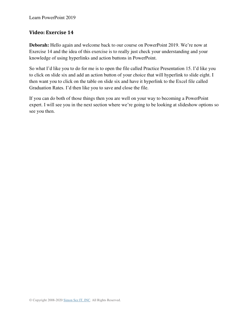#### **Video: Exercise 14**

**Deborah:** Hello again and welcome back to our course on PowerPoint 2019. We're now at Exercise 14 and the idea of this exercise is to really just check your understanding and your knowledge of using hyperlinks and action buttons in PowerPoint.

So what I'd like you to do for me is to open the file called Practice Presentation 15. I'd like you to click on slide six and add an action button of your choice that will hyperlink to slide eight. I then want you to click on the table on slide six and have it hyperlink to the Excel file called Graduation Rates. I'd then like you to save and close the file.

If you can do both of those things then you are well on your way to becoming a PowerPoint expert. I will see you in the next section where we're going to be looking at slideshow options so see you then.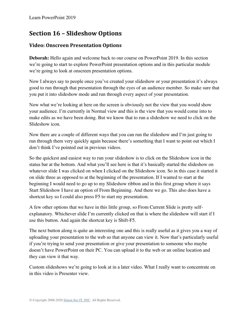# **Section 16 – Slideshow Options**

## **Video: Onscreen Presentation Options**

**Deborah:** Hello again and welcome back to our course on PowerPoint 2019. In this section we're going to start to explore PowerPoint presentation options and in this particular module we're going to look at onscreen presentation options.

Now I always say to people once you've created your slideshow or your presentation it's always good to run through that presentation through the eyes of an audience member. So make sure that you put it into slideshow mode and run through every aspect of your presentation.

Now what we're looking at here on the screen is obviously not the view that you would show your audience. I'm currently in Normal view and this is the view that you would come into to make edits as we have been doing. But we know that to run a slideshow we need to click on the Slideshow icon.

Now there are a couple of different ways that you can run the slideshow and I'm just going to run through them very quickly again because there's something that I want to point out which I don't think I've pointed out in previous videos.

So the quickest and easiest way to run your slideshow is to click on the Slideshow icon in the status bar at the bottom. And what you'll see here is that it's basically started the slideshow on whatever slide I was clicked on when I clicked on the Slideshow icon. So in this case it started it on slide three as opposed to at the beginning of the presentation. If I wanted to start at the beginning I would need to go up to my Slideshow ribbon and in this first group where it says Start Slideshow I have an option of From Beginning. And there we go. This also does have a shortcut key so I could also press F5 to start my presentation.

A few other options that we have in this little group, so From Current Slide is pretty selfexplanatory. Whichever slide I'm currently clicked on that is where the slideshow will start if I use this button. And again the shortcut key is Shift-F5.

The next button along is quite an interesting one and this is really useful as it gives you a way of uploading your presentation to the web so that anyone can view it. Now that's particularly useful if you're trying to send your presentation or give your presentation to someone who maybe doesn't have PowerPoint on their PC. You can upload it to the web or an online location and they can view it that way.

Custom slideshows we're going to look at in a later video. What I really want to concentrate on in this video is Presenter view.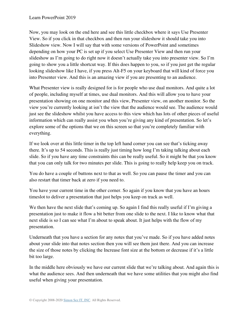Now, you may look on the end here and see this little checkbox where it says Use Presenter View. So if you click in that checkbox and then run your slideshow it should take you into Slideshow view. Now I will say that with some versions of PowerPoint and sometimes depending on how your PC is set up if you select Use Presenter View and then run your slideshow as I'm going to do right now it doesn't actually take you into presenter view. So I'm going to show you a little shortcut way. If this does happen to you, so if you just get the regular looking slideshow like I have, if you press Alt-F5 on your keyboard that will kind of force you into Presenter view. And this is an amazing view if you are presenting to an audience.

What Presenter view is really designed for is for people who use dual monitors. And quite a lot of people, including myself at times, use dual monitors. And this will allow you to have your presentation showing on one monitor and this view, Presenter view, on another monitor. So the view you're currently looking at isn't the view that the audience would see. The audience would just see the slideshow whilst you have access to this view which has lots of other pieces of useful information which can really assist you when you're giving any kind of presentation. So let's explore some of the options that we on this screen so that you're completely familiar with everything.

If we look over at this little timer in the top left hand corner you can see that's ticking away there. It's up to 54 seconds. This is really just timing how long I'm taking talking about each slide. So if you have any time constraints this can be really useful. So it might be that you know that you can only talk for two minutes per slide. This is going to really help keep you on track.

You do have a couple of buttons next to that as well. So you can pause the timer and you can also restart that timer back at zero if you need to.

You have your current time in the other corner. So again if you know that you have an hours timeslot to deliver a presentation that just helps you keep on track as well.

We then have the next slide that's coming up. So again I find this really useful if I'm giving a presentation just to make it flow a bit better from one slide to the next. I like to know what that next slide is so I can see what I'm about to speak about. It just helps with the flow of my presentation.

Underneath that you have a section for any notes that you've made. So if you have added notes about your slide into that notes section then you will see them just there. And you can increase the size of those notes by clicking the Increase font size at the bottom or decrease if it's a little bit too large.

In the middle here obviously we have our current slide that we're talking about. And again this is what the audience sees. And then underneath that we have some utilities that you might also find useful when giving your presentation.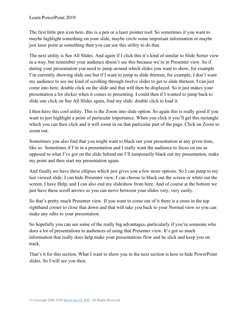The first little pen icon here, this is a pen or a laser pointer tool. So sometimes if you want to maybe highlight something on your slide, maybe circle some important information or maybe just laser point at something then you can use this utility to do that.

The next utility is See All Slides. And again if I click this it's kind of similar to Slide Sorter view in a way, but remember your audience doesn't see this because we're in Presenter view. So if during your presentation you need to jump around which slides you want to show, for example I'm currently showing slide one but if I want to jump to slide thirteen, for example, I don't want my audience to see me kind of scrolling through twelve slides to get to slide thirteen. I can just come into here, double click on the slide and that will then be displayed. So it just makes your presentation a lot slicker when it comes to presenting. I could then if I wanted to jump back to slide one click on See All Slides again, find my slide, double click to load it.

I then have this cool utility. This is the Zoom into slide option. So again this is really good if you want to just highlight a point of particular importance. When you click it you'll get this rectangle which you can then click and it will zoom in on that particular part of the page. Click on Zoom to zoom out.

Sometimes you also find that you might want to black out your presentation at any given time, like so. Sometimes if I'm in a presentation and I really want the audience to focus on me as opposed to what I've got on the slide behind me I'll temporarily black out my presentation, make my point and then start my presentation again.

And finally we have these ellipses which just gives you a few more options. So I can jump to my last viewed slide, I can hide Presenter view, I can choose to black out the screen or white out the screen, I have Help, and I can also end my slideshow from here. And of course at the bottom we just have these scroll arrows so you can move between your slides very, very easily.

So that's pretty much Presenter view. If you want to come out of it there is a cross in the top righthand corner to close that down and that will take you back to your Normal view so you can make any edits to your presentation.

So hopefully you can see some of the really big advantages, particularly if you're someone who does a lot of presentations to audiences of using that Presenter view. It's got so much information that really does help make your presentations flow and be slick and keep you on track.

That's it for this section. What I want to show you in the next section is how to hide PowerPoint slides. So I will see you then.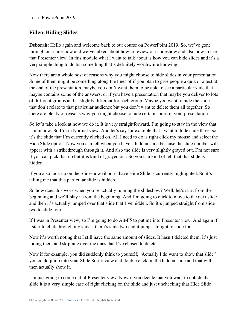## **Video: Hiding Slides**

**Deborah:** Hello again and welcome back to our course on PowerPoint 2019. So, we've gone through our slideshow and we've talked about how to review our slideshow and also how to use that Presenter view. In this module what I want to talk about is how you can hide slides and it's a very simple thing to do but something that's definitely worthwhile knowing.

Now there are a whole host of reasons why you might choose to hide slides in your presentation. Some of them might be something along the lines of if you plan to give people a quiz or a test at the end of the presentation, maybe you don't want them to be able to see a particular slide that maybe contains some of the answers, or if you have a presentation that maybe you deliver to lots of different groups and is slightly different for each group. Maybe you want to hide the slides that don't relate to that particular audience but you don't want to delete them all together. So there are plenty of reasons why you might choose to hide certain slides in your presentation.

So let's take a look at how we do it. It is very straightforward. I'm going to stay in the view that I'm in now. So I'm in Normal view. And let's say for example that I want to hide slide three, so it's the slide that I'm currently clicked on. All I need to do is right click my mouse and select the Hide Slide option. Now you can tell when you have a hidden slide because the slide number will appear with a strikethrough through it. And also the slide is very slightly grayed out. I'm not sure if you can pick that up but it is kind of grayed out. So you can kind of tell that that slide is hidden.

If you also look up on the Slideshow ribbon I have Hide Slide is currently highlighted. So it's telling me that this particular slide is hidden.

So how does this work when you're actually running the slideshow? Well, let's start from the beginning and we'll play it from the beginning. And I'm going to click to move to the next slide and then it's actually jumped over that slide that I've hidden. So it's jumped straight from slide two to slide four.

If I was in Presenter view, so I'm going to do Alt-F5 to put me into Presenter view. And again if I start to click through my slides, there's slide two and it jumps straight to slide four.

Now it's worth noting that I still have the same amount of slides. It hasn't deleted them. It's just hiding them and skipping over the ones that I've chosen to delete.

Now if for example, you did suddenly think to yourself, "Actually I do want to show that slide" you could jump into your Slide Sorter view and double click on the hidden slide and that will then actually show it.

I'm just going to come out of Presenter view. Now if you decide that you want to unhide that slide it is a very simple case of right clicking on the slide and just unchecking that Hide Slide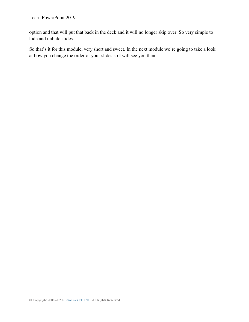option and that will put that back in the deck and it will no longer skip over. So very simple to hide and unhide slides.

So that's it for this module, very short and sweet. In the next module we're going to take a look at how you change the order of your slides so I will see you then.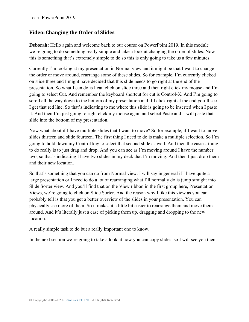## **Video: Changing the Order of Slides**

**Deborah:** Hello again and welcome back to our course on PowerPoint 2019. In this module we're going to do something really simple and take a look at changing the order of slides. Now this is something that's extremely simple to do so this is only going to take us a few minutes.

Currently I'm looking at my presentation in Normal view and it might be that I want to change the order or move around, rearrange some of these slides. So for example, I'm currently clicked on slide three and I might have decided that this slide needs to go right at the end of the presentation. So what I can do is I can click on slide three and then right click my mouse and I'm going to select Cut. And remember the keyboard shortcut for cut is Control-X. And I'm going to scroll all the way down to the bottom of my presentation and if I click right at the end you'll see I get that red line. So that's indicating to me where this slide is going to be inserted when I paste it. And then I'm just going to right click my mouse again and select Paste and it will paste that slide into the bottom of my presentation.

Now what about if I have multiple slides that I want to move? So for example, if I want to move slides thirteen and slide fourteen. The first thing I need to do is make a multiple selection. So I'm going to hold down my Control key to select that second slide as well. And then the easiest thing to do really is to just drag and drop. And you can see as I'm moving around I have the number two, so that's indicating I have two slides in my deck that I'm moving. And then I just drop them and their new location.

So that's something that you can do from Normal view. I will say in general if I have quite a large presentation or I need to do a lot of rearranging what I'll normally do is jump straight into Slide Sorter view. And you'll find that on the View ribbon in the first group here, Presentation Views, we're going to click on Slide Sorter. And the reason why I like this view as you can probably tell is that you get a better overview of the slides in your presentation. You can physically see more of them. So it makes it a little bit easier to rearrange them and move them around. And it's literally just a case of picking them up, dragging and dropping to the new location.

A really simple task to do but a really important one to know.

In the next section we're going to take a look at how you can copy slides, so I will see you then.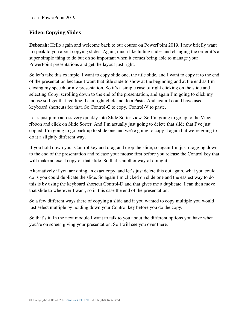## **Video: Copying Slides**

**Deborah:** Hello again and welcome back to our course on PowerPoint 2019. I now briefly want to speak to you about copying slides. Again, much like hiding slides and changing the order it's a super simple thing to do but oh so important when it comes being able to manage your PowerPoint presentations and get the layout just right.

So let's take this example. I want to copy slide one, the title slide, and I want to copy it to the end of the presentation because I want that title slide to show at the beginning and at the end as I'm closing my speech or my presentation. So it's a simple case of right clicking on the slide and selecting Copy, scrolling down to the end of the presentation, and again I'm going to click my mouse so I get that red line, I can right click and do a Paste. And again I could have used keyboard shortcuts for that. So Control-C to copy, Control-V to paste.

Let's just jump across very quickly into Slide Sorter view. So I'm going to go up to the View ribbon and click on Slide Sorter. And I'm actually just going to delete that slide that I've just copied. I'm going to go back up to slide one and we're going to copy it again but we're going to do it a slightly different way.

If you hold down your Control key and drag and drop the slide, so again I'm just dragging down to the end of the presentation and release your mouse first before you release the Control key that will make an exact copy of that slide. So that's another way of doing it.

Alternatively if you are doing an exact copy, and let's just delete this out again, what you could do is you could duplicate the slide. So again I'm clicked on slide one and the easiest way to do this is by using the keyboard shortcut Control-D and that gives me a duplicate. I can then move that slide to wherever I want, so in this case the end of the presentation.

So a few different ways there of copying a slide and if you wanted to copy multiple you would just select multiple by holding down your Control key before you do the copy.

So that's it. In the next module I want to talk to you about the different options you have when you're on screen giving your presentation. So I will see you over there.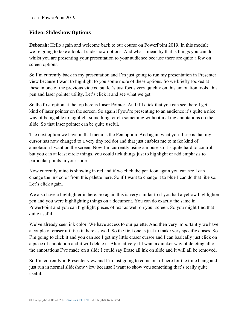## **Video: Slideshow Options**

**Deborah:** Hello again and welcome back to our course on PowerPoint 2019. In this module we're going to take a look at slideshow options. And what I mean by that is things you can do whilst you are presenting your presentation to your audience because there are quite a few on screen options.

So I'm currently back in my presentation and I'm just going to run my presentation in Presenter view because I want to highlight to you some more of these options. So we briefly looked at these in one of the previous videos, but let's just focus very quickly on this annotation tools, this pen and laser pointer utility. Let's click it and see what we get.

So the first option at the top here is Laser Pointer. And if I click that you can see there I get a kind of laser pointer on the screen. So again if you're presenting to an audience it's quite a nice way of being able to highlight something, circle something without making annotations on the slide. So that laser pointer can be quite useful.

The next option we have in that menu is the Pen option. And again what you'll see is that my cursor has now changed to a very tiny red dot and that just enables me to make kind of annotation I want on the screen. Now I'm currently using a mouse so it's quite hard to control, but you can at least circle things, you could tick things just to highlight or add emphasis to particular points in your slide.

Now currently mine is showing in red and if we click the pen icon again you can see I can change the ink color from this palette here. So if I want to change it to blue I can do that like so. Let's click again.

We also have a highlighter in here. So again this is very similar to if you had a yellow highlighter pen and you were highlighting things on a document. You can do exactly the same in PowerPoint and you can highlight pieces of text as well on your screen. So you might find that quite useful.

We've already seen ink color. We have access to our palette. And then very importantly we have a couple of eraser utilities in here as well. So the first one is just to make very specific erases. So I'm going to click it and you can see I get my little eraser cursor and I can basically just click on a piece of annotation and it will delete it. Alternatively if I want a quicker way of deleting all of the annotations I've made on a slide I could say Erase all ink on slide and it will all be removed.

So I'm currently in Presenter view and I'm just going to come out of here for the time being and just run in normal slideshow view because I want to show you something that's really quite useful.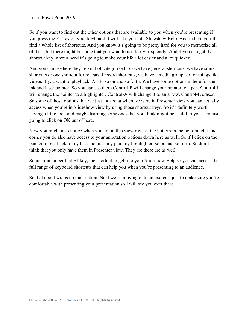So if you want to find out the other options that are available to you when you're presenting if you press the F1 key on your keyboard it will take you into Slideshow Help. And in here you'll find a whole list of shortcuts. And you know it's going to be pretty hard for you to memorize all of these but there might be some that you want to use fairly frequently. And if you can get that shortcut key in your head it's going to make your life a lot easier and a lot quicker.

And you can see here they're kind of categorized. So we have general shortcuts, we have some shortcuts or one shortcut for rehearsal record shortcuts, we have a media group, so for things like videos if you want to playback, Alt-P, so on and so forth. We have some options in here for the ink and laser pointer. So you can see there Control-P will change your pointer to a pen, Control-I will change the pointer to a highlighter, Control-A will change it to an arrow, Control-E eraser. So some of those options that we just looked at when we were in Presenter view you can actually access when you're in Slideshow view by using those shortcut keys. So it's definitely worth having a little look and maybe learning some ones that you think might be useful to you. I'm just going to click on OK out of here.

Now you might also notice when you are in this view right at the bottom in the bottom left hand corner you do also have access to your annotation options down here as well. So if I click on the pen icon I get back to my laser pointer, my pen, my highlighter, so on and so forth. So don't think that you only have them in Presenter view. They are there are as well.

So just remember that F1 key, the shortcut to get into your Slideshow Help so you can access the full range of keyboard shortcuts that can help you when you're presenting to an audience.

So that about wraps up this section. Next we're moving onto an exercise just to make sure you're comfortable with presenting your presentation so I will see you over there.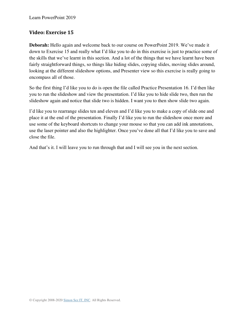### **Video: Exercise 15**

**Deborah:** Hello again and welcome back to our course on PowerPoint 2019. We've made it down to Exercise 15 and really what I'd like you to do in this exercise is just to practice some of the skills that we've learnt in this section. And a lot of the things that we have learnt have been fairly straightforward things, so things like hiding slides, copying slides, moving slides around, looking at the different slideshow options, and Presenter view so this exercise is really going to encompass all of those.

So the first thing I'd like you to do is open the file called Practice Presentation 16. I'd then like you to run the slideshow and view the presentation. I'd like you to hide slide two, then run the slideshow again and notice that slide two is hidden. I want you to then show slide two again.

I'd like you to rearrange slides ten and eleven and I'd like you to make a copy of slide one and place it at the end of the presentation. Finally I'd like you to run the slideshow once more and use some of the keyboard shortcuts to change your mouse so that you can add ink annotations, use the laser pointer and also the highlighter. Once you've done all that I'd like you to save and close the file.

And that's it. I will leave you to run through that and I will see you in the next section.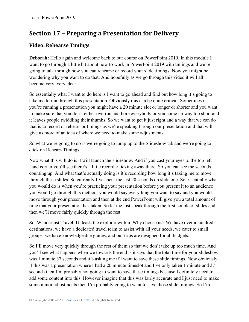# **Section 17 – Preparing a Presentation for Delivery**

### **Video: Rehearse Timings**

**Deborah:** Hello again and welcome back to our course on PowerPoint 2019. In this module I want to go through a little bit about how to work in PowerPoint 2019 with timings and we're going to talk through how you can rehearse or record your slide timings. Now you might be wondering why you want to do that. And hopefully as we go through this video it will all become very, very clear.

So essentially what I want to do here is I want to go ahead and find out how long it's going to take me to run through this presentation. Obviously this can be quite critical. Sometimes if you're running a presentation you might have a 20 minute slot or longer or shorter and you want to make sure that you don't either overrun and bore everybody or you come up way too short and it leaves people twiddling their thumbs. So we want to get it just right and a way that we can do that is to record or rehears or timings as we're speaking through our presentation and that will give us more of an idea of where we need to make some adjustments.

So what we're going to do is we're going to jump up to the Slideshow tab and we're going to click on Rehears Timings.

Now what this will do is it will launch the slideshow. And if you cast your eyes to the top left hand corner you'll see there's a little recorder ticking away there. So you can see the seconds counting up. And what that's actually doing is it's recording how long it's taking me to move through these slides. So currently I've spent the last 20 seconds on slide one. So essentially what you would do is when you're practicing your presentation before you present it to an audience you would go through this method, you would say everything you want to say and you would move through your presentation and then at the end PowerPoint will give you a total amount of time that your presentation has taken. So let me just speak through the first couple of slides and then we'll move fairly quickly through the rest.

So, Wanderlust Travel. Unleash the explorer within. Why choose us? We have over a hundred destinations, we have a dedicated travel team to assist with all your needs, we cater to small groups, we have knowledgeable guides, and our trips are designed for all budgets.

So I'll move very quickly through the rest of them so that we don't take up too much time. And you'll see what happens when we towards the end is it says that the total time for your slideshow was 1 minute 37 seconds and it's asking me if I want to save these slide timings. Now obviously if this was a presentation where I had a 20 minute timeslot and I've only taken 1 minute and 37 seconds then I'm probably not going to want to save these timings because I definitely need to add some content into this. However imagine that this was fairly accurate and I just need to make some minor adjustments then I'm probably going to want to save those slide timings. So I'm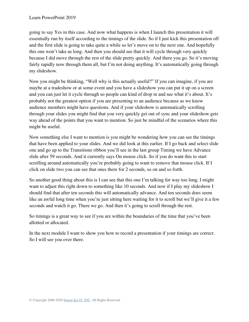going to say Yes in this case. And now what happens is when I launch this presentation it will essentially run by itself according to the timings of the slide. So if I just kick this presentation off and the first slide is going to take quite a while so let's move on to the next one. And hopefully this one won't take as long. And then you should see that it will cycle through very quickly because I did move through the rest of the slide pretty quickly. And there you go. So it's moving fairly rapidly now through them all, but I'm not doing anything. It's automatically going through my slideshow.

Now you might be thinking, "Well why is this actually useful?" If you can imagine, if you are maybe at a tradeshow or at some event and you have a slideshow you can put it up on a screen and you can just let it cycle through so people can kind of drop in and see what it's about. It's probably not the greatest option if you are presenting to an audience because as we know audience members might have questions. And if your slideshow is automatically scrolling through your slides you might find that you very quickly get out of sync and your slideshow gets way ahead of the points that you want to mention. So just be mindful of the scenarios where this might be useful.

Now something else I want to mention is you might be wondering how you can see the timings that have been applied to your slides. And we did look at this earlier. If I go back and select slide one and go up to the Transitions ribbon you'll see in the last group Timing we have Advance slide after 59 seconds. And it currently says On mouse click. So if you do want this to start scrolling around automatically you're probably going to want to remove that mouse click. If I click on slide two you can see that ones there for 2 seconds, so on and so forth.

So another good thing about this is I can see that this one I'm talking for way too long. I might want to adjust this right down to something like 10 seconds. And now if I play my slideshow I should find that after ten seconds this will automatically advance. And ten seconds does seem like an awful long time when you're just sitting here waiting for it to scroll but we'll give it a few seconds and watch it go. There we go. And then it's going to scroll through the rest.

So timings is a great way to see if you are within the boundaries of the time that you've been allotted or allocated.

In the next module I want to show you how to record a presentation if your timings are correct. So I will see you over there.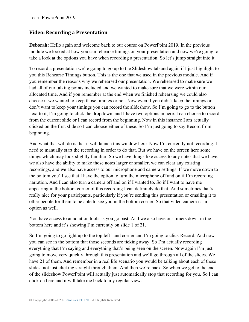### **Video: Recording a Presentation**

**Deborah:** Hello again and welcome back to our course on PowerPoint 2019. In the previous module we looked at how you can rehearse timings on your presentation and now we're going to take a look at the options you have when recording a presentation. So let's jump straight into it.

To record a presentation we're going to go up to the Slideshow tab and again if I just highlight to you this Rehearse Timings button. This is the one that we used in the previous module. And if you remember the reasons why we rehearsed our presentation. We rehearsed to make sure we had all of our talking points included and we wanted to make sure that we were within our allocated time. And if you remember at the end when we finished rehearsing we could also choose if we wanted to keep those timings or not. Now even if you didn't keep the timings or don't want to keep your timings you can record the slideshow. So I'm going to go to the button next to it, I'm going to click the dropdown, and I have two options in here. I can choose to record from the current slide or I can record from the beginning. Now in this instance I am actually clicked on the first slide so I can choose either of these. So I'm just going to say Record from beginning.

And what that will do is that it will launch this window here. Now I'm currently not recording. I need to manually start the recording in order to do that. But we have on the screen here some things which may look slightly familiar. So we have things like access to any notes that we have, we also have the ability to make those notes larger or smaller, we can clear any existing recordings, and we also have access to our microphone and camera settings. If we move down to the bottom you'll see that I have the option to turn the microphone off and on if I'm recording narration. And I can also turn a camera off and on if I wanted to. So if I want to have me appearing in the bottom corner of this recording I can definitely do that. And sometimes that's really nice for your participants, particularly if you're sending this presentation or emailing it to other people for them to be able to see you in the bottom corner. So that video camera is an option as well.

You have access to annotation tools as you go past. And we also have our timers down in the bottom here and it's showing I'm currently on slide 1 of 21.

So I'm going to go right up to the top left hand corner and I'm going to click Record. And now you can see in the bottom that those seconds are ticking away. So I'm actually recording everything that I'm saying and everything that's being seen on the screen. Now again I'm just going to move very quickly through this presentation and we'll go through all of the slides. We have 21 of them. And remember in a real life scenario you would be talking about each of these slides, not just clicking straight through them. And then we're back. So when we get to the end of the slideshow PowerPoint will actually just automatically stop that recording for you. So I can click on here and it will take me back to my regular view.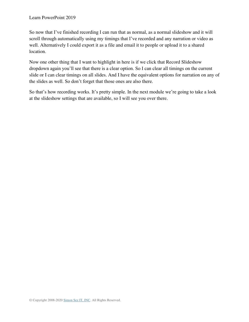So now that I've finished recording I can run that as normal, as a normal slideshow and it will scroll through automatically using my timings that I've recorded and any narration or video as well. Alternatively I could export it as a file and email it to people or upload it to a shared location.

Now one other thing that I want to highlight in here is if we click that Record Slideshow dropdown again you'll see that there is a clear option. So I can clear all timings on the current slide or I can clear timings on all slides. And I have the equivalent options for narration on any of the slides as well. So don't forget that those ones are also there.

So that's how recording works. It's pretty simple. In the next module we're going to take a look at the slideshow settings that are available, so I will see you over there.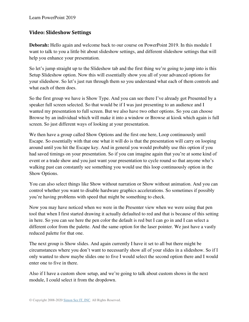### **Video: Slideshow Settings**

**Deborah:** Hello again and welcome back to our course on PowerPoint 2019. In this module I want to talk to you a little bit about slideshow settings, and different slideshow settings that will help you enhance your presentation.

So let's jump straight up to the Slideshow tab and the first thing we're going to jump into is this Setup Slideshow option. Now this will essentially show you all of your advanced options for your slideshow. So let's just run through them so you understand what each of them controls and what each of them does.

So the first group we have is Show Type. And you can see there I've already got Presented by a speaker full screen selected. So that would be if I was just presenting to an audience and I wanted my presentation to full screen. But we also have two other options. So you can choose Browse by an individual which will make it into a window or Browse at kiosk which again is full screen. So just different ways of looking at your presentation.

We then have a group called Show Options and the first one here, Loop continuously until Escape. So essentially with that one what it will do is that the presentation will carry on looping around until you hit the Escape key. And in general you would probably use this option if you had saved timings on your presentation. So if you can imagine again that you're at some kind of event or a trade show and you just want your presentation to cycle round so that anyone who's walking past can constantly see something you would use this loop continuously option in the Show Options.

You can also select things like Show without narration or Show without animation. And you can control whether you want to disable hardware graphics accelerations. So sometimes if possibly you're having problems with speed that might be something to check.

Now you may have noticed when we were in the Presenter view when we were using that pen tool that when I first started drawing it actually defaulted to red and that is because of this setting in here. So you can see here the pen color the default is red but I can go in and I can select a different color from the palette. And the same option for the laser pointer. We just have a vastly reduced palette for that one.

The next group is Show slides. And again currently I have it set to all but there might be circumstances where you don't want to necessarily show all of your slides in a slideshow. So if I only wanted to show maybe slides one to five I would select the second option there and I would enter one to five in there.

Also if I have a custom show setup, and we're going to talk about custom shows in the next module, I could select it from the dropdown.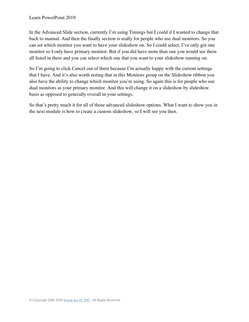In the Advanced Slide section, currently I'm using Timings but I could if I wanted to change that back to manual. And then the finally section is really for people who use dual monitors. So you can set which monitor you want to have your slideshow on. So I could select, I've only got one monitor so I only have primary monitor. But if you did have more than one you would see them all listed in there and you can select which one that you want to your slideshow running on.

So I'm going to click Cancel out of there because I'm actually happy with the current settings that I have. And it's also worth noting that in this Monitors group on the Slideshow ribbon you also have the ability to change which monitor you're using. So again this is for people who use dual monitors as your primary monitor. And this will change it on a slideshow by slideshow basis as opposed to generally overall in your settings.

So that's pretty much it for all of those advanced slideshow options. What I want to show you in the next module is how to create a custom slideshow, so I will see you then.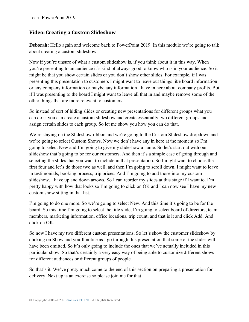### **Video: Creating a Custom Slideshow**

**Deborah:** Hello again and welcome back to PowerPoint 2019. In this module we're going to talk about creating a custom slideshow.

Now if you're unsure of what a custom slideshow is, if you think about it in this way. When you're presenting to an audience it's kind of always good to know who is in your audience. So it might be that you show certain slides or you don't show other slides. For example, if I was presenting this presentation to customers I might want to leave out things like board information or any company information or maybe any information I have in here about company profits. But if I was presenting to the board I might want to leave all that in and maybe remove some of the other things that are more relevant to customers.

So instead of sort of hiding slides or creating new presentations for different groups what you can do is you can create a custom slideshow and create essentially two different groups and assign certain slides to each group. So let me show you how you can do that.

We're staying on the Slideshow ribbon and we're going to the Custom Slideshow dropdown and we're going to select Custom Shows. Now we don't have any in here at the moment so I'm going to select New and I'm going to give my slideshow a name. So let's start out with our slideshow that's going to be for our customers. And then it's a simple case of going through and selecting the slides that you want to include in that presentation. So I might want to choose the first four and let's do those two as well, and then I'm going to scroll down. I might want to leave in testimonials, booking process, trip prices. And I'm going to add those into my custom slideshow. I have up and down arrows. So I can reorder my slides at this stage if I want to. I'm pretty happy with how that looks so I'm going to click on OK and I can now see I have my new custom show sitting in that list.

I'm going to do one more. So we're going to select New. And this time it's going to be for the board. So this time I'm going to select the title slide, I'm going to select board of directors, team members, marketing information, office locations, trip count, and that is it and click Add. And click on OK.

So now I have my two different custom presentations. So let's show the customer slideshow by clicking on Show and you'll notice as I go through this presentation that some of the slides will have been omitted. So it's only going to include the ones that we've actually included in this particular show. So that's certainly a very easy way of being able to customize different shows for different audiences or different groups of people.

So that's it. We've pretty much come to the end of this section on preparing a presentation for delivery. Next up is an exercise so please join me for that.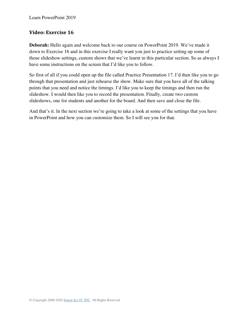### **Video: Exercise 16**

**Deborah:** Hello again and welcome back to our course on PowerPoint 2019. We've made it down to Exercise 16 and in this exercise I really want you just to practice setting up some of those slideshow settings, custom shows that we've learnt in this particular section. So as always I have some instructions on the screen that I'd like you to follow.

So first of all if you could open up the file called Practice Presentation 17. I'd then like you to go through that presentation and just rehearse the show. Make sure that you have all of the talking points that you need and notice the timings. I'd like you to keep the timings and then run the slideshow. I would then like you to record the presentation. Finally, create two custom slideshows, one for students and another for the board. And then save and close the file.

And that's it. In the next section we're going to take a look at some of the settings that you have in PowerPoint and how you can customize them. So I will see you for that.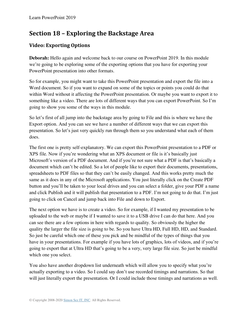# **Section 18 – Exploring the Backstage Area**

### **Video: Exporting Options**

**Deborah:** Hello again and welcome back to our course on PowerPoint 2019. In this module we're going to be exploring some of the exporting options that you have for exporting your PowerPoint presentation into other formats.

So for example, you might want to take this PowerPoint presentation and export the file into a Word document. So if you want to expand on some of the topics or points you could do that within Word without it affecting the PowerPoint presentation. Or maybe you want to export it to something like a video. There are lots of different ways that you can export PowerPoint. So I'm going to show you some of the ways in this module.

So let's first of all jump into the backstage area by going to File and this is where we have the Export option. And you can see we have a number of different ways that we can export this presentation. So let's just very quickly run through them so you understand what each of them does.

The first one is pretty self-explanatory. We can export this PowerPoint presentation to a PDF or XPS file. Now if you're wondering what an XPS document or file is it's basically just Microsoft's version of a PDF document. And if you're not sure what a PDF is that's basically a document which can't be edited. So a lot of people like to export their documents, presentations, spreadsheets to PDF files so that they can't be easily changed. And this works pretty much the same as it does in any of the Microsoft applications. You just literally click on the Create PDF button and you'll be taken to your local drives and you can select a folder, give your PDF a name and click Publish and it will publish that presentation to a PDF. I'm not going to do that. I'm just going to click on Cancel and jump back into File and down to Export.

The next option we have is to create a video. So for example, if I wanted my presentation to be uploaded to the web or maybe if I wanted to save it to a USB drive I can do that here. And you can see there are a few options in here with regards to quality. So obviously the higher the quality the larger the file size is going to be. So you have Ultra HD, Full HD, HD, and Standard. So just be careful which one of these you pick and be mindful of the types of things that you have in your presentations. For example if you have lots of graphics, lots of videos, and if you're going to export that at Ultra HD that's going to be a very, very large file size. So just be mindful which one you select.

You also have another dropdown list underneath which will allow you to specify what you're actually exporting to a video. So I could say don't use recorded timings and narrations. So that will just literally export the presentation. Or I could include those timings and narrations as well.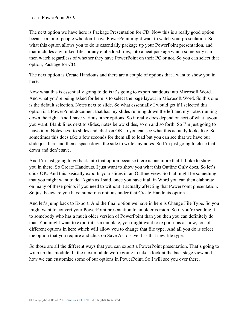The next option we have here is Package Presentation for CD. Now this is a really good option because a lot of people who don't have PowerPoint might want to watch your presentation. So what this option allows you to do is essentially package up your PowerPoint presentation, and that includes any linked files or any embedded files, into a neat package which somebody can then watch regardless of whether they have PowerPoint on their PC or not. So you can select that option, Package for CD.

The next option is Create Handouts and there are a couple of options that I want to show you in here.

Now what this is essentially going to do is it's going to export handouts into Microsoft Word. And what you're being asked for here is to select the page layout in Microsoft Word. So this one is the default selection, Notes next to slide. So what essentially I would get if I selected this option is a PowerPoint document that has my slides running down the left and my notes running down the right. And I have various other options. So it really does depend on sort of what layout you want. Blank lines next to slides, notes below slides, so on and so forth. So I'm just going to leave it on Notes next to slides and click on OK so you can see what this actually looks like. So sometimes this does take a few seconds for them all to load but you can see that we have our slide just here and then a space down the side to write any notes. So I'm just going to close that down and don't save.

And I'm just going to go back into that option because there is one more that I'd like to show you in there. So Create Handouts. I just want to show you what this Outline Only does. So let's click OK. And this basically exports your slides in an Outline view. So that might be something that you might want to do. Again as I said, once you have it all in Word you can then elaborate on many of these points if you need to without it actually affecting that PowerPoint presentation. So just be aware you have numerous options under that Create Handouts option.

And let's jump back to Export. And the final option we have in here is Change File Type. So you might want to convert your PowerPoint presentation to an older version. So if you're sending it to somebody who has a much older version of PowerPoint than you then you can definitely do that. You might want to export it as a template, you might want to export it as a show, lots of different options in here which will allow you to change that file type. And all you do is select the option that you require and click on Save As to save it as that new file type.

So those are all the different ways that you can export a PowerPoint presentation. That's going to wrap up this module. In the next module we're going to take a look at the backstage view and how we can customize some of our options in PowerPoint. So I will see you over there.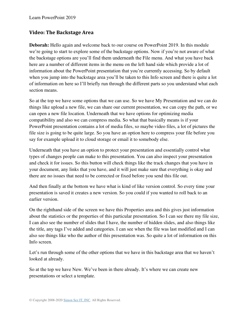### **Video: The Backstage Area**

**Deborah:** Hello again and welcome back to our course on PowerPoint 2019. In this module we're going to start to explore some of the backstage options. Now if you're not aware of what the backstage options are you'll find them underneath the File menu. And what you have back here are a number of different items in the menu on the left hand side which provide a lot of information about the PowerPoint presentation that you're currently accessing. So by default when you jump into the backstage area you'll be taken to this Info screen and there is quite a lot of information on here so I'll briefly run through the different parts so you understand what each section means.

So at the top we have some options that we can use. So we have My Presentation and we can do things like upload a new file, we can share our current presentation, we can copy the path, or we can open a new file location. Underneath that we have options for optimizing media compatibility and also we can compress media. So what that basically means is if your PowerPoint presentation contains a lot of media files, so maybe video files, a lot of pictures the file size is going to be quite large. So you have an option here to compress your file before you say for example upload it to cloud storage or email it to somebody else.

Underneath that you have an option to protect your presentation and essentially control what types of changes people can make to this presentation. You can also inspect your presentation and check it for issues. So this button will check things like the track changes that you have in your document, any links that you have, and it will just make sure that everything is okay and there are no issues that need to be corrected or fixed before you send this file out.

And then finally at the bottom we have what is kind of like version control. So every time your presentation is saved it creates a new version. So you could if you wanted to roll back to an earlier version.

On the righthand side of the screen we have this Properties area and this gives just information about the statistics or the properties of this particular presentation. So I can see there my file size, I can also see the number of slides that I have, the number of hidden slides, and also things like the title, any tags I've added and categories. I can see when the file was last modified and I can also see things like who the author of this presentation was. So quite a lot of information on this Info screen.

Let's run through some of the other options that we have in this backstage area that we haven't looked at already.

So at the top we have New. We've been in there already. It's where we can create new presentations or select a template.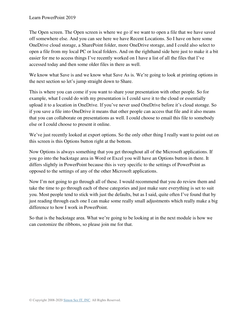The Open screen. The Open screen is where we go if we want to open a file that we have saved off somewhere else. And you can see here we have Recent Locations. So I have on here some OneDrive cloud storage, a SharePoint folder, more OneDrive storage, and I could also select to open a file from my local PC or local folders. And on the righthand side here just to make it a bit easier for me to access things I've recently worked on I have a list of all the files that I've accessed today and then some older files in there as well.

We know what Save is and we know what Save As is. We're going to look at printing options in the next section so let's jump straight down to Share.

This is where you can come if you want to share your presentation with other people. So for example, what I could do with my presentation is I could save it to the cloud or essentially upload it to a location in OneDrive. If you've never used OneDrive before it's cloud storage. So if you save a file into OneDrive it means that other people can access that file and it also means that you can collaborate on presentations as well. I could choose to email this file to somebody else or I could choose to present it online.

We've just recently looked at export options. So the only other thing I really want to point out on this screen is this Options button right at the bottom.

Now Options is always something that you get throughout all of the Microsoft applications. If you go into the backstage area in Word or Excel you will have an Options button in there. It differs slightly in PowerPoint because this is very specific to the settings of PowerPoint as opposed to the settings of any of the other Microsoft applications.

Now I'm not going to go through all of these. I would recommend that you do review them and take the time to go through each of these categories and just make sure everything is set to suit you. Most people tend to stick with just the defaults, but as I said, quite often I've found that by just reading through each one I can make some really small adjustments which really make a big difference to how I work in PowerPoint.

So that is the backstage area. What we're going to be looking at in the next module is how we can customize the ribbons, so please join me for that.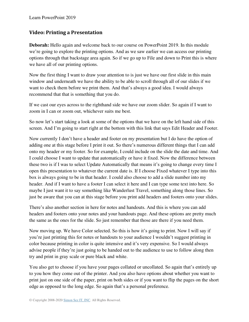### **Video: Printing a Presentation**

**Deborah:** Hello again and welcome back to our course on PowerPoint 2019. In this module we're going to explore the printing options. And as we saw earlier we can access our printing options through that backstage area again. So if we go up to File and down to Print this is where we have all of our printing options.

Now the first thing I want to draw your attention to is just we have our first slide in this main window and underneath we have the ability to be able to scroll through all of our slides if we want to check them before we print them. And that's always a good idea. I would always recommend that that is something that you do.

If we cast our eyes across to the righthand side we have our zoom slider. So again if I want to zoom in I can or zoom out, whichever suits me best.

So now let's start taking a look at some of the options that we have on the left hand side of this screen. And I'm going to start right at the bottom with this link that says Edit Header and Footer.

Now currently I don't have a header and footer on my presentation but I do have the option of adding one at this stage before I print it out. So there's numerous different things that I can add onto my header or my footer. So for example, I could include on the slide the date and time. And I could choose I want to update that automatically or have it fixed. Now the difference between these two is if I was to select Update Automatically that means it's going to change every time I open this presentation to whatever the current date is. If I choose Fixed whatever I type into this box is always going to be in that header. I could also choose to add a slide number into my header. And if I want to have a footer I can select it here and I can type some text into here. So maybe I just want it to say something like Wanderlust Travel, something along those lines. So just be aware that you can at this stage before you print add headers and footers onto your slides.

There's also another section in here for notes and handouts. And this is where you can add headers and footers onto your notes and your handouts page. And these options are pretty much the same as the ones for the slide. So just remember that those are there if you need them.

Now moving up. We have Color selected. So this is how it's going to print. Now I will say if you're just printing this for notes or handouts to your audience I wouldn't suggest printing in color because printing in color is quite intensive and it's very expensive. So I would always advise people if they're just going to be handed out to the audience to use to follow along then try and print in gray scale or pure black and white.

You also get to choose if you have your pages collated or uncollated. So again that's entirely up to you how they come out of the printer. And you also have options about whether you want to print just on one side of the paper, print on both sides or if you want to flip the pages on the short edge as opposed to the long edge. So again that's a personal preference.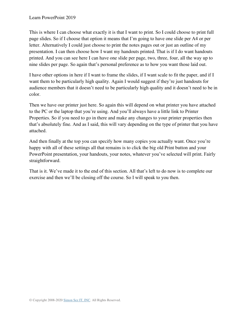This is where I can choose what exactly it is that I want to print. So I could choose to print full page slides. So if I choose that option it means that I'm going to have one slide per A4 or per letter. Alternatively I could just choose to print the notes pages out or just an outline of my presentation. I can then choose how I want my handouts printed. That is if I do want handouts printed. And you can see here I can have one slide per page, two, three, four, all the way up to nine slides per page. So again that's personal preference as to how you want those laid out.

I have other options in here if I want to frame the slides, if I want scale to fit the paper, and if I want them to be particularly high quality. Again I would suggest if they're just handouts for audience members that it doesn't need to be particularly high quality and it doesn't need to be in color.

Then we have our printer just here. So again this will depend on what printer you have attached to the PC or the laptop that you're using. And you'll always have a little link to Printer Properties. So if you need to go in there and make any changes to your printer properties then that's absolutely fine. And as I said, this will vary depending on the type of printer that you have attached.

And then finally at the top you can specify how many copies you actually want. Once you're happy with all of these settings all that remains is to click the big old Print button and your PowerPoint presentation, your handouts, your notes, whatever you've selected will print. Fairly straightforward.

That is it. We've made it to the end of this section. All that's left to do now is to complete our exercise and then we'll be closing off the course. So I will speak to you then.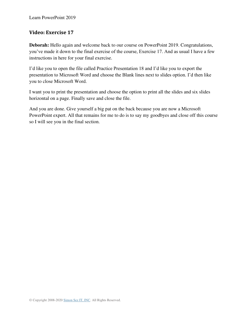### **Video: Exercise 17**

**Deborah:** Hello again and welcome back to our course on PowerPoint 2019. Congratulations, you've made it down to the final exercise of the course, Exercise 17. And as usual I have a few instructions in here for your final exercise.

I'd like you to open the file called Practice Presentation 18 and I'd like you to export the presentation to Microsoft Word and choose the Blank lines next to slides option. I'd then like you to close Microsoft Word.

I want you to print the presentation and choose the option to print all the slides and six slides horizontal on a page. Finally save and close the file.

And you are done. Give yourself a big pat on the back because you are now a Microsoft PowerPoint expert. All that remains for me to do is to say my goodbyes and close off this course so I will see you in the final section.